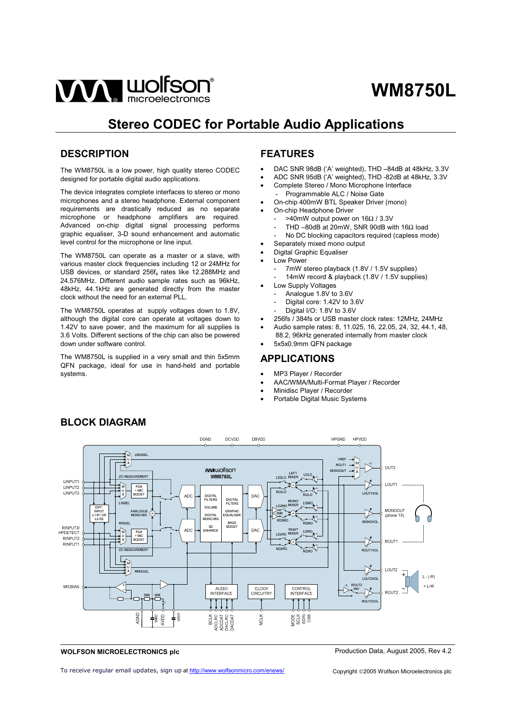

# **Stereo CODEC for Portable Audio Applications**

# **DESCRIPTION**

The WM8750L is a low power, high quality stereo CODEC designed for portable digital audio applications.

The device integrates complete interfaces to stereo or mono microphones and a stereo headphone. External component requirements are drastically reduced as no separate microphone or headphone amplifiers are required. Advanced on-chip digital signal processing performs graphic equaliser, 3-D sound enhancement and automatic level control for the microphone or line input.

The WM8750L can operate as a master or a slave, with various master clock frequencies including 12 or 24MHz for USB devices, or standard 256f<sub>s</sub> rates like 12.288MHz and 24.576MHz. Different audio sample rates such as 96kHz, 48kHz, 44.1kHz are generated directly from the master clock without the need for an external PLL.

The WM8750L operates at supply voltages down to 1.8V, although the digital core can operate at voltages down to 1.42V to save power, and the maximum for all supplies is 3.6 Volts. Different sections of the chip can also be powered down under software control.

The WM8750L is supplied in a very small and thin 5x5mm QFN package, ideal for use in hand-held and portable systems.

# **FEATURES**

- DAC SNR 98dB ('A' weighted), THD –84dB at 48kHz, 3.3V
- ADC SNR 95dB ('A' weighted), THD -82dB at 48kHz, 3.3V
- Complete Stereo / Mono Microphone Interface
- Programmable ALC / Noise Gate
- On-chip 400mW BTL Speaker Driver (mono)
- On-chip Headphone Driver
	- >40mW output power on 16Ω / 3.3V
	- THD –80dB at 20mW, SNR 90dB with 16 $\Omega$  load
	- No DC blocking capacitors required (capless mode)
	- Separately mixed mono output
- Digital Graphic Equaliser
- Low Power
	- 7mW stereo playback (1.8V / 1.5V supplies)
	- 14mW record & playback (1.8V / 1.5V supplies)
- Low Supply Voltages
	- Analogue 1.8V to 3.6V
	- Digital core: 1.42V to 3.6V
	- Digital I/O: 1.8V to 3.6V
- 256fs / 384fs or USB master clock rates: 12MHz, 24MHz
- Audio sample rates: 8, 11.025, 16, 22.05, 24, 32, 44.1, 48,
- 88.2, 96kHz generated internally from master clock • 5x5x0.9mm QFN package

## **APPLICATIONS**

- MP3 Player / Recorder
- AAC/WMA/Multi-Format Player / Recorder
- Minidisc Player / Recorder
- Portable Digital Music Systems



# **BLOCK DIAGRAM**

**WOLFSON MICROELECTRONICS plc**

Production Data, August 2005, Rev 4.2

To receive regular email updates, sign up at <http://www.wolfsonmicro.com/enews/>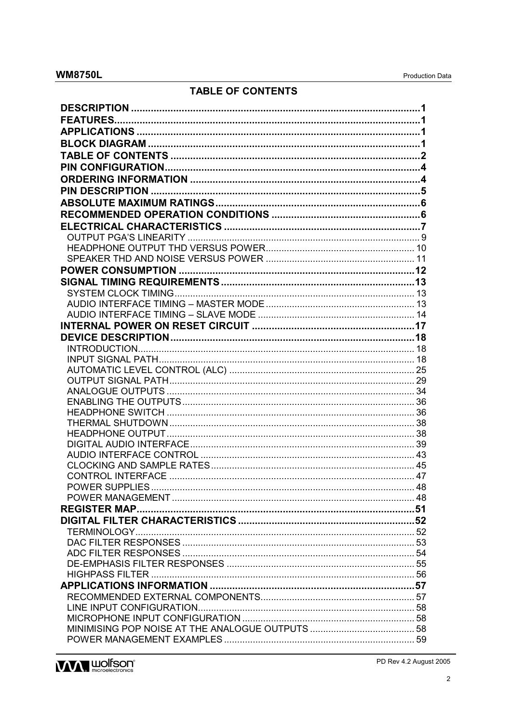# **TABLE OF CONTENTS**



PD Rev 4.2 August 2005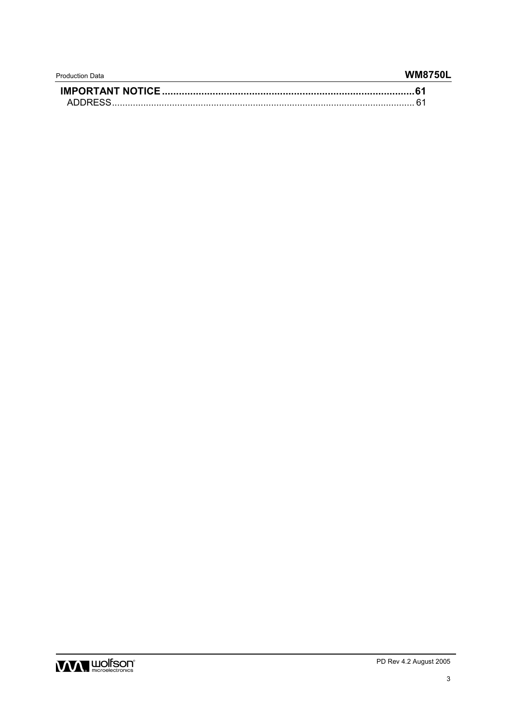| <b>Production Data</b> | <b>WM8750L</b> |
|------------------------|----------------|
|                        |                |
| ADDRESS.               |                |

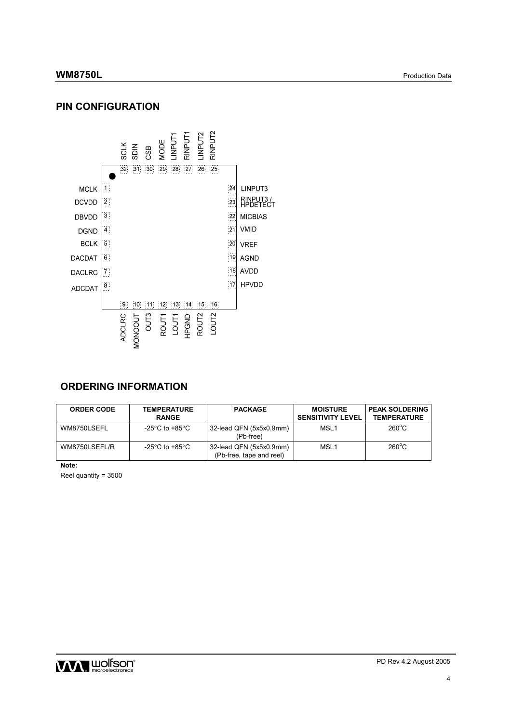# **PIN CONFIGURATION**



# **ORDERING INFORMATION**

| <b>ORDER CODE</b> | <b>TEMPERATURE</b><br><b>RANGE</b> | <b>PACKAGE</b>                                      | <b>MOISTURE</b><br><b>SENSITIVITY LEVEL</b> | <b>PEAK SOLDERING</b><br><b>TEMPERATURE</b> |
|-------------------|------------------------------------|-----------------------------------------------------|---------------------------------------------|---------------------------------------------|
| WM8750LSEFL       | -25°C to +85°C                     | 32-lead QFN (5x5x0.9mm)<br>(Pb-free)                | MSL1                                        | $260^{\circ}$ C                             |
| WM8750LSEFL/R     | -25°C to +85°C                     | 32-lead QFN (5x5x0.9mm)<br>(Pb-free, tape and reel) | MSL <sub>1</sub>                            | $260^{\circ}$ C                             |

**Note:** 

Reel quantity = 3500

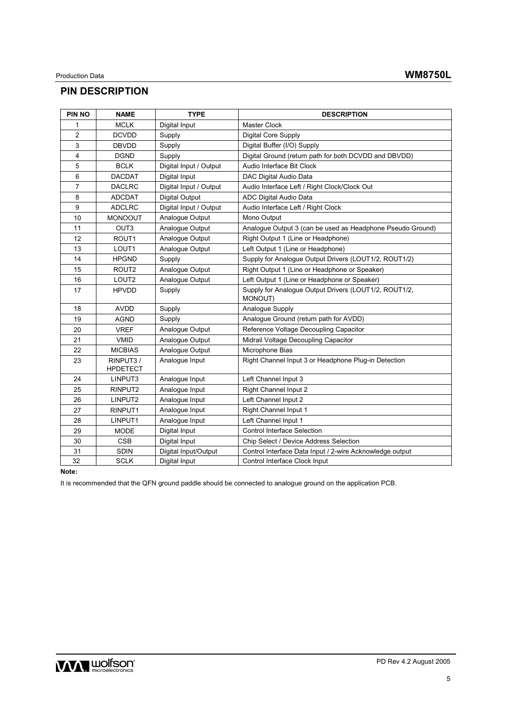# **PIN DESCRIPTION**

| <b>PIN NO</b>  | <b>NAME</b>                 | <b>TYPE</b>            | <b>DESCRIPTION</b>                                                      |
|----------------|-----------------------------|------------------------|-------------------------------------------------------------------------|
| 1              | <b>MCLK</b>                 | Digital Input          | Master Clock                                                            |
| 2              | <b>DCVDD</b>                | Supply                 | <b>Digital Core Supply</b>                                              |
| 3              | <b>DBVDD</b>                | Supply                 | Digital Buffer (I/O) Supply                                             |
| 4              | <b>DGND</b>                 | Supply                 | Digital Ground (return path for both DCVDD and DBVDD)                   |
| 5              | <b>BCLK</b>                 | Digital Input / Output | Audio Interface Bit Clock                                               |
| 6              | <b>DACDAT</b>               | Digital Input          | DAC Digital Audio Data                                                  |
| $\overline{7}$ | <b>DACLRC</b>               | Digital Input / Output | Audio Interface Left / Right Clock/Clock Out                            |
| 8              | <b>ADCDAT</b>               | <b>Digital Output</b>  | <b>ADC Digital Audio Data</b>                                           |
| 9              | <b>ADCLRC</b>               | Digital Input / Output | Audio Interface Left / Right Clock                                      |
| 10             | <b>MONOOUT</b>              | Analogue Output        | Mono Output                                                             |
| 11             | OUT <sub>3</sub>            | Analogue Output        | Analoque Output 3 (can be used as Headphone Pseudo Ground)              |
| 12             | ROUT1                       | Analogue Output        | Right Output 1 (Line or Headphone)                                      |
| 13             | LOUT1                       | Analogue Output        | Left Output 1 (Line or Headphone)                                       |
| 14             | <b>HPGND</b>                | Supply                 | Supply for Analoque Output Drivers (LOUT1/2, ROUT1/2)                   |
| 15             | ROUT2                       | Analogue Output        | Right Output 1 (Line or Headphone or Speaker)                           |
| 16             | LOUT <sub>2</sub>           | Analogue Output        | Left Output 1 (Line or Headphone or Speaker)                            |
| 17             | <b>HPVDD</b>                | Supply                 | Supply for Analoque Output Drivers (LOUT1/2, ROUT1/2,<br><b>MONOUT)</b> |
| 18             | <b>AVDD</b>                 | Supply                 | Analogue Supply                                                         |
| 19             | <b>AGND</b>                 | Supply                 | Analogue Ground (return path for AVDD)                                  |
| 20             | <b>VREF</b>                 | Analogue Output        | Reference Voltage Decoupling Capacitor                                  |
| 21             | <b>VMID</b>                 | Analogue Output        | Midrail Voltage Decoupling Capacitor                                    |
| 22             | <b>MICBIAS</b>              | Analogue Output        | Microphone Bias                                                         |
| 23             | RINPUT3/<br><b>HPDETECT</b> | Analogue Input         | Right Channel Input 3 or Headphone Plug-in Detection                    |
| 24             | LINPUT3                     | Analogue Input         | Left Channel Input 3                                                    |
| 25             | RINPUT2                     | Analogue Input         | Right Channel Input 2                                                   |
| 26             | LINPUT2                     | Analogue Input         | Left Channel Input 2                                                    |
| 27             | RINPUT1                     | Analogue Input         | Right Channel Input 1                                                   |
| 28             | LINPUT1                     | Analogue Input         | Left Channel Input 1                                                    |
| 29             | <b>MODE</b>                 | Digital Input          | <b>Control Interface Selection</b>                                      |
| 30             | <b>CSB</b>                  | Digital Input          | Chip Select / Device Address Selection                                  |
| 31             | <b>SDIN</b>                 | Digital Input/Output   | Control Interface Data Input / 2-wire Acknowledge output                |
| 32             | <b>SCLK</b>                 | Digital Input          | Control Interface Clock Input                                           |

# **Note:**

It is recommended that the QFN ground paddle should be connected to analogue ground on the application PCB.

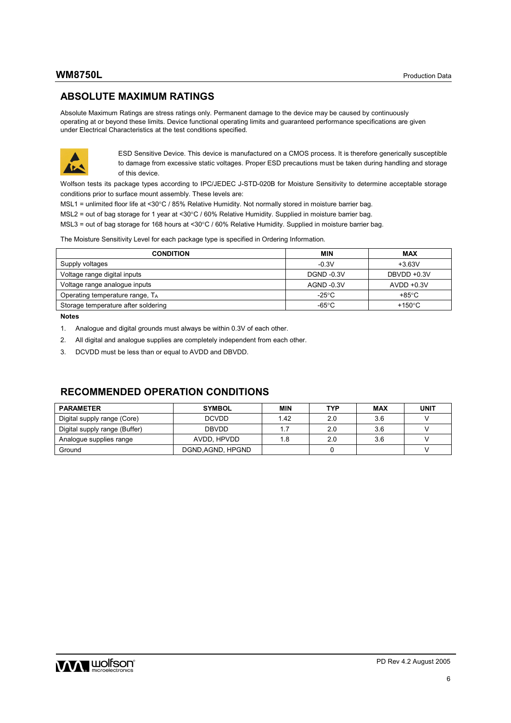# **ABSOLUTE MAXIMUM RATINGS**

Absolute Maximum Ratings are stress ratings only. Permanent damage to the device may be caused by continuously operating at or beyond these limits. Device functional operating limits and guaranteed performance specifications are given under Electrical Characteristics at the test conditions specified.



ESD Sensitive Device. This device is manufactured on a CMOS process. It is therefore generically susceptible to damage from excessive static voltages. Proper ESD precautions must be taken during handling and storage of this device.

Wolfson tests its package types according to IPC/JEDEC J-STD-020B for Moisture Sensitivity to determine acceptable storage conditions prior to surface mount assembly. These levels are:

- MSL1 = unlimited floor life at <30°C / 85% Relative Humidity. Not normally stored in moisture barrier bag.
- MSL2 = out of bag storage for 1 year at <30°C / 60% Relative Humidity. Supplied in moisture barrier bag.

MSL3 = out of bag storage for 168 hours at <30°C / 60% Relative Humidity. Supplied in moisture barrier bag.

The Moisture Sensitivity Level for each package type is specified in Ordering Information.

| <b>CONDITION</b>                            | MIN               | <b>MAX</b>                |
|---------------------------------------------|-------------------|---------------------------|
| Supply voltages                             | $-0.3V$           | $+3.63V$                  |
| Voltage range digital inputs                | <b>DGND -0.3V</b> | DBVDD +0.3V               |
| Voltage range analogue inputs               | AGND -0.3V        | $AVDD +0.3V$              |
| Operating temperature range, T <sub>A</sub> | $-25^{\circ}$ C   | +85°C                     |
| Storage temperature after soldering         | -65°C             | +150 $\mathrm{^{\circ}C}$ |

**Notes** 

- 1. Analogue and digital grounds must always be within 0.3V of each other.
- 2. All digital and analogue supplies are completely independent from each other.
- 3. DCVDD must be less than or equal to AVDD and DBVDD.

# **RECOMMENDED OPERATION CONDITIONS**

| <b>PARAMETER</b>              | <b>SYMBOL</b>     | <b>MIN</b> | <b>TYP</b> | <b>MAX</b> | UNIT |
|-------------------------------|-------------------|------------|------------|------------|------|
| Digital supply range (Core)   | <b>DCVDD</b>      | 1.42       | 2.0        | 3.6        |      |
| Digital supply range (Buffer) | <b>DBVDD</b>      | 1.7        | 2.0        | 3.6        |      |
| Analogue supplies range       | AVDD, HPVDD       | 1.8        | 2.0        | 3.6        |      |
| Ground                        | DGND, AGND, HPGND |            |            |            |      |

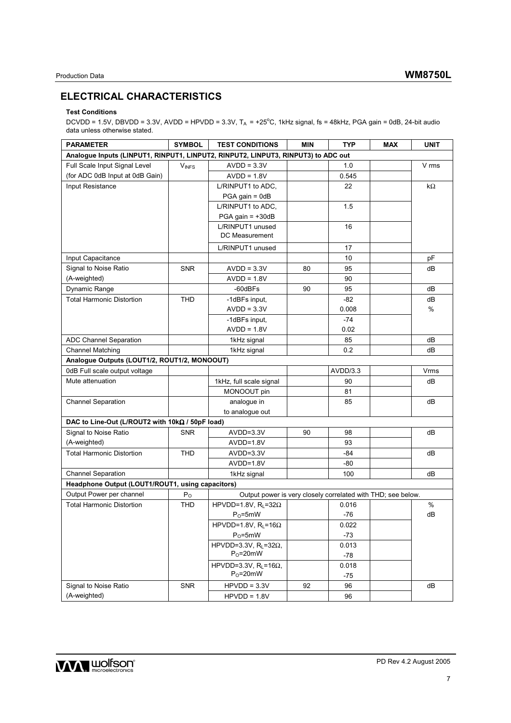# **ELECTRICAL CHARACTERISTICS**

## **Test Conditions**

DCVDD = 1.5V, DBVDD = 3.3V, AVDD = HPVDD = 3.3V, T<sub>A</sub> = +25°C, 1kHz signal, fs = 48kHz, PGA gain = 0dB, 24-bit audio data unless otherwise stated.

| <b>PARAMETER</b>                                                                  | <b>SYMBOL</b> | <b>TEST CONDITIONS</b>                                       | <b>MIN</b> | <b>TYP</b> | <b>MAX</b> | <b>UNIT</b> |
|-----------------------------------------------------------------------------------|---------------|--------------------------------------------------------------|------------|------------|------------|-------------|
| Analogue Inputs (LINPUT1, RINPUT1, LINPUT2, RINPUT2, LINPUT3, RINPUT3) to ADC out |               |                                                              |            |            |            |             |
| Full Scale Input Signal Level                                                     | <b>VINFS</b>  | $AVDD = 3.3V$                                                |            | 1.0        |            | V rms       |
| (for ADC 0dB Input at 0dB Gain)                                                   |               | $AVDD = 1.8V$                                                |            | 0.545      |            |             |
| Input Resistance                                                                  |               | L/RINPUT1 to ADC,                                            |            | 22         |            | kΩ          |
|                                                                                   |               | $PGA gain = OdB$                                             |            |            |            |             |
|                                                                                   |               | L/RINPUT1 to ADC,                                            |            | 1.5        |            |             |
|                                                                                   |               | $PGA gain = +30dB$                                           |            |            |            |             |
|                                                                                   |               | L/RINPUT1 unused                                             |            | 16         |            |             |
|                                                                                   |               | DC Measurement                                               |            |            |            |             |
|                                                                                   |               | L/RINPUT1 unused                                             |            | 17         |            |             |
| Input Capacitance                                                                 |               |                                                              |            | 10         |            | pF          |
| Signal to Noise Ratio                                                             | <b>SNR</b>    | $AVDD = 3.3V$                                                | 80         | 95         |            | dВ          |
| (A-weighted)                                                                      |               | $AVDD = 1.8V$                                                |            | 90         |            |             |
| Dynamic Range                                                                     |               | -60dBFs                                                      | 90         | 95         |            | dB          |
| <b>Total Harmonic Distortion</b>                                                  | <b>THD</b>    | -1dBFs input,                                                |            | -82        |            | dB          |
|                                                                                   |               | $AVDD = 3.3V$                                                |            | 0.008      |            | %           |
|                                                                                   |               | -1dBFs input,                                                |            | $-74$      |            |             |
|                                                                                   |               | $AVDD = 1.8V$                                                |            | 0.02       |            |             |
| <b>ADC Channel Separation</b>                                                     |               | 1kHz signal                                                  |            | 85         |            | dB          |
| <b>Channel Matching</b>                                                           |               | 1kHz signal                                                  |            | 0.2        |            | dВ          |
| Analogue Outputs (LOUT1/2, ROUT1/2, MONOOUT)                                      |               |                                                              |            |            |            |             |
| 0dB Full scale output voltage                                                     |               |                                                              |            | AVDD/3.3   |            | Vrms        |
| Mute attenuation                                                                  |               | 1kHz, full scale signal                                      |            | 90         |            | dВ          |
|                                                                                   |               | MONOOUT pin                                                  |            | 81         |            |             |
| <b>Channel Separation</b>                                                         |               | analogue in                                                  |            | 85         |            | dВ          |
|                                                                                   |               | to analogue out                                              |            |            |            |             |
| DAC to Line-Out (L/ROUT2 with 10kΩ / 50pF load)                                   |               |                                                              |            |            |            |             |
| Signal to Noise Ratio                                                             | <b>SNR</b>    | AVDD=3.3V                                                    | 90         | 98         |            | dB          |
| (A-weighted)                                                                      |               | AVDD=1.8V                                                    |            | 93         |            |             |
| <b>Total Harmonic Distortion</b>                                                  | <b>THD</b>    | $AVDD=3.3V$                                                  |            | -84        |            | dВ          |
|                                                                                   |               | AVDD=1.8V                                                    |            | $-80$      |            |             |
| <b>Channel Separation</b>                                                         |               | 1kHz signal                                                  |            | 100        |            | dВ          |
| Headphone Output (LOUT1/ROUT1, using capacitors)                                  |               |                                                              |            |            |            |             |
| Output Power per channel                                                          | $P_{O}$       | Output power is very closely correlated with THD; see below. |            |            |            |             |
| <b>Total Harmonic Distortion</b>                                                  | <b>THD</b>    | HPVDD=1.8V, $R_L$ =32 $\Omega$                               |            | 0.016      |            | %           |
|                                                                                   |               | $P_0 = 5mW$                                                  |            | -76        |            | dB          |
|                                                                                   |               | HPVDD=1.8V, $R_L$ =16 $\Omega$                               |            | 0.022      |            |             |
|                                                                                   |               | $P_0 = 5mW$                                                  |            | $-73$      |            |             |
|                                                                                   |               | HPVDD=3.3V, $R_L$ =32 $\Omega$ ,                             |            | 0.013      |            |             |
|                                                                                   |               | $P_0 = 20$ mW                                                |            | -78        |            |             |
|                                                                                   |               | HPVDD=3.3V, $R_L$ =16 $\Omega$ ,                             |            | 0.018      |            |             |
|                                                                                   |               | $P_0 = 20$ mW                                                |            | -75        |            |             |
| Signal to Noise Ratio                                                             | SNR           | $HPVDD = 3.3V$                                               | 92         | 96         |            | dВ          |
| (A-weighted)                                                                      |               | $HPVDD = 1.8V$                                               |            | 96         |            |             |

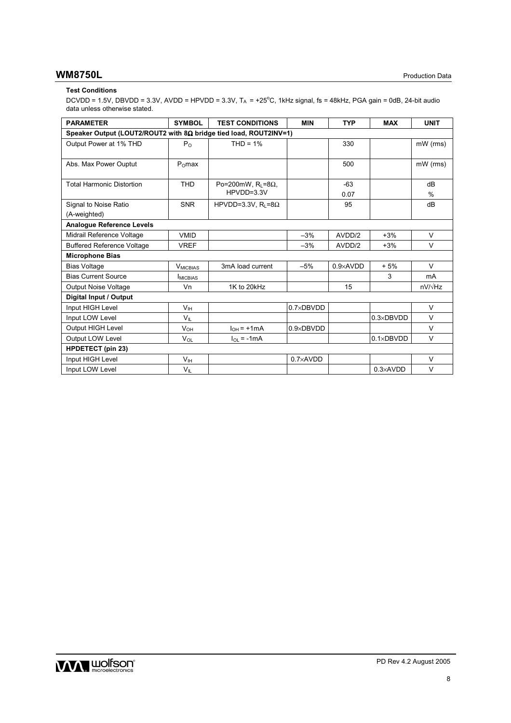# **WM8750L** Production Data

## **Test Conditions**

DCVDD = 1.5V, DBVDD = 3.3V, AVDD = HPVDD = 3.3V, T<sub>A</sub> = +25°C, 1kHz signal, fs = 48kHz, PGA gain = 0dB, 24-bit audio data unless otherwise stated.

| <b>PARAMETER</b>                                                         | <b>SYMBOL</b>    | <b>TEST CONDITIONS</b>      | <b>MIN</b>         | <b>TYP</b>        | <b>MAX</b>         | <b>UNIT</b>    |
|--------------------------------------------------------------------------|------------------|-----------------------------|--------------------|-------------------|--------------------|----------------|
| Speaker Output (LOUT2/ROUT2 with $8\Omega$ bridge tied load, ROUT2INV=1) |                  |                             |                    |                   |                    |                |
| Output Power at 1% THD                                                   | P <sub>0</sub>   | $THD = 1%$                  |                    | 330               |                    | mW (rms)       |
|                                                                          |                  |                             |                    |                   |                    |                |
| Abs. Max Power Ouptut                                                    | $P0$ max         |                             |                    | 500               |                    | mW (rms)       |
|                                                                          |                  |                             |                    |                   |                    |                |
| <b>Total Harmonic Distortion</b>                                         | <b>THD</b>       | Po=200mW, $R_1 = 8\Omega$ , |                    | $-63$             |                    | dB             |
|                                                                          |                  | HPVDD=3.3V                  |                    | 0.07              |                    | $\%$           |
| Signal to Noise Ratio                                                    | <b>SNR</b>       | HPVDD=3.3V, $R1 = 8\Omega$  |                    | 95                |                    | dB             |
| (A-weighted)                                                             |                  |                             |                    |                   |                    |                |
| <b>Analoque Reference Levels</b>                                         |                  |                             |                    |                   |                    |                |
| Midrail Reference Voltage                                                | <b>VMID</b>      |                             | $-3%$              | AVDD/2            | $+3%$              | V              |
| <b>Buffered Reference Voltage</b>                                        | <b>VREF</b>      |                             | $-3%$              | AVDD/2            | $+3%$              | V              |
| <b>Microphone Bias</b>                                                   |                  |                             |                    |                   |                    |                |
| <b>Bias Voltage</b>                                                      | <b>V</b> MICBIAS | 3mA load current            | $-5%$              | $0.9 \times$ AVDD | $+5%$              | $\vee$         |
| <b>Bias Current Source</b>                                               | <b>IMICBIAS</b>  |                             |                    |                   | 3                  | mA             |
| <b>Output Noise Voltage</b>                                              | Vn               | 1K to 20kHz                 |                    | 15                |                    | $nV/\sqrt{Hz}$ |
| Digital Input / Output                                                   |                  |                             |                    |                   |                    |                |
| Input HIGH Level                                                         | V <sub>IH</sub>  |                             | $0.7 \times$ DBVDD |                   |                    | $\vee$         |
| Input LOW Level                                                          | $V_{\parallel}$  |                             |                    |                   | $0.3 \times$ DBVDD | V              |
| Output HIGH Level                                                        | $V_{OH}$         | $I_{OH}$ = +1mA             | $0.9 \times$ DBVDD |                   |                    | $\vee$         |
| Output LOW Level                                                         | $V_{OL}$         | $I_{\Omega}$ = -1mA         |                    |                   | $0.1 \times DBVDD$ | V              |
| <b>HPDETECT</b> (pin 23)                                                 |                  |                             |                    |                   |                    |                |
| Input HIGH Level                                                         | V <sub>IH</sub>  |                             | $0.7\times$ AVDD   |                   |                    | V              |
| Input LOW Level                                                          | $V_{IL}$         |                             |                    |                   | $0.3 \times$ AVDD  | $\vee$         |

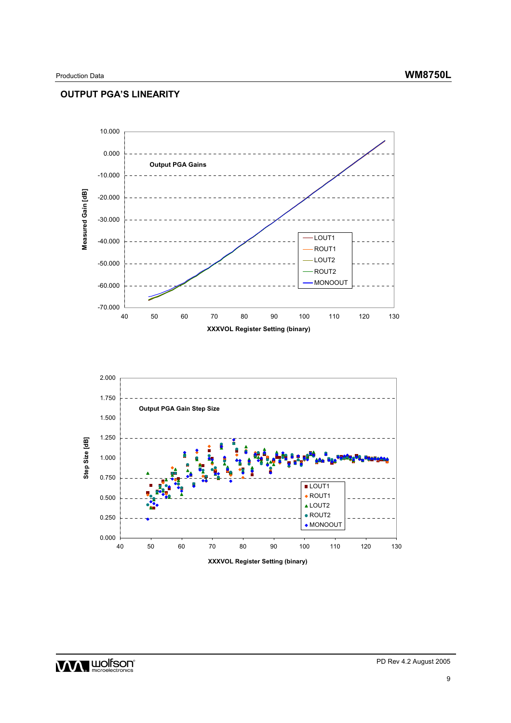# **OUTPUT PGA'S LINEARITY**

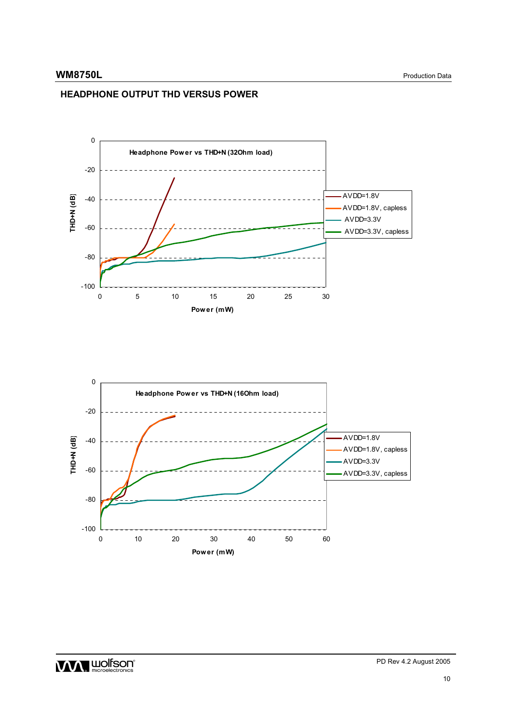# **HEADPHONE OUTPUT THD VERSUS POWER**

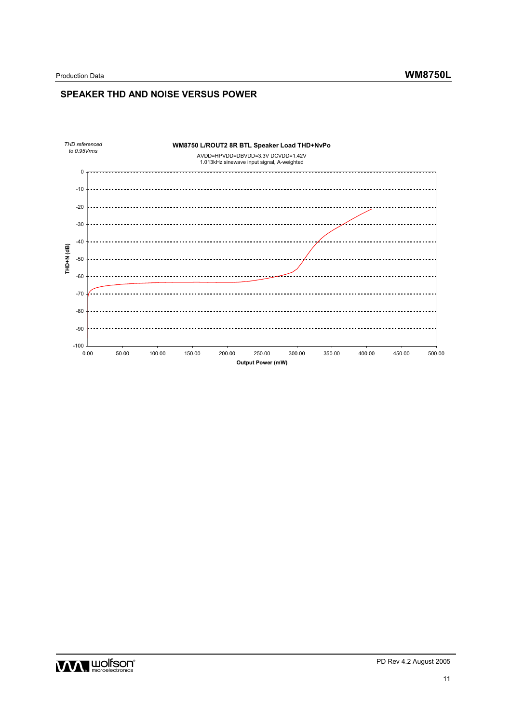# **SPEAKER THD AND NOISE VERSUS POWER**



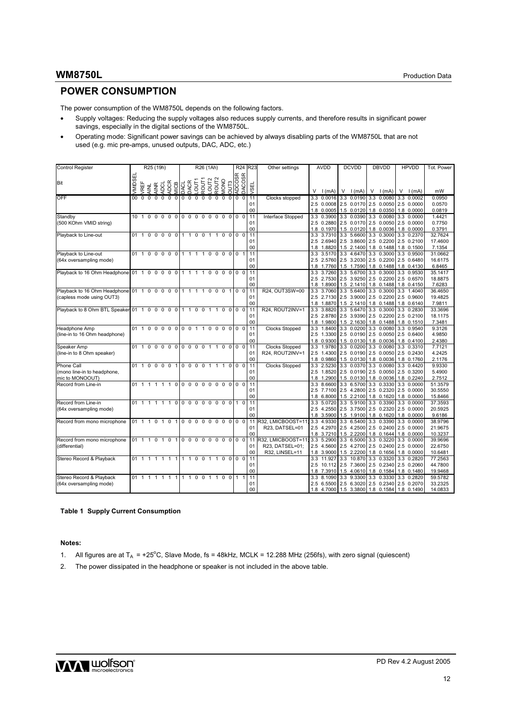# **WM8750L** Production Data

# **POWER CONSUMPTION**

The power consumption of the WM8750L depends on the following factors.

- Supply voltages: Reducing the supply voltages also reduces supply currents, and therefore results in significant power savings, especially in the digital sections of the WM8750L.
- Operating mode: Significant power savings can be achieved by always disabling parts of the WM8750L that are not used (e.g. mic pre-amps, unused outputs, DAC, ADC, etc.)

| Control Register                                                         |                 |                                    |                | R25 (19h)                      |                 |                |              |                       |              | R26 (1Ah)                              |             |                |                |                          | R24 R23        | Other settings                                         |     | <b>AVDD</b>                                                                                                                               | <b>DCVDD</b>                            | <b>DBVDD</b>       | <b>HPVDD</b>             | Tot. Power                    |
|--------------------------------------------------------------------------|-----------------|------------------------------------|----------------|--------------------------------|-----------------|----------------|--------------|-----------------------|--------------|----------------------------------------|-------------|----------------|----------------|--------------------------|----------------|--------------------------------------------------------|-----|-------------------------------------------------------------------------------------------------------------------------------------------|-----------------------------------------|--------------------|--------------------------|-------------------------------|
| Bit                                                                      | <b>MIDSEL</b>   | <b>/REF</b>                        | <b>AINL</b>    | ADCL<br>$\widetilde{\Xi}$<br>ਤ | <b>ADCR</b>     | MICB           |              | DACL<br>DACR<br>LOUT1 | ROUT1        | ROUT <sub>2</sub><br>LOUT <sub>2</sub> | <b>MONO</b> |                |                | OUT3<br>ADCOSR<br>DACOSR | ᇳ<br>ত্        |                                                        |     | $V \mid (mA)$                                                                                                                             | $V \mid (mA)$                           | $V \mid (mA) \mid$ | $V \mid (mA)$            | mW                            |
| OFF                                                                      | 00 <sub>1</sub> | $\Omega$                           | $\Omega$       | $\Omega$                       | $0\quad0\quad0$ |                |              | 00000000              |              |                                        |             |                | $\mathbf 0$    | $\mathbf 0$              | 11<br>01<br>00 | Clocks stopped                                         | 3.3 | 2.5 0.0008 2.5 0.0170 2.5 0.0050 2.5 0.0000<br>1.8 0.0005 1.5 0.0120 1.8 0.0350 1.8 0.0000                                                | $0.0016$ 3.3 0.0190                     | 3.3 0.0080         | 3.3 0.0002               | 0.0950<br>0.0570<br>0.0819    |
| Standby<br>(500 KOhm VMID string)                                        |                 | 101000000000000000                 |                |                                |                 |                |              |                       |              |                                        |             |                |                | $\Omega$                 | 11<br>01<br>00 | Interface Stopped                                      | 3.3 | 2.5 0.2880 2.5 0.0170 2.5 0.0050 2.5 0.0000<br>1.8 0.1970 1.5 0.0120 1.8 0.0036 1.8 0.0000                                                | 0.3900 3.3 0.0390 3.3 0.0080 3.3 0.0000 |                    |                          | 1.4421<br>0.7750<br>0.3791    |
| Playback to Line-out                                                     |                 | 01 1 0 0 0 0 0                     |                |                                |                 |                |              | 1100110000            |              |                                        |             |                |                |                          | 11<br>01<br>00 |                                                        |     | 3.3 3.7310 3.3 5.6600 3.3 0.3000<br>2.5 2.6940 2.5 3.8600 2.5 0.2200 2.5 0.2100<br>1.8 1.8820 1.5 2.1400 1.8 0.1488 1.8 0.1500            |                                         |                    | 3.3 0.2370               | 32.7624<br>17.4600<br>7.1354  |
| Playback to Line-out<br>(64x oversampling mode)                          |                 | 01 1 0 0 0 0 0                     |                |                                |                 |                |              | 1 1 1 1 0 0 0 0 0 1   |              |                                        |             |                |                |                          | 11<br>01<br>00 |                                                        |     | 3.3 3.5170 3.3 4.6470 3.3 0.3000 3.3 0.9500<br>2.5 2.5760 2.5 3.2030 2.5 0.2200 2.5 0.6480<br>1.8 1.7760 1.5 1.7590 1.8 0.1488 1.8 0.4130 |                                         |                    |                          | 31.0662<br>16.6175<br>6.8465  |
| Playback to 16 Ohm Headphone 01 1 0 0 0 0                                |                 |                                    |                |                                |                 | $\mathbf 0$    | $\mathbf{1}$ | $1\quad1$             | $\mathbf{1}$ | $\mathbf 0$<br>$\mathbf 0$             | $\Omega$    |                | 0 <sub>0</sub> | $\Omega$                 | 11<br>01<br>00 |                                                        | 3.3 | 2.5 2.7530 2.5 3.9250 2.5 0.2200 2.5 0.6570<br>1.8 1.8900 1.5 2.1410 1.8 0.1488 1.8 0.4150                                                | 3.7260 3.3 5.6700 3.3 0.3000 3.3 0.9530 |                    |                          | 35.1417<br>18.8875<br>7.6283  |
| Playback to 16 Ohm Headphone 01 1 0 0 0 0 0<br>(capless mode using OUT3) |                 |                                    |                |                                |                 |                |              | 1 1 1 1 0 0 0 1       |              |                                        |             |                |                | 0 <sub>0</sub>           | 11<br>01<br>00 | R24, OUT3SW=00                                         |     | 3.3 3.7060 3.3 5.6400 3.3 0.3000 3.3 1.4040<br>2.5 2.7130 2.5 3.9000 2.5 0.2200 2.5 0.9600<br>1.8 1.8870 1.5 2.1410 1.8 0.1488 1.8 0.6140 |                                         |                    |                          | 36.4650<br>19.4825<br>7.9811  |
| Playback to 8 Ohm BTL Speaker 01 1 0 0 0 0 0 1 1 0 0 1 1 0 0 0 0 0       |                 |                                    |                |                                |                 |                |              |                       |              |                                        |             |                |                |                          | 11<br>01<br>00 | R24, ROUT2INV=1                                        |     | 3.3 3.8820 3.3 5.6470<br>2.5 2.8780 2.5 3.9390 2.5 0.2200 2.5 0.2100<br>1.8 1.9800 1.5 2.1630 1.8 0.1488 1.8 0.1510                       |                                         | 3.3 0.3000         | 3.3 0.2830               | 33.3696<br>18.1175<br>7.3481  |
| Headphone Amp<br>(line-in to 16 Ohm headphone)                           |                 | 01 1 0 0 0 0 0 0 0 1 1 0 0 0 0 0 0 |                |                                |                 |                |              |                       |              |                                        |             |                |                |                          | 11<br>01<br>00 | <b>Clocks Stopped</b>                                  |     | 3.3 1.8400 3.3 0.0200 3.3 0.0080 3.3 0.9540<br>2.5 1.3300 2.5 0.0190 2.5 0.0050 2.5 0.6400<br>1.8 0.9300 1.5 0.0130 1.8 0.0036 1.8 0.4100 |                                         |                    |                          | 9.3126<br>4.9850<br>2.4380    |
| Speaker Amp<br>(line-in to 8 Ohm speaker)                                |                 | 01 1 0 0 0 0                       |                |                                |                 | $\mathbf 0$    |              | 0000                  |              | 1 1                                    | $\mathbf 0$ | $\Omega$       | $\Omega$       | $\Omega$                 | 11<br>01<br>00 | <b>Clocks Stopped</b><br>R24, ROUT2INV=1               |     | 3.3 1.9780 3.3 0.0200 3.3 0.0080 3.3 0.3310<br>2.5 1.4300 2.5 0.0190 2.5 0.0050 2.5 0.2430<br>1.8 0.9860 1.5 0.0130 1.8 0.0036 1.8 0.1760 |                                         |                    |                          | 7.7121<br>4.2425<br>2.1176    |
| Phone Call<br>(mono line-in to headphone,<br>mic to MONOOUT)             |                 | 01 1                               |                | 0 0 0 0 1 0 0 0 0 1 1 1        |                 |                |              |                       |              |                                        |             | $\overline{0}$ | $\mathbf 0$    | $\overline{0}$           | 11<br>01<br>00 | <b>Clocks Stopped</b>                                  | 3.3 | 2.5 1.8520 2.5 0.0190 2.5 0.0050 2.5 0.3200<br>1.8 1.2900 1.5 0.0130 1.8 0.0036                                                           | 2.5230 3.3 0.0370 3.3 0.0080            |                    | 3.3 0.4420<br>1.8 0.2240 | 9.9330<br>5.4900<br>2.7512    |
| Record from Line-in                                                      |                 | 011                                | $\overline{1}$ | 1 1 1                          |                 | $\mathbf 0$    |              | 000000                |              |                                        |             | $00$ 0         |                | $\Omega$                 | 11<br>01<br>00 |                                                        | 3.3 | 2.5 7.7100 2.5 4.2800 2.5 0.2320 2.5 0.0000<br>1.8 6.8000 1.5 2.2100 1.8 0.1620                                                           | 8.6600 3.3 6.5700 3.3 0.3330 3.3 0.0000 |                    | 1.8 0.0000               | 51.3579<br>30.5550<br>15.8466 |
| Record from Line-in<br>(64x oversampling mode)                           |                 | 01 1 1 1 1 1 0                     |                |                                |                 |                |              | 00000000110           |              |                                        |             |                |                |                          | 11<br>01<br>00 |                                                        |     | 3.3 5.0720 3.3 5.9100 3.3 0.3390<br>2.5 4.2550 2.5 3.7500 2.5 0.2320 2.5 0.0000<br>1.8 3.5900 1.5 1.9100 1.8 0.1620 1.8 0.0000            |                                         |                    | 3.3 0.0000               | 37.3593<br>20.5925<br>9.6186  |
| Record from mono microphone                                              |                 | 01 1 1 0 1 0                       |                |                                |                 | $\mathbf{1}$   |              | 000000000000          |              |                                        |             |                |                |                          | 11<br>01<br>00 | R32, LMICBOOST=11;<br>R23, DATSEL=01                   |     | 3.3 4.9330 3.3 6.5400 3.3 0.3390 3.3 0.0000<br>2.5 4.2970 2.5 4.2500 2.5 0.2400 2.5 0.0000<br>1.8 3.7210 1.5 2.2200 1.8 0.1644 1.8 0.0000 |                                         |                    |                          | 38.9796<br>21.9675<br>10.3237 |
| Record from mono microphone<br>(differential)                            |                 | 01 1 1 0 1 0 1 0 0 0 0             |                |                                |                 |                |              |                       |              |                                        |             | 0000000        |                |                          | 11<br>01<br>00 | R32, LMICBOOST=11<br>R23, DATSEL=01;<br>R32, LINSEL=11 |     | 3.3 5.2900 3.3 6.5000 3.3 0.3220<br>2.5 4.5600 2.5 4.2700 2.5 0.2400 2.5 0.0000<br>1.8 3.9000 1.5 2.2200 1.8 0.1656 1.8 0.0000            |                                         |                    | 3.3 0.0000               | 39.9696<br>22.6750<br>10.6481 |
| Stereo Record & Playback                                                 |                 | 01 1 1 1 1 1                       |                |                                |                 | $\overline{1}$ |              | 11001100              |              |                                        |             |                |                | 0 <sub>0</sub>           | 11<br>01<br>00 |                                                        | 3.3 | 2.5 10.112 2.5 7.3600 2.5 0.2340 2.5 0.2060<br>1.8 7.3910 1.5 4.0610 1.8 0.1584                                                           | 11.927 3.3 10.870 3.3 0.3320 3.3 0.2820 |                    | 1.8 0.1480               | 77.2563<br>44.7800<br>19.9468 |
| Stereo Record & Playback<br>(64x oversampling mode)                      |                 | 01 1 1 1 1 1 1 1 1 0 0 1 1 0 0 1 1 |                |                                |                 |                |              |                       |              |                                        |             |                |                |                          | 11<br>01<br>00 |                                                        |     | 3.3 8.1090 3.3 9.3300 3.3 0.3330<br>2.5 6.5500 2.5 6.3020 2.5 0.2340 2.5 0.2070<br>1.8 4.7000 1.5 3.3800 1.8 0.1584 1.8 0.1490            |                                         |                    | 3.3 0.2820               | 59.5782<br>33.2325<br>14.0833 |

**Table 1 Supply Current Consumption** 

**Notes:** 

- 1. All figures are at  $T_A = +25^{\circ}\text{C}$ , Slave Mode, fs = 48kHz, MCLK = 12.288 MHz (256fs), with zero signal (quiescent)
- 2. The power dissipated in the headphone or speaker is not included in the above table.

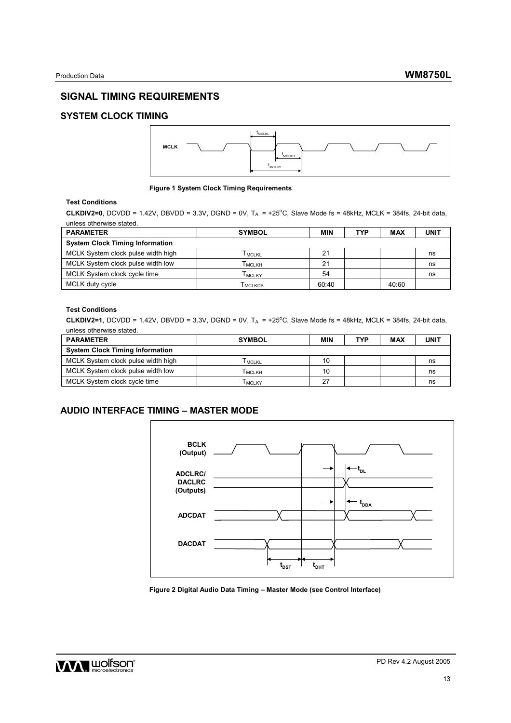# **SIGNAL TIMING REQUIREMENTS**

# **SYSTEM CLOCK TIMING**



#### **Figure 1 System Clock Timing Requirements**

## **Test Conditions**

**CLKDIV2=0**, DCVDD = 1.42V, DBVDD = 3.3V, DGND = 0V,  $T_A$  = +25 $^{\circ}$ C, Slave Mode fs = 48kHz, MCLK = 384fs, 24-bit data, unless otherwise stated.

| <b>PARAMETER</b>                       | <b>SYMBOL</b>  | MIN   | TYP | MAX   | UNIT |
|----------------------------------------|----------------|-------|-----|-------|------|
| <b>System Clock Timing Information</b> |                |       |     |       |      |
| MCLK System clock pulse width high     | <b>I</b> MCLKL | 21    |     |       | ns   |
| MCLK System clock pulse width low      | <b>І</b> мськн | 21    |     |       | ns   |
| MCLK System clock cycle time           | Тмс∟кү         | 54    |     |       | ns   |
| MCLK duty cycle                        | I MCLKDS       | 60:40 |     | 40:60 |      |

### **Test Conditions**

**CLKDIV2=1**, DCVDD = 1.42V, DBVDD = 3.3V, DGND = 0V,  $T_A$  = +25°C, Slave Mode fs = 48kHz, MCLK = 384fs, 24-bit data, unless otherwise stated.

| <b>PARAMETER</b>                       | <b>SYMBOL</b> | MIN | TYP | MAX | <b>UNIT</b> |
|----------------------------------------|---------------|-----|-----|-----|-------------|
| <b>System Clock Timing Information</b> |               |     |     |     |             |
| MCLK System clock pulse width high     | I MCLKL       | 10  |     |     | ns          |
| MCLK System clock pulse width low      | Тмс∟кн        | 10  |     |     | ns          |
| MCLK System clock cycle time           | I MCLKY       | -27 |     |     | ns          |

# **AUDIO INTERFACE TIMING – MASTER MODE**



**Figure 2 Digital Audio Data Timing – Master Mode (see Control Interface)** 

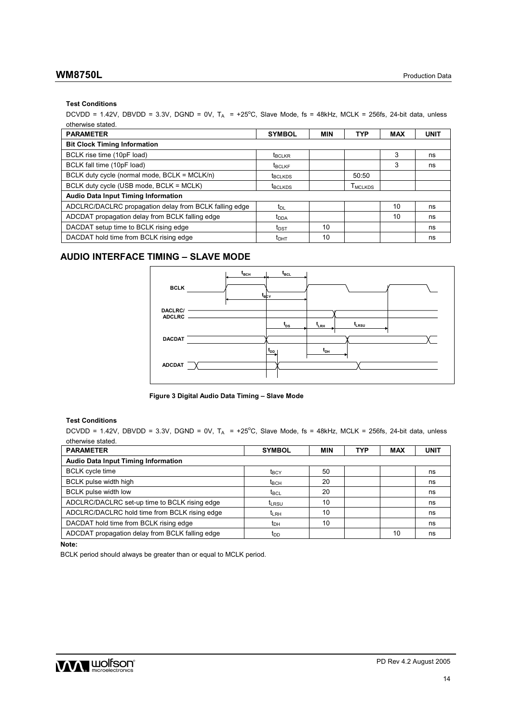### **Test Conditions**

 $DCVDD = 1.42V$ ,  $DBVDD = 3.3V$ ,  $DGND = 0V$ ,  $T_A = +25^{\circ}C$ , Slave Mode, fs = 48kHz, MCLK = 256fs, 24-bit data, unless otherwise stated.

| <b>PARAMETER</b>                                       | <b>SYMBOL</b>             | <b>MIN</b> | <b>TYP</b>          | <b>MAX</b> | <b>UNIT</b> |
|--------------------------------------------------------|---------------------------|------------|---------------------|------------|-------------|
| <b>Bit Clock Timing Information</b>                    |                           |            |                     |            |             |
| BCLK rise time (10pF load)                             | <b>t</b> <sub>BCLKR</sub> |            |                     | 3          | ns          |
| BCLK fall time (10pF load)                             | <b>t</b> <sub>BCLKF</sub> |            |                     | 3          | ns          |
| BCLK duty cycle (normal mode, BCLK = MCLK/n)           | <b>t</b> BCLKDS           |            | 50:50               |            |             |
| BCLK duty cycle (USB mode, BCLK = MCLK)                | <b>t</b> BCLKDS           |            | T <sub>MCLKDS</sub> |            |             |
| <b>Audio Data Input Timing Information</b>             |                           |            |                     |            |             |
| ADCLRC/DACLRC propagation delay from BCLK falling edge | t <sub>DL</sub>           |            |                     | 10         | ns          |
| ADCDAT propagation delay from BCLK falling edge        | <b>t</b> <sub>DDA</sub>   |            |                     | 10         | ns          |
| DACDAT setup time to BCLK rising edge                  | $t_{\text{DST}}$          | 10         |                     |            | ns          |
| DACDAT hold time from BCLK rising edge                 | t <sub>DHT</sub>          | 10         |                     |            | ns          |

# **AUDIO INTERFACE TIMING – SLAVE MODE**



**Figure 3 Digital Audio Data Timing – Slave Mode** 

### **Test Conditions**

DCVDD = 1.42V, DBVDD = 3.3V, DGND = 0V,  $T_A$  = +25°C, Slave Mode, fs = 48kHz, MCLK = 256fs, 24-bit data, unless otherwise stated.

| <b>PARAMETER</b>                                | <b>SYMBOL</b>      | MIN | TYP | MAX | <b>UNIT</b> |  |  |  |  |
|-------------------------------------------------|--------------------|-----|-----|-----|-------------|--|--|--|--|
| <b>Audio Data Input Timing Information</b>      |                    |     |     |     |             |  |  |  |  |
| <b>BCLK</b> cycle time                          | t <sub>BCY</sub>   | 50  |     |     | ns          |  |  |  |  |
| BCLK pulse width high                           | $t_{\text{BCH}}$   | 20  |     |     | ns          |  |  |  |  |
| <b>BCLK</b> pulse width low                     | $t_{\mathsf{BCL}}$ | 20  |     |     | ns          |  |  |  |  |
| ADCLRC/DACLRC set-up time to BCLK rising edge   | t <sub>LRSU</sub>  | 10  |     |     | ns          |  |  |  |  |
| ADCLRC/DACLRC hold time from BCLK rising edge   | $t_{LRH}$          | 10  |     |     | ns          |  |  |  |  |
| DACDAT hold time from BCLK rising edge          | $t_{DH}$           | 10  |     |     | ns          |  |  |  |  |
| ADCDAT propagation delay from BCLK falling edge | t <sub>DD</sub>    |     |     | 10  | ns          |  |  |  |  |

**Note:** 

BCLK period should always be greater than or equal to MCLK period.

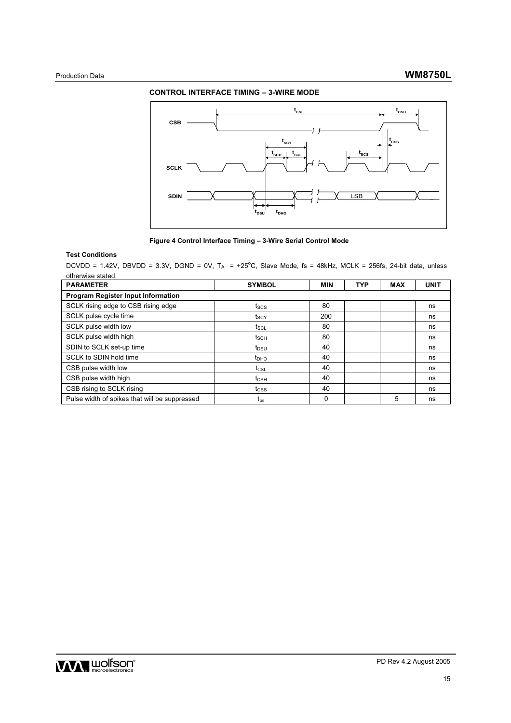## **CONTROL INTERFACE TIMING – 3-WIRE MODE**



### **Figure 4 Control Interface Timing – 3-Wire Serial Control Mode**

### **Test Conditions**

 $DCVDD = 1.42V$ ,  $DBVDD = 3.3V$ ,  $DGND = 0V$ ,  $T_A = +25^{\circ}C$ , Slave Mode, fs = 48kHz, MCLK = 256fs, 24-bit data, unless otherwise stated.

| <b>PARAMETER</b>                              | <b>SYMBOL</b>    | <b>MIN</b> | <b>TYP</b> | <b>MAX</b> | <b>UNIT</b> |  |  |  |
|-----------------------------------------------|------------------|------------|------------|------------|-------------|--|--|--|
| <b>Program Register Input Information</b>     |                  |            |            |            |             |  |  |  |
| SCLK rising edge to CSB rising edge           | tscs             | 80         |            |            | ns          |  |  |  |
| SCLK pulse cycle time                         | t <sub>scy</sub> | 200        |            |            | ns          |  |  |  |
| SCLK pulse width low                          | t <sub>SCL</sub> | 80         |            |            | ns          |  |  |  |
| SCLK pulse width high                         | t <sub>SCH</sub> | 80         |            |            | ns          |  |  |  |
| SDIN to SCLK set-up time                      | t <sub>DSU</sub> | 40         |            |            | ns          |  |  |  |
| SCLK to SDIN hold time                        | $t_{DHO}$        | 40         |            |            | ns          |  |  |  |
| CSB pulse width low                           | $t_{\text{CSL}}$ | 40         |            |            | ns          |  |  |  |
| CSB pulse width high                          | $t_{\text{CSH}}$ | 40         |            |            | ns          |  |  |  |
| CSB rising to SCLK rising                     | tcss             | 40         |            |            | ns          |  |  |  |
| Pulse width of spikes that will be suppressed | $t_{\rm ps}$     | 0          |            | 5          | ns          |  |  |  |

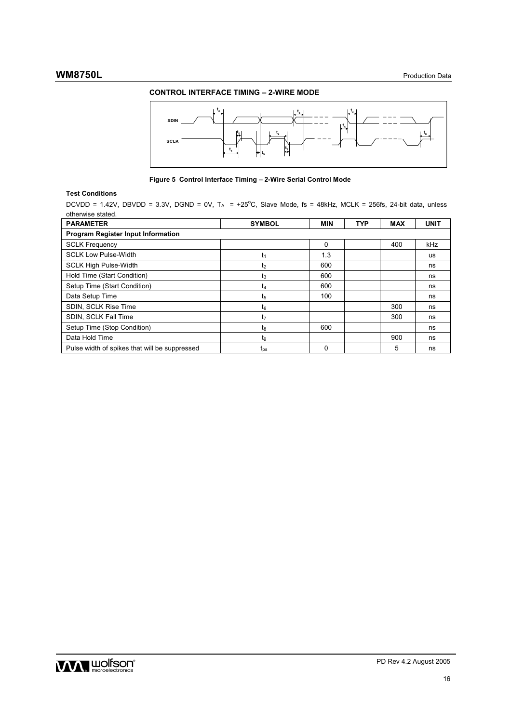# **CONTROL INTERFACE TIMING – 2-WIRE MODE**



**Figure 5 Control Interface Timing – 2-Wire Serial Control Mode** 

## **Test Conditions**

DCVDD = 1.42V, DBVDD = 3.3V, DGND = 0V,  $T_A$  = +25°C, Slave Mode, fs = 48kHz, MCLK = 256fs, 24-bit data, unless otherwise stated.

| <b>PARAMETER</b>                              | <b>SYMBOL</b>   | <b>MIN</b> | TYP | <b>MAX</b> | <b>UNIT</b> |  |  |  |  |
|-----------------------------------------------|-----------------|------------|-----|------------|-------------|--|--|--|--|
| <b>Program Register Input Information</b>     |                 |            |     |            |             |  |  |  |  |
| <b>SCLK Frequency</b>                         |                 | $\Omega$   |     | 400        | kHz         |  |  |  |  |
| <b>SCLK Low Pulse-Width</b>                   | t1              | 1.3        |     |            | <b>us</b>   |  |  |  |  |
| <b>SCLK High Pulse-Width</b>                  | t2              | 600        |     |            | ns          |  |  |  |  |
| Hold Time (Start Condition)                   | t3              | 600        |     |            | ns          |  |  |  |  |
| Setup Time (Start Condition)                  | t4              | 600        |     |            | ns          |  |  |  |  |
| Data Setup Time                               | t5              | 100        |     |            | ns          |  |  |  |  |
| SDIN, SCLK Rise Time                          | $t_6$           |            |     | 300        | ns          |  |  |  |  |
| SDIN, SCLK Fall Time                          | t7              |            |     | 300        | ns          |  |  |  |  |
| Setup Time (Stop Condition)                   | tg              | 600        |     |            | ns          |  |  |  |  |
| Data Hold Time                                | t9              |            |     | 900        | ns          |  |  |  |  |
| Pulse width of spikes that will be suppressed | $t_{\text{DS}}$ | 0          |     | 5          | ns          |  |  |  |  |

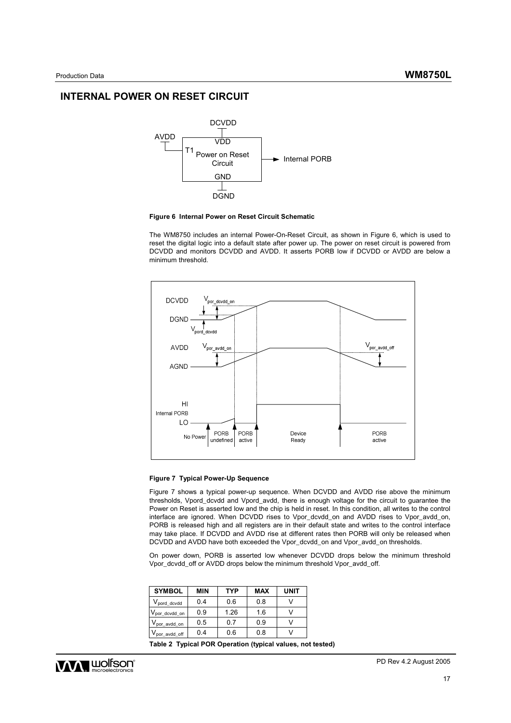## **INTERNAL POWER ON RESET CIRCUIT**



#### **Figure 6 Internal Power on Reset Circuit Schematic**

The WM8750 includes an internal Power-On-Reset Circuit, as shown in Figure 6, which is used to reset the digital logic into a default state after power up. The power on reset circuit is powered from DCVDD and monitors DCVDD and AVDD. It asserts PORB low if DCVDD or AVDD are below a minimum threshold.



#### **Figure 7 Typical Power-Up Sequence**

Figure 7 shows a typical power-up sequence. When DCVDD and AVDD rise above the minimum thresholds, Vpord\_dcvdd and Vpord\_avdd, there is enough voltage for the circuit to guarantee the Power on Reset is asserted low and the chip is held in reset. In this condition, all writes to the control interface are ignored. When DCVDD rises to Vpor\_dcvdd\_on and AVDD rises to Vpor\_avdd\_on, PORB is released high and all registers are in their default state and writes to the control interface may take place. If DCVDD and AVDD rise at different rates then PORB will only be released when DCVDD and AVDD have both exceeded the Vpor\_dcvdd\_on and Vpor\_avdd\_on thresholds.

On power down, PORB is asserted low whenever DCVDD drops below the minimum threshold Vpor\_dcvdd\_off or AVDD drops below the minimum threshold Vpor\_avdd\_off.

| <b>SYMBOL</b>                | MIN | <b>TYP</b> | <b>MAX</b> | UNIT |
|------------------------------|-----|------------|------------|------|
| V <sub>pord_dcvdd</sub>      | 0.4 | 0.6        | 0.8        |      |
| $V_{\text{por\_dcvdd\_on}}$  | 0.9 | 1.26       | 1.6        |      |
| $V_{\mathsf{por\_avdd\_on}}$ | 0.5 | 0.7        | 0.9        |      |
| $V_{\text{por\_avdd\_off}}$  | 0.4 | 0.6        | 0.8        |      |

**Table 2 Typical POR Operation (typical values, not tested)** 

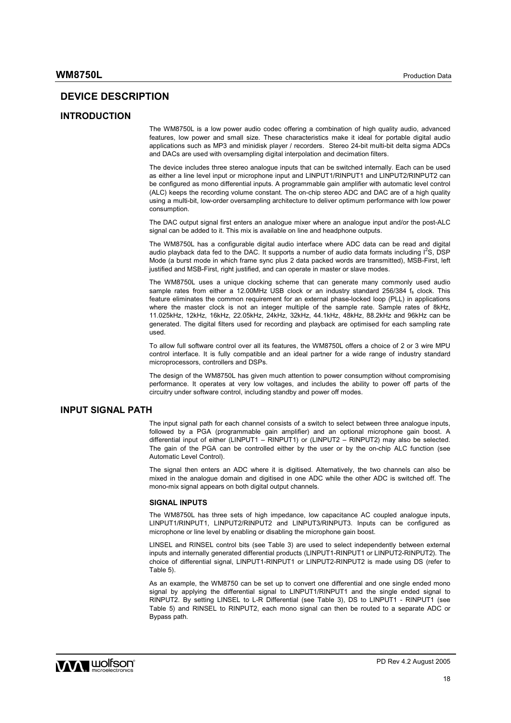# **DEVICE DESCRIPTION**

### **INTRODUCTION**

The WM8750L is a low power audio codec offering a combination of high quality audio, advanced features, low power and small size. These characteristics make it ideal for portable digital audio applications such as MP3 and minidisk player / recorders. Stereo 24-bit multi-bit delta sigma ADCs and DACs are used with oversampling digital interpolation and decimation filters.

The device includes three stereo analogue inputs that can be switched internally. Each can be used as either a line level input or microphone input and LINPUT1/RINPUT1 and LINPUT2/RINPUT2 can be configured as mono differential inputs. A programmable gain amplifier with automatic level control (ALC) keeps the recording volume constant. The on-chip stereo ADC and DAC are of a high quality using a multi-bit, low-order oversampling architecture to deliver optimum performance with low power consumption.

The DAC output signal first enters an analogue mixer where an analogue input and/or the post-ALC signal can be added to it. This mix is available on line and headphone outputs.

The WM8750L has a configurable digital audio interface where ADC data can be read and digital audio playback data fed to the DAC. It supports a number of audio data formats including  $I^2S$ , DSP Mode (a burst mode in which frame sync plus 2 data packed words are transmitted), MSB-First, left justified and MSB-First, right justified, and can operate in master or slave modes.

The WM8750L uses a unique clocking scheme that can generate many commonly used audio sample rates from either a 12.00MHz USB clock or an industry standard 256/384 fs clock. This feature eliminates the common requirement for an external phase-locked loop (PLL) in applications where the master clock is not an integer multiple of the sample rate. Sample rates of 8kHz, 11.025kHz, 12kHz, 16kHz, 22.05kHz, 24kHz, 32kHz, 44.1kHz, 48kHz, 88.2kHz and 96kHz can be generated. The digital filters used for recording and playback are optimised for each sampling rate used.

To allow full software control over all its features, the WM8750L offers a choice of 2 or 3 wire MPU control interface. It is fully compatible and an ideal partner for a wide range of industry standard microprocessors, controllers and DSPs.

The design of the WM8750L has given much attention to power consumption without compromising performance. It operates at very low voltages, and includes the ability to power off parts of the circuitry under software control, including standby and power off modes.

## **INPUT SIGNAL PATH**

The input signal path for each channel consists of a switch to select between three analogue inputs, followed by a PGA (programmable gain amplifier) and an optional microphone gain boost. A differential input of either (LINPUT1 – RINPUT1) or (LINPUT2 – RINPUT2) may also be selected. The gain of the PGA can be controlled either by the user or by the on-chip ALC function (see Automatic Level Control).

The signal then enters an ADC where it is digitised. Alternatively, the two channels can also be mixed in the analogue domain and digitised in one ADC while the other ADC is switched off. The mono-mix signal appears on both digital output channels.

#### **SIGNAL INPUTS**

The WM8750L has three sets of high impedance, low capacitance AC coupled analogue inputs, LINPUT1/RINPUT1, LINPUT2/RINPUT2 and LINPUT3/RINPUT3. Inputs can be configured as microphone or line level by enabling or disabling the microphone gain boost.

LINSEL and RINSEL control bits (see Table 3) are used to select independently between external inputs and internally generated differential products (LINPUT1-RINPUT1 or LINPUT2-RINPUT2). The choice of differential signal, LINPUT1-RINPUT1 or LINPUT2-RINPUT2 is made using DS (refer to Table 5).

As an example, the WM8750 can be set up to convert one differential and one single ended mono signal by applying the differential signal to LINPUT1/RINPUT1 and the single ended signal to RINPUT2. By setting LINSEL to L-R Differential (see Table 3), DS to LINPUT1 - RINPUT1 (see Table 5) and RINSEL to RINPUT2, each mono signal can then be routed to a separate ADC or Bypass path.

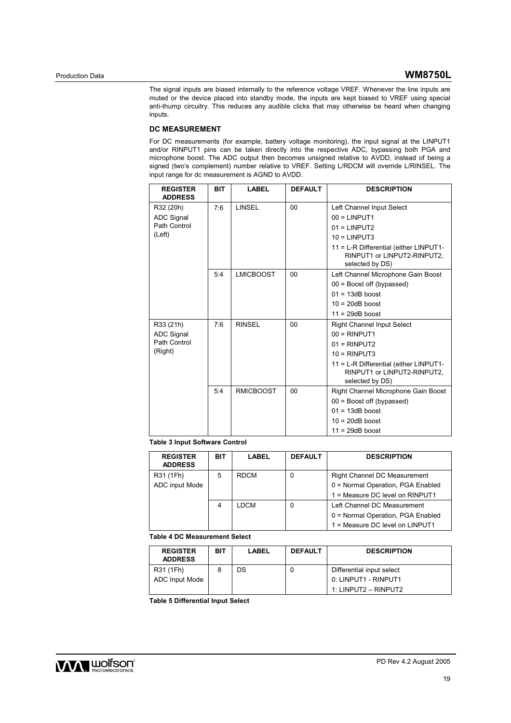The signal inputs are biased internally to the reference voltage VREF. Whenever the line inputs are muted or the device placed into standby mode, the inputs are kept biased to VREF using special anti-thump circuitry. This reduces any audible clicks that may otherwise be heard when changing inputs.

### **DC MEASUREMENT**

For DC measurements (for example, battery voltage monitoring), the input signal at the LINPUT1 and/or RINPUT1 pins can be taken directly into the respective ADC, bypassing both PGA and microphone boost. The ADC output then becomes unsigned relative to AVDD, instead of being a signed (two's complement) number relative to VREF. Setting L/RDCM will override L/RINSEL. The input range for dc measurement is AGND to AVDD.

| <b>REGISTER</b><br><b>ADDRESS</b> | <b>BIT</b> | <b>LABEL</b>     | <b>DEFAULT</b> | <b>DESCRIPTION</b>                                                                       |
|-----------------------------------|------------|------------------|----------------|------------------------------------------------------------------------------------------|
| R32 (20h)                         | 7:6        | <b>LINSEL</b>    | 00             | Left Channel Input Select                                                                |
| <b>ADC Signal</b>                 |            |                  |                | $00 = LINPUT1$                                                                           |
| Path Control                      |            |                  |                | $01 = LINPUT2$                                                                           |
| (Left)                            |            |                  |                | $10 = LINPUT3$                                                                           |
|                                   |            |                  |                | 11 = L-R Differential (either LINPUT1-<br>RINPUT1 or LINPUT2-RINPUT2,<br>selected by DS) |
|                                   | 5:4        | <b>LMICBOOST</b> | 00             | Left Channel Microphone Gain Boost                                                       |
|                                   |            |                  |                | $00 =$ Boost off (bypassed)                                                              |
|                                   |            |                  |                | $01 = 13dB$ boost                                                                        |
|                                   |            |                  |                | $10 = 20dB$ boost                                                                        |
|                                   |            |                  |                | $11 = 29dB$ boost                                                                        |
| R33 (21h)                         | 7:6        | <b>RINSEL</b>    | 0 <sub>0</sub> | <b>Right Channel Input Select</b>                                                        |
| <b>ADC Signal</b>                 |            |                  |                | $00 = RINPUT1$                                                                           |
| Path Control                      |            |                  |                | $01 = RINPUT2$                                                                           |
| (Right)                           |            |                  |                | $10 = RINPUT3$                                                                           |
|                                   |            |                  |                | 11 = L-R Differential (either LINPUT1-<br>RINPUT1 or LINPUT2-RINPUT2,<br>selected by DS) |
|                                   | 5:4        | <b>RMICBOOST</b> | 00             | Right Channel Microphone Gain Boost                                                      |
|                                   |            |                  |                | $00 =$ Boost off (bypassed)                                                              |
|                                   |            |                  |                | $01 = 13dB$ boost                                                                        |
|                                   |            |                  |                | $10 = 20dB$ boost                                                                        |
|                                   |            |                  |                | $11 = 29dB$ boost                                                                        |

## **Table 3 Input Software Control**

| <b>REGISTER</b><br><b>ADDRESS</b> | BIT | LABEL       | <b>DEFAULT</b> | <b>DESCRIPTION</b>                  |
|-----------------------------------|-----|-------------|----------------|-------------------------------------|
| R31 (1Fh)                         | 5   | <b>RDCM</b> | 0              | <b>Right Channel DC Measurement</b> |
| ADC input Mode                    |     |             |                | 0 = Normal Operation, PGA Enabled   |
|                                   |     |             |                | 1 = Measure DC level on RINPUT1     |
|                                   | 4   | LDCM        | 0              | Left Channel DC Measurement         |
|                                   |     |             |                | 0 = Normal Operation, PGA Enabled   |
|                                   |     |             |                | 1 = Measure DC level on LINPUT1     |

**Table 4 DC Measurement Select** 

| <b>REGISTER</b><br><b>ADDRESS</b> | BIT | LABEL | <b>DEFAULT</b> | <b>DESCRIPTION</b>        |
|-----------------------------------|-----|-------|----------------|---------------------------|
| R31 (1Fh)                         |     | DS    |                | Differential input select |
| ADC Input Mode                    |     |       |                | 0: LINPUT1 - RINPUT1      |
|                                   |     |       |                | 1: LINPUT2 – RINPUT2      |

**Table 5 Differential Input Select** 

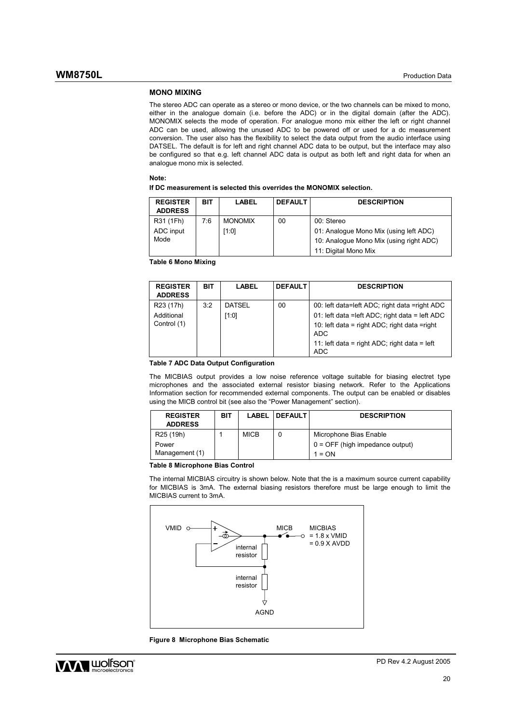#### **MONO MIXING**

The stereo ADC can operate as a stereo or mono device, or the two channels can be mixed to mono, either in the analogue domain (i.e. before the ADC) or in the digital domain (after the ADC). MONOMIX selects the mode of operation. For analogue mono mix either the left or right channel ADC can be used, allowing the unused ADC to be powered off or used for a dc measurement conversion. The user also has the flexibility to select the data output from the audio interface using DATSEL. The default is for left and right channel ADC data to be output, but the interface may also be configured so that e.g. left channel ADC data is output as both left and right data for when an analogue mono mix is selected.

#### **Note:**

**If DC measurement is selected this overrides the MONOMIX selection.** 

| <b>REGISTER</b><br><b>ADDRESS</b> | BIT | LABEL          | <b>DEFAULT</b> | <b>DESCRIPTION</b>                      |
|-----------------------------------|-----|----------------|----------------|-----------------------------------------|
| R31 (1Fh)                         | 7:6 | <b>MONOMIX</b> | 00             | 00: Stereo                              |
| ADC input                         |     | [1:0]          |                | 01: Analogue Mono Mix (using left ADC)  |
| Mode                              |     |                |                | 10: Analogue Mono Mix (using right ADC) |
|                                   |     |                |                | 11: Digital Mono Mix                    |

**Table 6 Mono Mixing** 

| <b>REGISTER</b><br><b>ADDRESS</b> | BIT | LABEL         | <b>DEFAULT</b> | <b>DESCRIPTION</b>                                          |
|-----------------------------------|-----|---------------|----------------|-------------------------------------------------------------|
| R <sub>23</sub> (17h)             | 3:2 | <b>DATSEL</b> | 00             | 00: left data=left ADC; right data =right ADC               |
| Additional                        |     | [1:0]         |                | 01: left data = left ADC; right data = left ADC             |
| Control (1)                       |     |               |                | 10: left data = right ADC; right data = right<br><b>ADC</b> |
|                                   |     |               |                | 11: left data = right ADC; right data = left<br><b>ADC</b>  |

#### **Table 7 ADC Data Output Configuration**

The MICBIAS output provides a low noise reference voltage suitable for biasing electret type microphones and the associated external resistor biasing network. Refer to the Applications Information section for recommended external components. The output can be enabled or disables using the MICB control bit (see also the "Power Management" section).

| <b>REGISTER</b><br><b>ADDRESS</b> | BIT | LABEL       | <b>IDEFAULT</b>                   | <b>DESCRIPTION</b>     |
|-----------------------------------|-----|-------------|-----------------------------------|------------------------|
| R <sub>25</sub> (19h)             |     | <b>MICB</b> |                                   | Microphone Bias Enable |
| Power                             |     |             | $0 =$ OFF (high impedance output) |                        |
| Management (1)                    |     |             |                                   | $1 = ON$               |

#### **Table 8 Microphone Bias Control**

The internal MICBIAS circuitry is shown below. Note that the is a maximum source current capability for MICBIAS is 3mA. The external biasing resistors therefore must be large enough to limit the MICBIAS current to 3mA.



**Figure 8 Microphone Bias Schematic** 

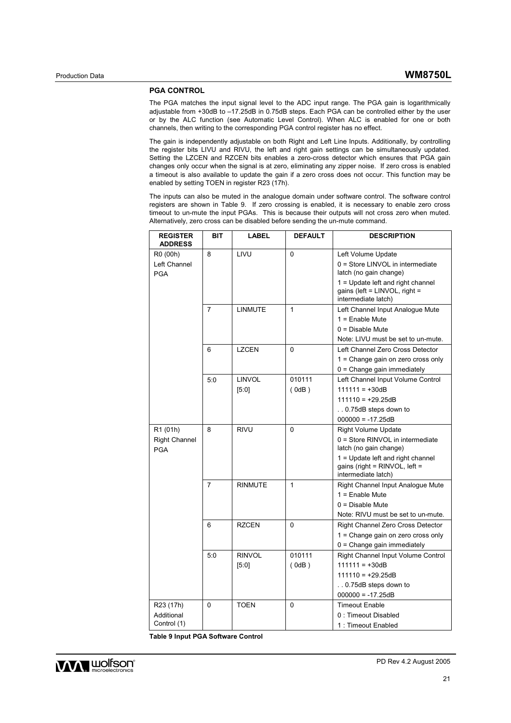## **PGA CONTROL**

The PGA matches the input signal level to the ADC input range. The PGA gain is logarithmically adjustable from +30dB to –17.25dB in 0.75dB steps. Each PGA can be controlled either by the user or by the ALC function (see Automatic Level Control). When ALC is enabled for one or both channels, then writing to the corresponding PGA control register has no effect.

The gain is independently adjustable on both Right and Left Line Inputs. Additionally, by controlling the register bits LIVU and RIVU, the left and right gain settings can be simultaneously updated. Setting the LZCEN and RZCEN bits enables a zero-cross detector which ensures that PGA gain changes only occur when the signal is at zero, eliminating any zipper noise. If zero cross is enabled a timeout is also available to update the gain if a zero cross does not occur. This function may be enabled by setting TOEN in register R23 (17h).

The inputs can also be muted in the analogue domain under software control. The software control registers are shown in Table 9. If zero crossing is enabled, it is necessary to enable zero cross timeout to un-mute the input PGAs. This is because their outputs will not cross zero when muted. Alternatively, zero cross can be disabled before sending the un-mute command.

| <b>REGISTER</b><br><b>ADDRESS</b>                  | BIT            | <b>LABEL</b>           | <b>DEFAULT</b>  | <b>DESCRIPTION</b>                                                                                                                                                                       |
|----------------------------------------------------|----------------|------------------------|-----------------|------------------------------------------------------------------------------------------------------------------------------------------------------------------------------------------|
| R0 (00h)<br>Left Channel<br><b>PGA</b>             | 8              | LIVU                   | $\mathbf{0}$    | Left Volume Update<br>0 = Store LINVOL in intermediate<br>latch (no gain change)<br>1 = Update left and right channel<br>gains (left = $LINVOL$ , right =<br>intermediate latch)         |
|                                                    | $\overline{7}$ | <b>LINMUTE</b>         | 1               | Left Channel Input Analogue Mute<br>$1 =$ Enable Mute<br>$0 = Disable$ Mute<br>Note: LIVU must be set to un-mute.                                                                        |
|                                                    | 6              | LZCEN                  | 0               | Left Channel Zero Cross Detector<br>1 = Change gain on zero cross only<br>$0 =$ Change gain immediately                                                                                  |
|                                                    | 5:0            | <b>LINVOL</b><br>[5:0] | 010111<br>(0dB) | Left Channel Input Volume Control<br>$111111 = +30dB$<br>$111110 = +29.25dB$<br>0.75dB steps down to<br>$000000 = -17.25dB$                                                              |
| R1 (01h)<br><b>Right Channel</b><br><b>PGA</b>     | 8              | <b>RIVU</b>            | 0               | <b>Right Volume Update</b><br>0 = Store RINVOL in intermediate<br>latch (no gain change)<br>1 = Update left and right channel<br>gains (right = $RINVOL$ , left =<br>intermediate latch) |
|                                                    | 7              | RINMUTE                | 1               | Right Channel Input Analogue Mute<br>$1 =$ Enable Mute<br>$0 = Disable$ Mute<br>Note: RIVU must be set to un-mute.                                                                       |
|                                                    | 6              | <b>RZCEN</b>           | 0               | Right Channel Zero Cross Detector<br>1 = Change gain on zero cross only<br>$0 =$ Change gain immediately                                                                                 |
|                                                    | 5:0            | <b>RINVOL</b><br>[5:0] | 010111<br>(0dB) | Right Channel Input Volume Control<br>$111111 = +30dB$<br>$111110 = +29.25dB$<br>0.75dB steps down to<br>$000000 = -17.25dB$                                                             |
| R <sub>23</sub> (17h)<br>Additional<br>Control (1) | 0              | <b>TOEN</b>            | 0               | <b>Timeout Enable</b><br>0: Timeout Disabled<br>1: Timeout Enabled                                                                                                                       |

**Table 9 Input PGA Software Control** 

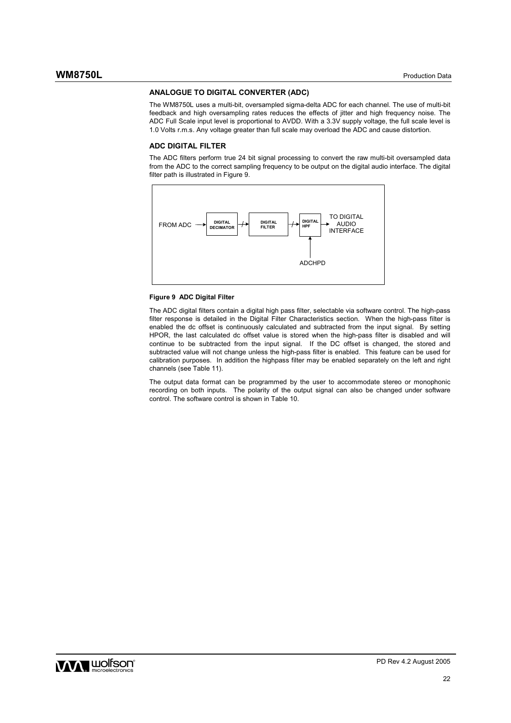## **ANALOGUE TO DIGITAL CONVERTER (ADC)**

The WM8750L uses a multi-bit, oversampled sigma-delta ADC for each channel. The use of multi-bit feedback and high oversampling rates reduces the effects of jitter and high frequency noise. The ADC Full Scale input level is proportional to AVDD. With a 3.3V supply voltage, the full scale level is 1.0 Volts r.m.s. Any voltage greater than full scale may overload the ADC and cause distortion.

#### **ADC DIGITAL FILTER**

The ADC filters perform true 24 bit signal processing to convert the raw multi-bit oversampled data from the ADC to the correct sampling frequency to be output on the digital audio interface. The digital filter path is illustrated in Figure 9.



### **Figure 9 ADC Digital Filter**

The ADC digital filters contain a digital high pass filter, selectable via software control. The high-pass filter response is detailed in the Digital Filter Characteristics section. When the high-pass filter is enabled the dc offset is continuously calculated and subtracted from the input signal. By setting HPOR, the last calculated dc offset value is stored when the high-pass filter is disabled and will continue to be subtracted from the input signal. If the DC offset is changed, the stored and subtracted value will not change unless the high-pass filter is enabled. This feature can be used for calibration purposes. In addition the highpass filter may be enabled separately on the left and right channels (see Table 11).

The output data format can be programmed by the user to accommodate stereo or monophonic recording on both inputs. The polarity of the output signal can also be changed under software control. The software control is shown in Table 10.

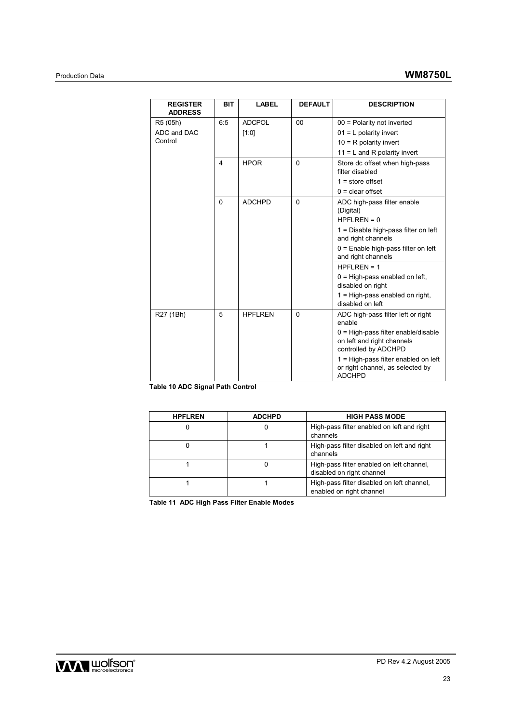| <b>REGISTER</b><br><b>ADDRESS</b> | <b>BIT</b> | <b>LABEL</b>   | <b>DEFAULT</b> | <b>DESCRIPTION</b>                                                                          |
|-----------------------------------|------------|----------------|----------------|---------------------------------------------------------------------------------------------|
| R5 (05h)                          | 6:5        | <b>ADCPOL</b>  | 00             | $00 =$ Polarity not inverted                                                                |
| ADC and DAC                       |            | [1:0]          |                | $01 = L$ polarity invert                                                                    |
| Control                           |            |                |                | $10 = R$ polarity invert                                                                    |
|                                   |            |                |                | $11 = L$ and R polarity invert                                                              |
|                                   | 4          | <b>HPOR</b>    | $\mathbf{0}$   | Store dc offset when high-pass<br>filter disabled                                           |
|                                   |            |                |                | $1 = store offset$                                                                          |
|                                   |            |                |                | $0 =$ clear offset                                                                          |
|                                   | $\Omega$   | <b>ADCHPD</b>  | $\mathbf{0}$   | ADC high-pass filter enable<br>(Digital)<br>$HPFLREN = 0$                                   |
|                                   |            |                |                |                                                                                             |
|                                   |            |                |                | $1 =$ Disable high-pass filter on left<br>and right channels                                |
|                                   |            |                |                | $0 =$ Enable high-pass filter on left<br>and right channels                                 |
|                                   |            |                |                | HPFI RFN = $1$                                                                              |
|                                   |            |                |                | $0 =$ High-pass enabled on left,<br>disabled on right                                       |
|                                   |            |                |                | 1 = High-pass enabled on right,<br>disabled on left                                         |
| R27 (1Bh)                         | 5          | <b>HPFLREN</b> | $\mathbf{0}$   | ADC high-pass filter left or right<br>enable                                                |
|                                   |            |                |                | $0 =$ High-pass filter enable/disable<br>on left and right channels<br>controlled by ADCHPD |
|                                   |            |                |                | 1 = High-pass filter enabled on left<br>or right channel, as selected by<br><b>ADCHPD</b>   |

**Table 10 ADC Signal Path Control** 

| <b>HPFLREN</b> | <b>ADCHPD</b> | <b>HIGH PASS MODE</b>                                                  |
|----------------|---------------|------------------------------------------------------------------------|
|                |               | High-pass filter enabled on left and right<br>channels                 |
|                |               | High-pass filter disabled on left and right<br>channels                |
|                |               | High-pass filter enabled on left channel,<br>disabled on right channel |
|                |               | High-pass filter disabled on left channel,<br>enabled on right channel |

**Table 11 ADC High Pass Filter Enable Modes** 

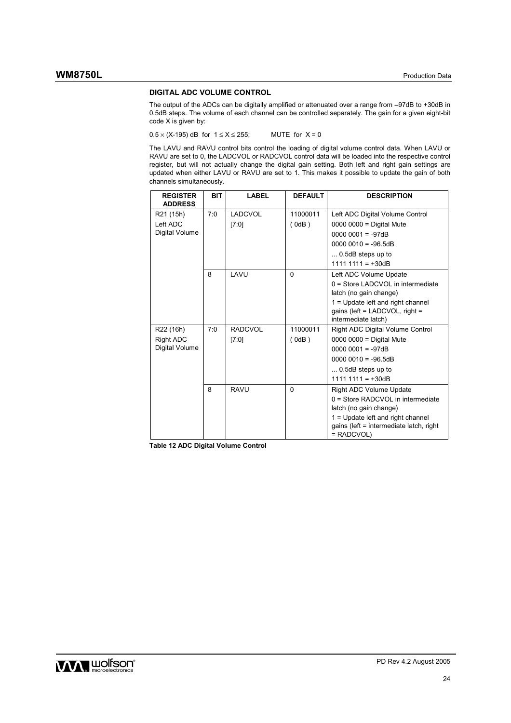#### **DIGITAL ADC VOLUME CONTROL**

The output of the ADCs can be digitally amplified or attenuated over a range from –97dB to +30dB in 0.5dB steps. The volume of each channel can be controlled separately. The gain for a given eight-bit code X is given by:

 $0.5 \times (X-195)$  dB for  $1 \le X \le 255$ ; MUTE for  $X = 0$ 

The LAVU and RAVU control bits control the loading of digital volume control data. When LAVU or RAVU are set to 0, the LADCVOL or RADCVOL control data will be loaded into the respective control register, but will not actually change the digital gain setting. Both left and right gain settings are updated when either LAVU or RAVU are set to 1. This makes it possible to update the gain of both channels simultaneously.

| <b>REGISTER</b><br><b>ADDRESS</b> | <b>BIT</b> | <b>LABEL</b>   | <b>DEFAULT</b> | <b>DESCRIPTION</b>                                                                           |
|-----------------------------------|------------|----------------|----------------|----------------------------------------------------------------------------------------------|
| R21 (15h)                         | 7:0        | LADCVOL        | 11000011       | Left ADC Digital Volume Control                                                              |
| Left ADC                          |            | [7:0]          | (0dB)          | $0000 0000 =$ Digital Mute                                                                   |
| Digital Volume                    |            |                |                | $00000001 = -97dB$                                                                           |
|                                   |            |                |                | $00000010 = -96.5dB$                                                                         |
|                                   |            |                |                | $\dots$ 0.5dB steps up to                                                                    |
|                                   |            |                |                | $1111 1111 = +30dB$                                                                          |
|                                   | 8          | LAVU           | $\mathbf{0}$   | Left ADC Volume Update                                                                       |
|                                   |            |                |                | $0 =$ Store LADCVOL in intermediate<br>latch (no gain change)                                |
|                                   |            |                |                | 1 = Update left and right channel                                                            |
|                                   |            |                |                | gains (left = $LADCVOL$ , right =                                                            |
|                                   |            |                |                | intermediate latch)                                                                          |
| R22 (16h)                         | 7:0        | <b>RADCVOL</b> | 11000011       | Right ADC Digital Volume Control                                                             |
| Right ADC<br>Digital Volume       |            | [7:0]          | $($ 0dB)       | $0000 0000 =$ Digital Mute                                                                   |
|                                   |            |                |                | $00000001 = -97dB$                                                                           |
|                                   |            |                |                | $00000010 = -96.5dB$                                                                         |
|                                   |            |                |                | 0.5dB steps up to                                                                            |
|                                   |            |                |                | $1111 1111 = +30dB$                                                                          |
|                                   | 8          | <b>RAVU</b>    | $\Omega$       | <b>Right ADC Volume Update</b>                                                               |
|                                   |            |                |                | $0 =$ Store RADCVOL in intermediate<br>latch (no gain change)                                |
|                                   |            |                |                | 1 = Update left and right channel<br>gains (left = intermediate latch, right<br>$=$ RADCVOL) |

**Table 12 ADC Digital Volume Control** 

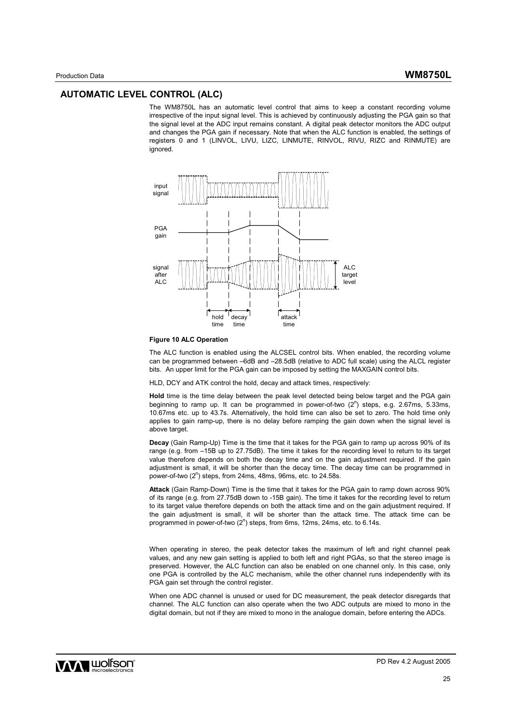## **AUTOMATIC LEVEL CONTROL (ALC)**

The WM8750L has an automatic level control that aims to keep a constant recording volume irrespective of the input signal level. This is achieved by continuously adjusting the PGA gain so that the signal level at the ADC input remains constant. A digital peak detector monitors the ADC output and changes the PGA gain if necessary. Note that when the ALC function is enabled, the settings of registers 0 and 1 (LINVOL, LIVU, LIZC, LINMUTE, RINVOL, RIVU, RIZC and RINMUTE) are ignored.



#### **Figure 10 ALC Operation**

The ALC function is enabled using the ALCSEL control bits. When enabled, the recording volume can be programmed between –6dB and –28.5dB (relative to ADC full scale) using the ALCL register bits. An upper limit for the PGA gain can be imposed by setting the MAXGAIN control bits.

HLD, DCY and ATK control the hold, decay and attack times, respectively:

**Hold** time is the time delay between the peak level detected being below target and the PGA gain beginning to ramp up. It can be programmed in power-of-two  $(2^n)$  steps, e.g. 2.67ms, 5.33ms, 10.67ms etc. up to 43.7s. Alternatively, the hold time can also be set to zero. The hold time only applies to gain ramp-up, there is no delay before ramping the gain down when the signal level is above target.

**Decay** (Gain Ramp-Up) Time is the time that it takes for the PGA gain to ramp up across 90% of its range (e.g. from  $-15B$  up to 27.75dB). The time it takes for the recording level to return to its target value therefore depends on both the decay time and on the gain adjustment required. If the gain adjustment is small, it will be shorter than the decay time. The decay time can be programmed in power-of-two  $(2^n)$  steps, from 24ms, 48ms, 96ms, etc. to 24.58s.

**Attack** (Gain Ramp-Down) Time is the time that it takes for the PGA gain to ramp down across 90% of its range (e.g. from 27.75dB down to -15B gain). The time it takes for the recording level to return to its target value therefore depends on both the attack time and on the gain adjustment required. If the gain adjustment is small, it will be shorter than the attack time. The attack time can be programmed in power-of-two (2<sup>n</sup>) steps, from 6ms, 12ms, 24ms, etc. to 6.14s.

When operating in stereo, the peak detector takes the maximum of left and right channel peak values, and any new gain setting is applied to both left and right PGAs, so that the stereo image is preserved. However, the ALC function can also be enabled on one channel only. In this case, only one PGA is controlled by the ALC mechanism, while the other channel runs independently with its PGA gain set through the control register.

When one ADC channel is unused or used for DC measurement, the peak detector disregards that channel. The ALC function can also operate when the two ADC outputs are mixed to mono in the digital domain, but not if they are mixed to mono in the analogue domain, before entering the ADCs.

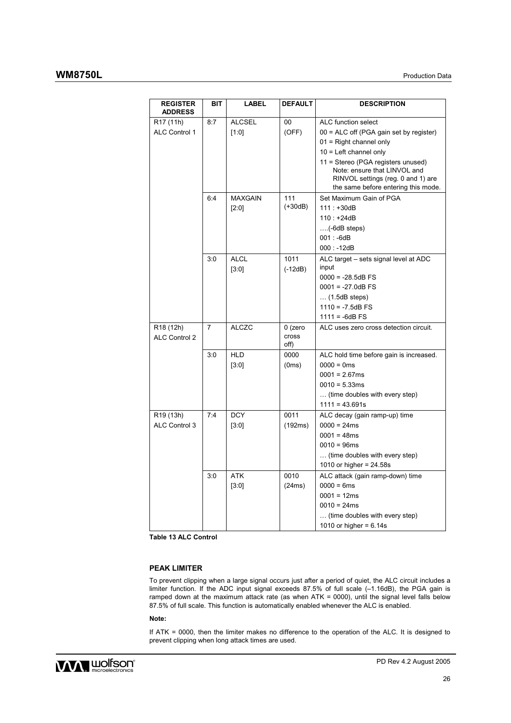# **WM8750L** Production Data

| <b>REGISTER</b><br><b>ADDRESS</b> | BIT            | <b>LABEL</b>  | <b>DEFAULT</b> | <b>DESCRIPTION</b>                                                                                                                              |
|-----------------------------------|----------------|---------------|----------------|-------------------------------------------------------------------------------------------------------------------------------------------------|
| R <sub>17</sub> (11h)             | 8:7            | <b>ALCSEL</b> | 00             | ALC function select                                                                                                                             |
| <b>ALC Control 1</b>              |                | $[1:0]$       | (OFF)          | 00 = ALC off (PGA gain set by register)                                                                                                         |
|                                   |                |               |                | $01$ = Right channel only                                                                                                                       |
|                                   |                |               |                | $10 =$ Left channel only                                                                                                                        |
|                                   |                |               |                | 11 = Stereo (PGA registers unused)<br>Note: ensure that LINVOL and<br>RINVOL settings (reg. 0 and 1) are<br>the same before entering this mode. |
|                                   | 6:4            | MAXGAIN       | 111            | Set Maximum Gain of PGA                                                                                                                         |
|                                   |                | [2:0]         | $(+30dB)$      | $111 : +30dB$                                                                                                                                   |
|                                   |                |               |                | $110: +24dB$                                                                                                                                    |
|                                   |                |               |                | $\ldots$ (-6dB steps)                                                                                                                           |
|                                   |                |               |                | $001: -6dB$                                                                                                                                     |
|                                   |                |               |                | $000: -12dB$                                                                                                                                    |
|                                   | 3:0            | <b>ALCL</b>   | 1011           | ALC target - sets signal level at ADC                                                                                                           |
|                                   |                | [3:0]         | (-12dB)        | input                                                                                                                                           |
|                                   |                |               |                | $0000 = -28.5dB$ FS                                                                                                                             |
|                                   |                |               |                | $0001 = -27.0dB$ FS                                                                                                                             |
|                                   |                |               |                | $\ldots$ (1.5dB steps)                                                                                                                          |
|                                   |                |               |                | $1110 = -7.5dB$ FS<br>$1111 = -6dB$ FS                                                                                                          |
| R <sub>18</sub> (12h)             | $\overline{7}$ | <b>ALCZC</b>  | 0 (zero        | ALC uses zero cross detection circuit.                                                                                                          |
| <b>ALC Control 2</b>              |                |               | cross<br>off)  |                                                                                                                                                 |
|                                   | 3:0            | <b>HLD</b>    | 0000           | ALC hold time before gain is increased.                                                                                                         |
|                                   |                | [3:0]         | (0ms)          | $0000 = 0$ ms                                                                                                                                   |
|                                   |                |               |                | $0001 = 2.67ms$                                                                                                                                 |
|                                   |                |               |                | $0010 = 5.33ms$                                                                                                                                 |
|                                   |                |               |                | (time doubles with every step)                                                                                                                  |
|                                   |                |               |                | $1111 = 43.691s$                                                                                                                                |
| R <sub>19</sub> (13h)             | 7:4            | <b>DCY</b>    | 0011           | ALC decay (gain ramp-up) time                                                                                                                   |
| ALC Control 3                     |                | $[3:0]$       | (192ms)        | $0000 = 24ms$                                                                                                                                   |
|                                   |                |               |                | $0001 = 48ms$                                                                                                                                   |
|                                   |                |               |                | $0010 = 96$ ms                                                                                                                                  |
|                                   |                |               |                | (time doubles with every step)                                                                                                                  |
|                                   |                |               |                | 1010 or higher = $24.58s$                                                                                                                       |
|                                   | 3:0            | <b>ATK</b>    | 0010           | ALC attack (gain ramp-down) time                                                                                                                |
|                                   |                | $[3:0]$       | (24ms)         | $0000 = 6ms$                                                                                                                                    |
|                                   |                |               |                | $0001 = 12ms$                                                                                                                                   |
|                                   |                |               |                | $0010 = 24ms$                                                                                                                                   |
|                                   |                |               |                | (time doubles with every step)                                                                                                                  |
|                                   |                |               |                | 1010 or higher = $6.14s$                                                                                                                        |

**Table 13 ALC Control** 

## **PEAK LIMITER**

To prevent clipping when a large signal occurs just after a period of quiet, the ALC circuit includes a limiter function. If the ADC input signal exceeds 87.5% of full scale (–1.16dB), the PGA gain is ramped down at the maximum attack rate (as when ATK = 0000), until the signal level falls below 87.5% of full scale. This function is automatically enabled whenever the ALC is enabled.

#### **Note:**

If ATK = 0000, then the limiter makes no difference to the operation of the ALC. It is designed to prevent clipping when long attack times are used.

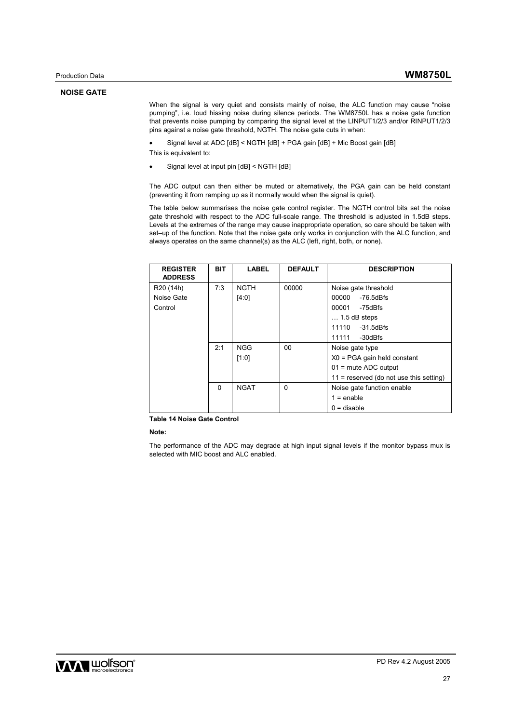#### **NOISE GATE**

When the signal is very quiet and consists mainly of noise, the ALC function may cause "noise pumping", i.e. loud hissing noise during silence periods. The WM8750L has a noise gate function that prevents noise pumping by comparing the signal level at the LINPUT1/2/3 and/or RINPUT1/2/3 pins against a noise gate threshold, NGTH. The noise gate cuts in when:

• Signal level at ADC [dB] < NGTH [dB] + PGA gain [dB] + Mic Boost gain [dB]

This is equivalent to:

• Signal level at input pin [dB] < NGTH [dB]

The ADC output can then either be muted or alternatively, the PGA gain can be held constant (preventing it from ramping up as it normally would when the signal is quiet).

The table below summarises the noise gate control register. The NGTH control bits set the noise gate threshold with respect to the ADC full-scale range. The threshold is adjusted in 1.5dB steps. Levels at the extremes of the range may cause inappropriate operation, so care should be taken with set–up of the function. Note that the noise gate only works in conjunction with the ALC function, and always operates on the same channel(s) as the ALC (left, right, both, or none).

| <b>REGISTER</b><br><b>ADDRESS</b> | <b>BIT</b> | <b>LABEL</b> | <b>DEFAULT</b> | <b>DESCRIPTION</b>                        |
|-----------------------------------|------------|--------------|----------------|-------------------------------------------|
| R <sub>20</sub> (14h)             | 7:3        | <b>NGTH</b>  | 00000          | Noise gate threshold                      |
| Noise Gate                        |            | [4:0]        |                | 00000<br>-76.5dBfs                        |
| Control                           |            |              |                | 00001<br>-75dBfs                          |
|                                   |            |              |                | $\dots$ 1.5 dB steps                      |
|                                   |            |              |                | 11110<br>$-31.5$ d $Bfs$                  |
|                                   |            |              |                | -30dBfs<br>11111                          |
|                                   | 2:1        | <b>NGG</b>   | $00\,$         | Noise gate type                           |
|                                   |            | [1:0]        |                | $X0 = PGA$ gain held constant             |
|                                   |            |              |                | $01$ = mute ADC output                    |
|                                   |            |              |                | $11$ = reserved (do not use this setting) |
|                                   | $\Omega$   | <b>NGAT</b>  | 0              | Noise gate function enable                |
|                                   |            |              |                | $1 =$ enable                              |
|                                   |            |              |                | $0 =$ disable                             |

**Table 14 Noise Gate Control** 

**Note:** 

The performance of the ADC may degrade at high input signal levels if the monitor bypass mux is selected with MIC boost and ALC enabled.

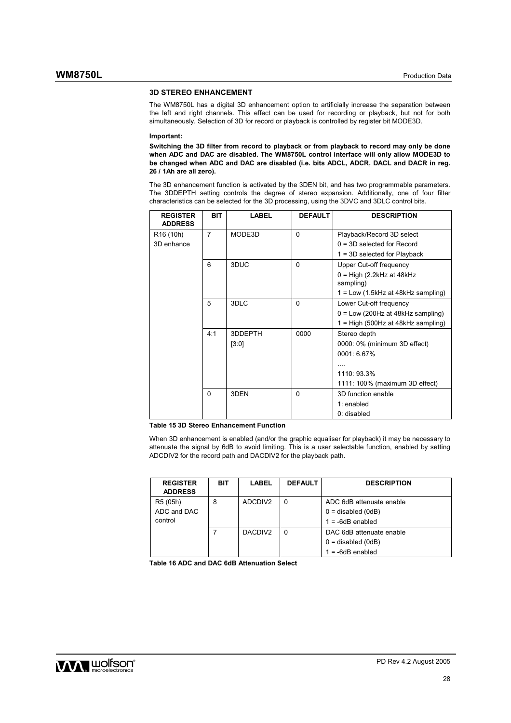#### **3D STEREO ENHANCEMENT**

The WM8750L has a digital 3D enhancement option to artificially increase the separation between the left and right channels. This effect can be used for recording or playback, but not for both simultaneously. Selection of 3D for record or playback is controlled by register bit MODE3D.

#### **Important:**

**Switching the 3D filter from record to playback or from playback to record may only be done when ADC and DAC are disabled. The WM8750L control interface will only allow MODE3D to be changed when ADC and DAC are disabled (i.e. bits ADCL, ADCR, DACL and DACR in reg. 26 / 1Ah are all zero).** 

The 3D enhancement function is activated by the 3DEN bit, and has two programmable parameters. The 3DDEPTH setting controls the degree of stereo expansion. Additionally, one of four filter characteristics can be selected for the 3D processing, using the 3DVC and 3DLC control bits.

| <b>REGISTER</b><br><b>ADDRESS</b> | <b>BIT</b> | LABEL   | <b>DEFAULT</b> | <b>DESCRIPTION</b>                       |
|-----------------------------------|------------|---------|----------------|------------------------------------------|
| R <sub>16</sub> (10h)             | 7          | MODE3D  | $\Omega$       | Playback/Record 3D select                |
| 3D enhance                        |            |         |                | $0 = 3D$ selected for Record             |
|                                   |            |         |                | $1 = 3D$ selected for Playback           |
|                                   | 6          | 3DUC    | 0              | Upper Cut-off frequency                  |
|                                   |            |         |                | $0 = High (2.2kHz at 48kHz$<br>sampling) |
|                                   |            |         |                | 1 = Low (1.5kHz at 48kHz sampling)       |
|                                   | 5          | 3DLC    | 0              | Lower Cut-off frequency                  |
|                                   |            |         |                | $0 = Low (200Hz at 48kHz sampling)$      |
|                                   |            |         |                | 1 = High (500Hz at 48kHz sampling)       |
|                                   | 4:1        | 3DDEPTH | 0000           | Stereo depth                             |
|                                   |            | [3:0]   |                | 0000: 0% (minimum 3D effect)             |
|                                   |            |         |                | 0001: 6.67%                              |
|                                   |            |         |                |                                          |
|                                   |            |         |                | 1110: 93.3%                              |
|                                   |            |         |                | 1111: 100% (maximum 3D effect)           |
|                                   | $\Omega$   | 3DEN    | $\Omega$       | 3D function enable                       |
|                                   |            |         |                | $1:$ enabled                             |
|                                   |            |         |                | 0: disabled                              |

#### **Table 15 3D Stereo Enhancement Function**

When 3D enhancement is enabled (and/or the graphic equaliser for playback) it may be necessary to attenuate the signal by 6dB to avoid limiting. This is a user selectable function, enabled by setting ADCDIV2 for the record path and DACDIV2 for the playback path.

| <b>REGISTER</b><br><b>ADDRESS</b> | BIT | LABEL               | <b>DEFAULT</b> | <b>DESCRIPTION</b>       |
|-----------------------------------|-----|---------------------|----------------|--------------------------|
| R5 (05h)                          | 8   | ADCDIV <sub>2</sub> | 0              | ADC 6dB attenuate enable |
| ADC and DAC                       |     |                     |                | $0 =$ disabled (0dB)     |
| control                           |     |                     |                | $1 = -6dB$ enabled       |
|                                   |     | DACDIV <sub>2</sub> | 0              | DAC 6dB attenuate enable |
|                                   |     |                     |                | $0 =$ disabled (0dB)     |
|                                   |     |                     |                | $1 = -6dB$ enabled       |

**Table 16 ADC and DAC 6dB Attenuation Select** 

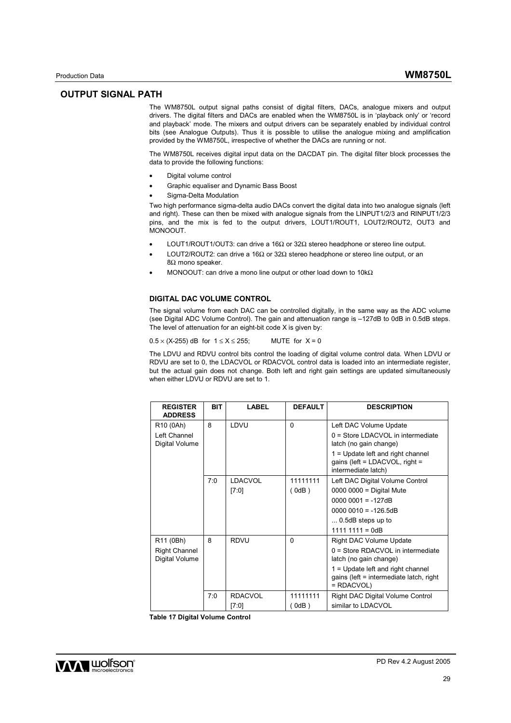Production Data **WM8750L**

The WM8750L output signal paths consist of digital filters, DACs, analogue mixers and output drivers. The digital filters and DACs are enabled when the WM8750L is in 'playback only' or 'record and playback' mode. The mixers and output drivers can be separately enabled by individual control bits (see Analogue Outputs). Thus it is possible to utilise the analogue mixing and amplification provided by the WM8750L, irrespective of whether the DACs are running or not.

The WM8750L receives digital input data on the DACDAT pin. The digital filter block processes the data to provide the following functions:

- Digital volume control
- Graphic equaliser and Dynamic Bass Boost
- Sigma-Delta Modulation

Two high performance sigma-delta audio DACs convert the digital data into two analogue signals (left and right). These can then be mixed with analogue signals from the LINPUT1/2/3 and RINPUT1/2/3 pins, and the mix is fed to the output drivers, LOUT1/ROUT1, LOUT2/ROUT2, OUT3 and MONOOUT.

- LOUT1/ROUT1/OUT3: can drive a 16Ω or 32Ω stereo headphone or stereo line output.
- LOUT2/ROUT2: can drive a 16Ω or 32Ω stereo headphone or stereo line output, or an 8Ω mono speaker.
- MONOOUT: can drive a mono line output or other load down to 10kΩ

#### **DIGITAL DAC VOLUME CONTROL**

The signal volume from each DAC can be controlled digitally, in the same way as the ADC volume (see Digital ADC Volume Control). The gain and attenuation range is –127dB to 0dB in 0.5dB steps. The level of attenuation for an eight-bit code X is given by:

 $0.5 \times (X-255)$  dB for  $1 \le X \le 255$ ; MUTE for  $X = 0$ 

The LDVU and RDVU control bits control the loading of digital volume control data. When LDVU or RDVU are set to 0, the LDACVOL or RDACVOL control data is loaded into an intermediate register, but the actual gain does not change. Both left and right gain settings are updated simultaneously when either LDVU or RDVU are set to 1.

| <b>REGISTER</b><br><b>ADDRESS</b>                               | <b>BIT</b> | LABEL                   | <b>DEFAULT</b>    | <b>DESCRIPTION</b>                                                                                                                                                                             |
|-----------------------------------------------------------------|------------|-------------------------|-------------------|------------------------------------------------------------------------------------------------------------------------------------------------------------------------------------------------|
| R <sub>10</sub> (0Ah)<br>Left Channel                           | 8          | LDVU                    | $\mathbf{0}$      | Left DAC Volume Update<br>0 = Store LDACVOL in intermediate                                                                                                                                    |
| Digital Volume                                                  |            |                         |                   | latch (no gain change)<br>$1 =$ Update left and right channel<br>gains (left = $LDACVOL$ , right =<br>intermediate latch)                                                                      |
|                                                                 | 7:0        | <b>LDACVOL</b><br>[7:0] | 11111111<br>(0dB) | Left DAC Digital Volume Control<br>$0000 0000 =$ Digital Mute<br>$00000001 = -127dB$<br>$00000010 = -126.5dB$<br>$\dots$ 0.5dB steps up to<br>$1111 1111 = 0dB$                                |
| R <sub>11</sub> (0Bh)<br><b>Right Channel</b><br>Digital Volume | 8          | <b>RDVU</b>             | $\Omega$          | <b>Right DAC Volume Update</b><br>0 = Store RDACVOL in intermediate<br>latch (no gain change)<br>$1 =$ Update left and right channel<br>gains (left = intermediate latch, right<br>$= RDACVOL$ |
|                                                                 | 7:0        | <b>RDACVOL</b><br>[7:0] | 11111111<br>(0dB) | Right DAC Digital Volume Control<br>similar to LDACVOL                                                                                                                                         |

**Table 17 Digital Volume Control** 

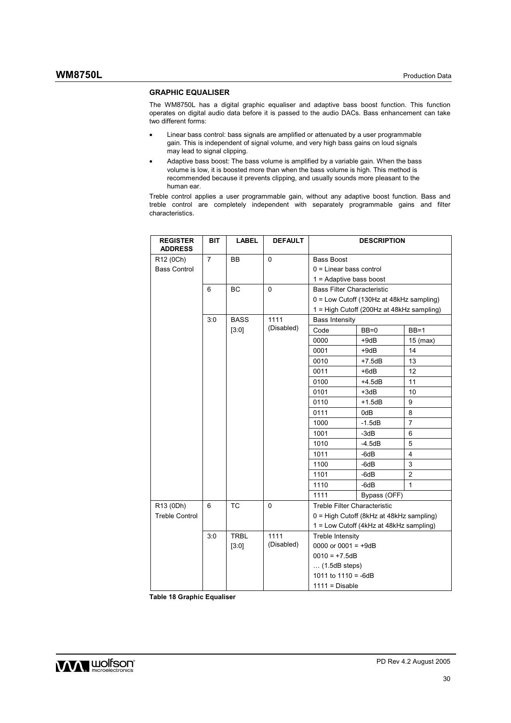### **GRAPHIC EQUALISER**

The WM8750L has a digital graphic equaliser and adaptive bass boost function. This function operates on digital audio data before it is passed to the audio DACs. Bass enhancement can take two different forms:

- Linear bass control: bass signals are amplified or attenuated by a user programmable gain. This is independent of signal volume, and very high bass gains on loud signals may lead to signal clipping.
- Adaptive bass boost: The bass volume is amplified by a variable gain. When the bass volume is low, it is boosted more than when the bass volume is high. This method is recommended because it prevents clipping, and usually sounds more pleasant to the human ear.

Treble control applies a user programmable gain, without any adaptive boost function. Bass and treble control are completely independent with separately programmable gains and filter characteristics.

| <b>REGISTER</b><br><b>ADDRESS</b> | BIT                        | <b>LABEL</b> | <b>DEFAULT</b>        |                                   | <b>DESCRIPTION</b>                        |                |
|-----------------------------------|----------------------------|--------------|-----------------------|-----------------------------------|-------------------------------------------|----------------|
| R12 (0Ch)                         | $\overline{7}$             | ВB           | $\Omega$              | <b>Bass Boost</b>                 |                                           |                |
| <b>Bass Control</b>               |                            |              |                       | $0 =$ Linear bass control         |                                           |                |
|                                   |                            |              |                       | $1 =$ Adaptive bass boost         |                                           |                |
|                                   | 6                          | <b>BC</b>    | $\Omega$              | <b>Bass Filter Characteristic</b> |                                           |                |
|                                   |                            |              |                       |                                   | 0 = Low Cutoff (130Hz at 48kHz sampling)  |                |
|                                   |                            |              |                       |                                   | 1 = High Cutoff (200Hz at 48kHz sampling) |                |
|                                   | 1111<br>3:0<br><b>BASS</b> |              | <b>Bass Intensity</b> |                                   |                                           |                |
|                                   |                            | [3:0]        | (Disabled)            | Code                              | $BB=0$                                    | $BB=1$         |
|                                   |                            |              |                       | 0000                              | +9dB                                      | $15$ (max)     |
|                                   |                            |              |                       | 0001                              | $+9dB$                                    | 14             |
|                                   |                            |              |                       | 0010                              | $+7.5dB$                                  | 13             |
|                                   |                            |              |                       | 0011                              | $+6dB$                                    | 12             |
|                                   |                            |              |                       | 0100                              | $+4.5dB$                                  | 11             |
|                                   |                            |              |                       | 0101                              | +3dB                                      | 10             |
|                                   |                            |              |                       | 0110                              | $+1.5dB$                                  | 9              |
|                                   |                            |              |                       | 0111                              | 0dB                                       | 8              |
|                                   |                            |              |                       | 1000                              | $-1.5dB$                                  | $\overline{7}$ |
|                                   |                            |              |                       | 1001                              | $-3dB$                                    | 6              |
|                                   |                            |              |                       | 1010                              | $-4.5dB$                                  | 5              |
|                                   |                            |              |                       | 1011                              | -6dB                                      | 4              |
|                                   |                            |              |                       | 1100                              | $-6dB$                                    | 3              |
|                                   |                            |              |                       | 1101                              | $-6dB$                                    | $\overline{2}$ |
|                                   |                            |              |                       | 1110                              | -6dB                                      | 1              |
|                                   |                            |              |                       | 1111                              | Bypass (OFF)                              |                |
| R13 (0Dh)                         | 6                          | <b>TC</b>    | 0                     | Treble Filter Characteristic      |                                           |                |
| <b>Treble Control</b>             |                            |              |                       |                                   | 0 = High Cutoff (8kHz at 48kHz sampling)  |                |
|                                   |                            |              |                       |                                   | 1 = Low Cutoff (4kHz at 48kHz sampling)   |                |
|                                   | 3:0                        | <b>TRBL</b>  | 1111                  | <b>Treble Intensity</b>           |                                           |                |
|                                   |                            | [3:0]        | (Disabled)            | 0000 or 0001 = $+9dB$             |                                           |                |
|                                   |                            |              |                       | $0010 = +7.5dB$                   |                                           |                |
|                                   |                            |              |                       | $\dots$ (1.5dB steps)             |                                           |                |
|                                   |                            |              |                       | 1011 to $1110 = -6dB$             |                                           |                |
|                                   |                            |              |                       | $1111 = Disable$                  |                                           |                |

**Table 18 Graphic Equaliser**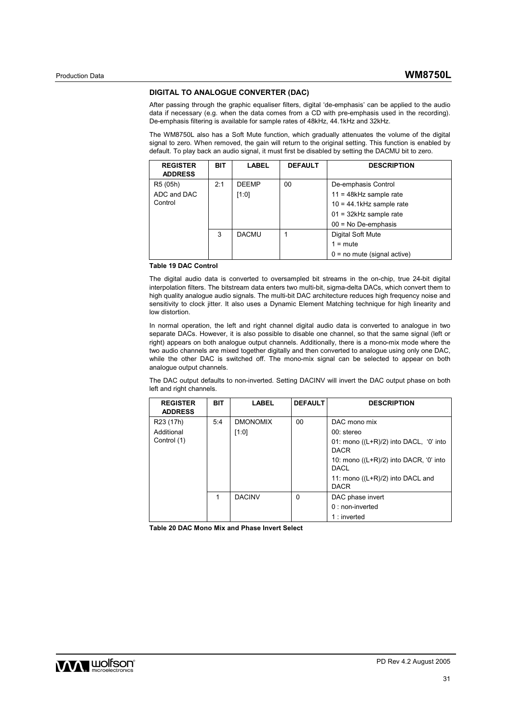#### **DIGITAL TO ANALOGUE CONVERTER (DAC)**

After passing through the graphic equaliser filters, digital 'de-emphasis' can be applied to the audio data if necessary (e.g. when the data comes from a CD with pre-emphasis used in the recording). De-emphasis filtering is available for sample rates of 48kHz, 44.1kHz and 32kHz.

The WM8750L also has a Soft Mute function, which gradually attenuates the volume of the digital signal to zero. When removed, the gain will return to the original setting. This function is enabled by default. To play back an audio signal, it must first be disabled by setting the DACMU bit to zero.

| <b>REGISTER</b><br><b>ADDRESS</b> | <b>BIT</b> | <b>LABEL</b> | <b>DEFAULT</b> | <b>DESCRIPTION</b>            |
|-----------------------------------|------------|--------------|----------------|-------------------------------|
| R5 (05h)                          | 2:1        | <b>DEEMP</b> | 00             | De-emphasis Control           |
| ADC and DAC                       |            | [1:0]        |                | $11 = 48kHz$ sample rate      |
| Control                           |            |              |                | $10 = 44.1$ kHz sample rate   |
|                                   |            |              |                | $01 = 32$ kHz sample rate     |
|                                   |            |              |                | $00 = No$ De-emphasis         |
|                                   | 3          | <b>DACMU</b> |                | Digital Soft Mute             |
|                                   |            |              |                | $1 = \text{mute}$             |
|                                   |            |              |                | $0 =$ no mute (signal active) |

**Table 19 DAC Control** 

The digital audio data is converted to oversampled bit streams in the on-chip, true 24-bit digital interpolation filters. The bitstream data enters two multi-bit, sigma-delta DACs, which convert them to high quality analogue audio signals. The multi-bit DAC architecture reduces high frequency noise and sensitivity to clock jitter. It also uses a Dynamic Element Matching technique for high linearity and low distortion.

In normal operation, the left and right channel digital audio data is converted to analogue in two separate DACs. However, it is also possible to disable one channel, so that the same signal (left or right) appears on both analogue output channels. Additionally, there is a mono-mix mode where the two audio channels are mixed together digitally and then converted to analogue using only one DAC, while the other DAC is switched off. The mono-mix signal can be selected to appear on both analogue output channels.

The DAC output defaults to non-inverted. Setting DACINV will invert the DAC output phase on both left and right channels.

| <b>REGISTER</b><br><b>ADDRESS</b> | <b>BIT</b> | <b>LABEL</b>    | <b>DEFAULT</b> | <b>DESCRIPTION</b>                                      |
|-----------------------------------|------------|-----------------|----------------|---------------------------------------------------------|
| R <sub>23</sub> (17h)             | 5:4        | <b>DMONOMIX</b> | 00             | DAC mono mix                                            |
| Additional                        |            | [1:0]           |                | $00:$ stereo                                            |
| Control (1)                       |            |                 |                | 01: mono $((L+R)/2)$ into DACL, '0' into<br><b>DACR</b> |
|                                   |            |                 |                | 10: mono $((L+R)/2)$ into DACR, '0' into<br><b>DACL</b> |
|                                   |            |                 |                | 11: mono $((L+R)/2)$ into DACL and<br><b>DACR</b>       |
|                                   | 1          | <b>DACINV</b>   | $\Omega$       | DAC phase invert                                        |
|                                   |            |                 |                | $0:$ non-inverted                                       |
|                                   |            |                 |                | $1:$ inverted                                           |

**Table 20 DAC Mono Mix and Phase Invert Select** 

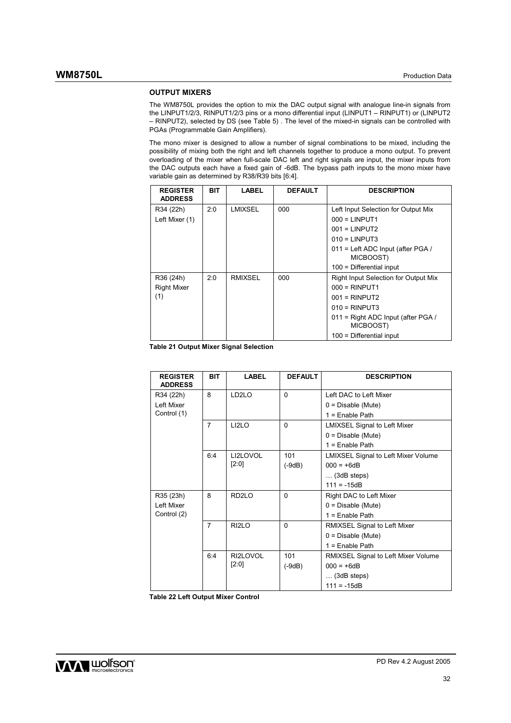### **OUTPUT MIXERS**

The WM8750L provides the option to mix the DAC output signal with analogue line-in signals from the LINPUT1/2/3, RINPUT1/2/3 pins or a mono differential input (LINPUT1 – RINPUT1) or (LINPUT2 – RINPUT2), selected by DS (see Table 5) . The level of the mixed-in signals can be controlled with PGAs (Programmable Gain Amplifiers).

The mono mixer is designed to allow a number of signal combinations to be mixed, including the possibility of mixing both the right and left channels together to produce a mono output. To prevent overloading of the mixer when full-scale DAC left and right signals are input, the mixer inputs from the DAC outputs each have a fixed gain of -6dB. The bypass path inputs to the mono mixer have variable gain as determined by R38/R39 bits [6:4].

| <b>REGISTER</b><br><b>ADDRESS</b> | <b>BIT</b> | LABEL   | <b>DEFAULT</b> | <b>DESCRIPTION</b>                               |
|-----------------------------------|------------|---------|----------------|--------------------------------------------------|
| R34 (22h)                         | 2:0        | LMIXSEL | 000            | Left Input Selection for Output Mix              |
| Left Mixer (1)                    |            |         |                | $000 = LINPUT1$                                  |
|                                   |            |         |                | $001 = LINPUT2$                                  |
|                                   |            |         |                | $010 = LINPUT3$                                  |
|                                   |            |         |                | $011$ = Left ADC Input (after PGA /<br>MICBOOST) |
|                                   |            |         |                | $100$ = Differential input                       |
| R36 (24h)                         | 2:0        | RMIXSEL | 000            | <b>Right Input Selection for Output Mix</b>      |
| <b>Right Mixer</b>                |            |         |                | $000 = RINPUT1$                                  |
| (1)                               |            |         |                | $001 = RINPUT2$                                  |
|                                   |            |         |                | $010 =$ RINPUT3                                  |
|                                   |            |         |                | 011 = Right ADC Input (after PGA /<br>MICBOOST)  |
|                                   |            |         |                | $100$ = Differential input                       |

**Table 21 Output Mixer Signal Selection** 

| <b>REGISTER</b><br><b>ADDRESS</b> | <b>BIT</b>     | <b>LABEL</b>       | <b>DEFAULT</b> | <b>DESCRIPTION</b>                         |
|-----------------------------------|----------------|--------------------|----------------|--------------------------------------------|
| R34 (22h)                         | 8              | LD <sub>2</sub> LO | $\Omega$       | Left DAC to Left Mixer                     |
| I eft Mixer                       |                |                    |                | $0 = Disable (Mute)$                       |
| Control (1)                       |                |                    |                | $1 =$ Enable Path                          |
|                                   | $\overline{7}$ | LI <sub>2</sub> LO | $\Omega$       | <b>LMIXSEL Signal to Left Mixer</b>        |
|                                   |                |                    |                | $0 = Disable (Mute)$                       |
|                                   |                |                    |                | $1 =$ Enable Path                          |
|                                   | 6:4            | LI2LOVOL           | 101            | <b>LMIXSEL Signal to Left Mixer Volume</b> |
|                                   |                | [2:0]              | $(-9dB)$       | $000 = +6dB$                               |
|                                   |                |                    |                | $\ldots$ (3dB steps)                       |
|                                   |                |                    |                | $111 = -15dB$                              |
| R35 (23h)                         | 8              | RD <sub>2LO</sub>  | $\Omega$       | Right DAC to Left Mixer                    |
| I eft Mixer                       |                |                    |                | $0 = Disable (Mute)$                       |
| Control (2)                       |                |                    |                | $1 =$ Enable Path                          |
|                                   | $\overline{7}$ | RI <sub>2</sub> LO | $\Omega$       | RMIXSEL Signal to Left Mixer               |
|                                   |                |                    |                | $0 = Disable (Mute)$                       |
|                                   |                |                    |                | $1 =$ Enable Path                          |
|                                   | 6:4            | RI2LOVOL           | 101            | <b>RMIXSEL Signal to Left Mixer Volume</b> |
|                                   |                | $[2:0]$            | $(-9dB)$       | $000 = +6dB$                               |
|                                   |                |                    |                | $\ldots$ (3dB steps)                       |
|                                   |                |                    |                | $111 = -15dB$                              |

**Table 22 Left Output Mixer Control**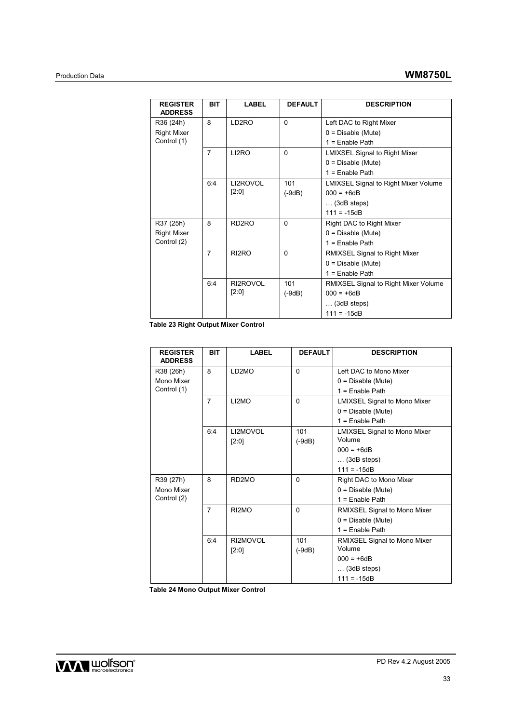| <b>REGISTER</b><br><b>ADDRESS</b> | <b>BIT</b>     | <b>LABEL</b>       | <b>DEFAULT</b> | <b>DESCRIPTION</b>                          |
|-----------------------------------|----------------|--------------------|----------------|---------------------------------------------|
| R36 (24h)                         | 8              | LD <sub>2</sub> RO | $\mathbf{0}$   | Left DAC to Right Mixer                     |
| <b>Right Mixer</b>                |                |                    |                | $0 = Disable (Mute)$                        |
| Control (1)                       |                |                    |                | $1 =$ Enable Path                           |
|                                   | $\overline{7}$ | LI2RO              | $\mathbf{0}$   | <b>LMIXSEL Signal to Right Mixer</b>        |
|                                   |                |                    |                | $0 = Disable (Mute)$                        |
|                                   |                |                    |                | $1 =$ Enable Path                           |
|                                   | 6:4            | LI2ROVOL           | 101            | <b>LMIXSEL Signal to Right Mixer Volume</b> |
|                                   |                | [2:0]              | $(-9dB)$       | $000 = +6dB$                                |
|                                   |                |                    |                | $\ldots$ (3dB steps)                        |
|                                   |                |                    |                | $111 = -15dB$                               |
| R37 (25h)                         | 8              | RD <sub>2</sub> RO | $\Omega$       | Right DAC to Right Mixer                    |
| <b>Right Mixer</b>                |                |                    |                | $0 = Disable (Mute)$                        |
| Control (2)                       |                |                    |                | $1 =$ Enable Path                           |
|                                   | $\overline{7}$ | RI <sub>2</sub> RO | $\Omega$       | <b>RMIXSEL Signal to Right Mixer</b>        |
|                                   |                |                    |                | $0 = Disable (Mute)$                        |
|                                   |                |                    |                | $1 =$ Enable Path                           |
|                                   | 6:4            | RI2ROVOL           | 101            | <b>RMIXSEL Signal to Right Mixer Volume</b> |
|                                   |                | [2:0]              | $(-9dB)$       | $000 = +6dB$                                |
|                                   |                |                    |                | $\ldots$ (3dB steps)                        |
|                                   |                |                    |                | $111 = -15dB$                               |

**Table 23 Right Output Mixer Control** 

| <b>REGISTER</b><br><b>ADDRESS</b> | <b>BIT</b>     | LABEL              | <b>DEFAULT</b> | <b>DESCRIPTION</b>                  |
|-----------------------------------|----------------|--------------------|----------------|-------------------------------------|
| R38 (26h)                         | 8              | LD2MO              | $\Omega$       | Left DAC to Mono Mixer              |
| Mono Mixer                        |                |                    |                | $0 = Disable (Mute)$                |
| Control (1)                       |                |                    |                | $1 =$ Enable Path                   |
|                                   | $\overline{7}$ | LI2MO              | $\Omega$       | <b>LMIXSEL Signal to Mono Mixer</b> |
|                                   |                |                    |                | $0 = Disable (Mute)$                |
|                                   |                |                    |                | $1 =$ Enable Path                   |
|                                   | 6:4            | LI2MOVOL           | 101            | <b>LMIXSEL Signal to Mono Mixer</b> |
|                                   |                | [2:0]              | $(-9dB)$       | Volume                              |
|                                   |                |                    |                | $000 = +6dB$                        |
|                                   |                |                    |                | $\ldots$ (3dB steps)                |
|                                   |                |                    |                | $111 = -15dB$                       |
| R39 (27h)                         | 8              | RD <sub>2</sub> MO | $\mathbf{0}$   | Right DAC to Mono Mixer             |
| Mono Mixer                        |                |                    |                | $0 = Disable (Mute)$                |
| Control (2)                       |                |                    |                | $1 =$ Enable Path                   |
|                                   | $\overline{7}$ | RI2MO              | $\mathbf{0}$   | RMIXSEL Signal to Mono Mixer        |
|                                   |                |                    |                | $0 = Disable (Mute)$                |
|                                   |                |                    |                | $1 =$ Enable Path                   |
|                                   | 6:4            | RI2MOVOL           | 101            | RMIXSEL Signal to Mono Mixer        |
|                                   |                | [2:0]              | $(-9dB)$       | Volume                              |
|                                   |                |                    |                | $000 = +6dB$                        |
|                                   |                |                    |                | $\ldots$ (3dB steps)                |
|                                   |                |                    |                | $111 = -15dB$                       |

**Table 24 Mono Output Mixer Control** 

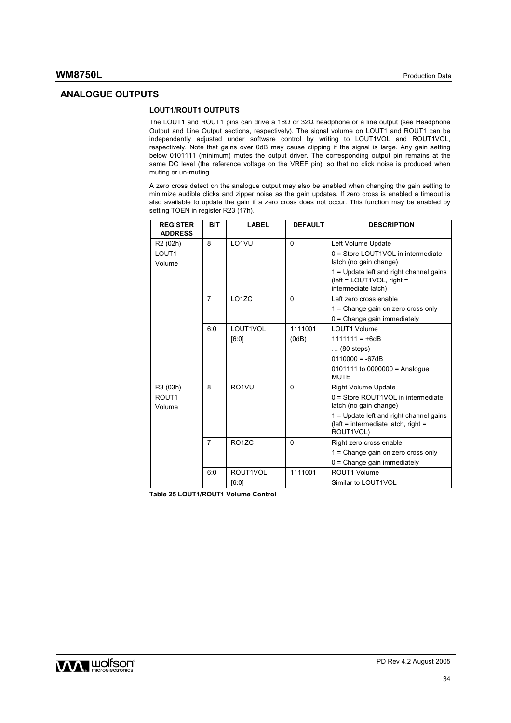## **ANALOGUE OUTPUTS**

# **LOUT1/ROUT1 OUTPUTS**

The LOUT1 and ROUT1 pins can drive a 16Ω or 32Ω headphone or a line output (see Headphone Output and Line Output sections, respectively). The signal volume on LOUT1 and ROUT1 can be independently adjusted under software control by writing to LOUT1VOL and ROUT1VOL, respectively. Note that gains over 0dB may cause clipping if the signal is large. Any gain setting below 0101111 (minimum) mutes the output driver. The corresponding output pin remains at the same DC level (the reference voltage on the VREF pin), so that no click noise is produced when muting or un-muting.

A zero cross detect on the analogue output may also be enabled when changing the gain setting to minimize audible clicks and zipper noise as the gain updates. If zero cross is enabled a timeout is also available to update the gain if a zero cross does not occur. This function may be enabled by setting TOEN in register R23 (17h).

| <b>REGISTER</b><br><b>ADDRESS</b> | <b>BIT</b>     | <b>LABEL</b>       | <b>DEFAULT</b> | <b>DESCRIPTION</b>                                                                            |
|-----------------------------------|----------------|--------------------|----------------|-----------------------------------------------------------------------------------------------|
| R <sub>2</sub> (02h)              | 8              | LO1VU              | $\mathbf{0}$   | Left Volume Update                                                                            |
| LOUT <sub>1</sub><br>Volume       |                |                    |                | 0 = Store LOUT1VOL in intermediate<br>latch (no gain change)                                  |
|                                   |                |                    |                | $1 =$ Update left and right channel gains<br>(left = LOUT1VOL, right =<br>intermediate latch) |
|                                   | $\overline{7}$ | LO17C              | $\mathbf{0}$   | Left zero cross enable                                                                        |
|                                   |                |                    |                | $1 =$ Change gain on zero cross only                                                          |
|                                   |                |                    |                | $0 =$ Change gain immediately                                                                 |
|                                   | 6:0            | LOUT1VOL           | 1111001        | I OUT1 Volume                                                                                 |
|                                   |                | [6:0]              | (0dB)          | $1111111 = +6dB$                                                                              |
|                                   |                |                    |                | $\ldots$ (80 steps)                                                                           |
|                                   |                |                    |                | $0110000 = -67dB$                                                                             |
|                                   |                |                    |                | $0101111$ to $0000000 =$ Analogue<br><b>MUTE</b>                                              |
| R3 (03h)                          | 8              | RO <sub>1</sub> VU | $\Omega$       | <b>Right Volume Update</b>                                                                    |
| ROUT <sub>1</sub><br>Volume       |                |                    |                | 0 = Store ROUT1VOL in intermediate<br>latch (no gain change)                                  |
|                                   |                |                    |                | $1 =$ Update left and right channel gains<br>(left = intermediate latch, right =<br>ROUT1VOL) |
|                                   | $\overline{7}$ | RO <sub>1</sub> ZC | $\mathbf{0}$   | Right zero cross enable                                                                       |
|                                   |                |                    |                | 1 = Change gain on zero cross only                                                            |
|                                   |                |                    |                | $0 =$ Change gain immediately                                                                 |
|                                   | 6:0            | ROUT1VOL           | 1111001        | ROUT1 Volume                                                                                  |
|                                   |                | [6:0]              |                | Similar to LOUT1VOL                                                                           |

**Table 25 LOUT1/ROUT1 Volume Control** 

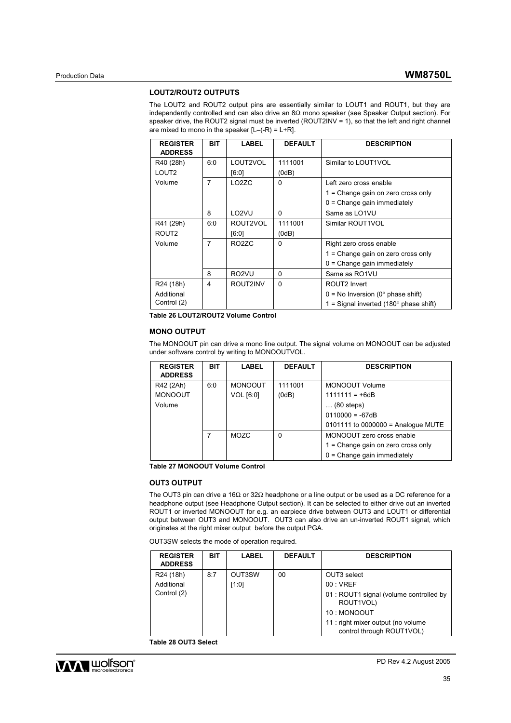#### **LOUT2/ROUT2 OUTPUTS**

The LOUT2 and ROUT2 output pins are essentially similar to LOUT1 and ROUT1, but they are independently controlled and can also drive an 8Ω mono speaker (see Speaker Output section). For speaker drive, the ROUT2 signal must be inverted (ROUT2INV = 1), so that the left and right channel are mixed to mono in the speaker  $[L-(-R) = L+R]$ .

| <b>REGISTER</b><br><b>ADDRESS</b> | <b>BIT</b> | LABEL              | <b>DEFAULT</b> | <b>DESCRIPTION</b>                            |
|-----------------------------------|------------|--------------------|----------------|-----------------------------------------------|
| R40 (28h)                         | 6:0        | LOUT2VOL           | 1111001        | Similar to LOUT1VOL                           |
| LOUT <sub>2</sub>                 |            | [6:0]              | (0dB)          |                                               |
| Volume                            | 7          | LO <sub>2</sub> ZC | $\Omega$       | Left zero cross enable                        |
|                                   |            |                    |                | $1 =$ Change gain on zero cross only          |
|                                   |            |                    |                | $0 =$ Change gain immediately                 |
|                                   | 8          | LO <sub>2</sub> VU | 0              | Same as LO1VU                                 |
| R41 (29h)                         | 6:0        | ROUT2VOL           | 1111001        | Similar ROUT1VOL                              |
| ROUT <sub>2</sub>                 |            | [6:0]              | (0dB)          |                                               |
| Volume                            | 7          | RO <sub>2</sub> ZC | $\Omega$       | Right zero cross enable                       |
|                                   |            |                    |                | $1 =$ Change gain on zero cross only          |
|                                   |            |                    |                | $0 =$ Change gain immediately                 |
|                                   | 8          | RO <sub>2</sub> VU | 0              | Same as RO1VU                                 |
| R24 (18h)                         | 4          | ROUT2INV           | $\Omega$       | ROUT2 Invert                                  |
| Additional                        |            |                    |                | $0 = No$ Inversion (0° phase shift)           |
| Control (2)                       |            |                    |                | 1 = Signal inverted $(180^\circ$ phase shift) |

**Table 26 LOUT2/ROUT2 Volume Control** 

## **MONO OUTPUT**

The MONOOUT pin can drive a mono line output. The signal volume on MONOOUT can be adjusted under software control by writing to MONOOUTVOL.

| <b>REGISTER</b><br><b>ADDRESS</b> | <b>BIT</b> | <b>LABEL</b>   | <b>DEFAULT</b> | <b>DESCRIPTION</b>                 |
|-----------------------------------|------------|----------------|----------------|------------------------------------|
| R42 (2Ah)                         | 6:0        | <b>MONOOUT</b> | 1111001        | MONOOUT Volume                     |
| <b>MONOOUT</b>                    |            | VOL [6:0]      | (0dB)          | $1111111 = +6dB$                   |
| Volume                            |            |                |                | $\ldots$ (80 steps)                |
|                                   |            |                |                | $0110000 = -67dB$                  |
|                                   |            |                |                | 0101111 to 0000000 = Analogue MUTE |
|                                   | 7          | MOZC           | 0              | MONOOUT zero cross enable          |
|                                   |            |                |                | 1 = Change gain on zero cross only |
|                                   |            |                |                | $0 =$ Change gain immediately      |

**Table 27 MONOOUT Volume Control** 

### **OUT3 OUTPUT**

The OUT3 pin can drive a 16Ω or 32Ω headphone or a line output or be used as a DC reference for a headphone output (see Headphone Output section). It can be selected to either drive out an inverted ROUT1 or inverted MONOOUT for e.g. an earpiece drive between OUT3 and LOUT1 or differential output between OUT3 and MONOOUT. OUT3 can also drive an un-inverted ROUT1 signal, which originates at the right mixer output before the output PGA.

OUT3SW selects the mode of operation required.

| <b>REGISTER</b><br><b>ADDRESS</b> | BIT | <b>LABEL</b> | <b>DEFAULT</b> | <b>DESCRIPTION</b>                                              |
|-----------------------------------|-----|--------------|----------------|-----------------------------------------------------------------|
| R24 (18h)                         | 8:7 | OUT3SW       | 00             | OUT3 select                                                     |
| Additional                        |     | 1:01         |                | 00:VREF                                                         |
| Control (2)                       |     |              |                | 01 : ROUT1 signal (volume controlled by<br>ROUT1VOL)            |
|                                   |     |              |                | 10: MONOOUT                                                     |
|                                   |     |              |                | 11 : right mixer output (no volume<br>control through ROUT1VOL) |

**Table 28 OUT3 Select** 

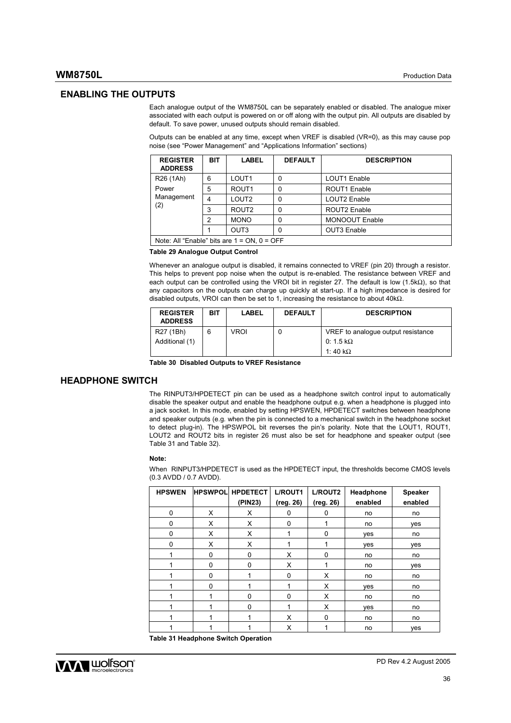### **ENABLING THE OUTPUTS**

Each analogue output of the WM8750L can be separately enabled or disabled. The analogue mixer associated with each output is powered on or off along with the output pin. All outputs are disabled by default. To save power, unused outputs should remain disabled.

Outputs can be enabled at any time, except when VREF is disabled (VR=0), as this may cause pop noise (see "Power Management" and "Applications Information" sections)

| <b>REGISTER</b><br><b>ADDRESS</b>                | <b>BIT</b> | <b>LABEL</b>      | <b>DEFAULT</b> | <b>DESCRIPTION</b>    |  |
|--------------------------------------------------|------------|-------------------|----------------|-----------------------|--|
| R <sub>26</sub> (1Ah)                            | 6          | LOUT <sub>1</sub> | 0              | LOUT1 Enable          |  |
| Power                                            | 5          | ROUT <sub>1</sub> | 0              | ROUT1 Enable          |  |
| Management                                       | 4          | LOUT <sub>2</sub> | 0              | LOUT2 Enable          |  |
| (2)                                              | 3          | ROUT <sub>2</sub> | 0              | ROUT2 Enable          |  |
|                                                  | 2          | <b>MONO</b>       | 0              | <b>MONOOUT Enable</b> |  |
|                                                  |            | OUT <sub>3</sub>  | 0              | OUT3 Enable           |  |
| Note: All "Enable" bits are $1 = ON$ , $0 = OFF$ |            |                   |                |                       |  |

#### **Table 29 Analogue Output Control**

Whenever an analogue output is disabled, it remains connected to VREF (pin 20) through a resistor. This helps to prevent pop noise when the output is re-enabled. The resistance between VREF and each output can be controlled using the VROI bit in register 27. The default is low (1.5kΩ), so that any capacitors on the outputs can charge up quickly at start-up. If a high impedance is desired for disabled outputs, VROI can then be set to 1, increasing the resistance to about 40kΩ.

| <b>REGISTER</b><br><b>ADDRESS</b> | BIT | <b>LABEL</b> | <b>DEFAULT</b> | <b>DESCRIPTION</b>                                                         |
|-----------------------------------|-----|--------------|----------------|----------------------------------------------------------------------------|
| R27 (1Bh)<br>Additional (1)       | 6   | VROI         | 0              | VREF to analogue output resistance<br>0: 1.5 k $\Omega$<br>1:40 k $\Omega$ |

**Table 30 Disabled Outputs to VREF Resistance** 

## **HEADPHONE SWITCH**

The RINPUT3/HPDETECT pin can be used as a headphone switch control input to automatically disable the speaker output and enable the headphone output e.g. when a headphone is plugged into a jack socket. In this mode, enabled by setting HPSWEN, HPDETECT switches between headphone and speaker outputs (e.g. when the pin is connected to a mechanical switch in the headphone socket to detect plug-in). The HPSWPOL bit reverses the pin's polarity. Note that the LOUT1, ROUT1, LOUT2 and ROUT2 bits in register 26 must also be set for headphone and speaker output (see Table 31 and Table 32).

#### **Note:**

When RINPUT3/HPDETECT is used as the HPDETECT input, the thresholds become CMOS levels (0.3 AVDD / 0.7 AVDD).

| <b>HPSWEN</b> |          | <b>HPSWPOL HPDETECT</b> | L/ROUT1      | L/ROUT2      | Headphone | <b>Speaker</b> |
|---------------|----------|-------------------------|--------------|--------------|-----------|----------------|
|               |          | (PIN23)                 | (reg. 26)    | (reg. 26)    | enabled   | enabled        |
| $\mathbf 0$   | X        | X                       | 0            | 0            | no        | no             |
| $\Omega$      | X        | X                       | $\mathbf 0$  | 1            | no        | yes            |
| $\Omega$      | X        | X                       | 1            | 0            | yes       | no             |
| $\Omega$      | X        | X                       |              | 4            | yes       | yes            |
|               | $\Omega$ | $\Omega$                | X            | $\mathbf{0}$ | no        | no             |
|               | 0        | 0                       | X            | 1            | no        | ves            |
|               | 0        |                         | $\Omega$     | X            | no        | no             |
|               | 0        |                         | 1            | X            | yes       | no             |
|               | 1        | $\Omega$                | $\mathbf{0}$ | X            | no        | no             |
|               | 1        | $\Omega$                | 1            | X            | ves       | no             |
|               | 1        |                         | X            | $\mathbf{0}$ | no        | no             |
|               | 1        |                         | X            | 1            | no        | ves            |

**Table 31 Headphone Switch Operation** 

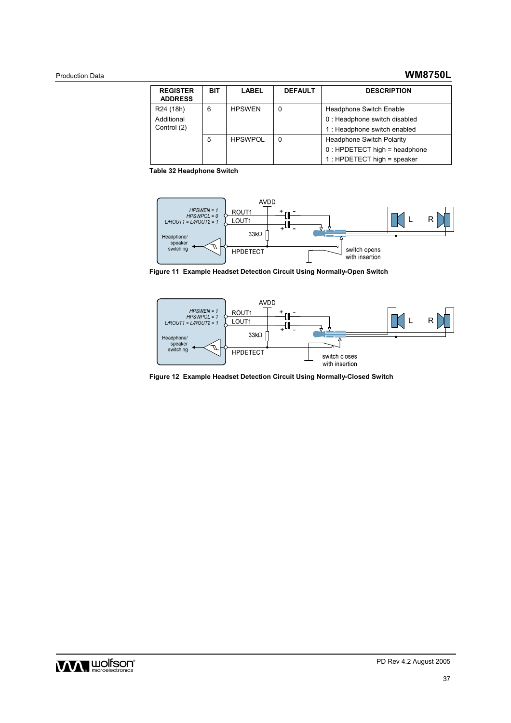# Production Data **WM8750L**

| <b>REGISTER</b><br><b>ADDRESS</b> | <b>BIT</b> | <b>LABEL</b>   | <b>DEFAULT</b> | <b>DESCRIPTION</b>               |
|-----------------------------------|------------|----------------|----------------|----------------------------------|
| R24 (18h)                         | 6          | <b>HPSWEN</b>  | 0              | <b>Headphone Switch Enable</b>   |
| Additional                        |            |                |                | 0 : Headphone switch disabled    |
| Control (2)                       |            |                |                | 1 : Headphone switch enabled     |
|                                   | 5          | <b>HPSWPOL</b> | 0              | <b>Headphone Switch Polarity</b> |
|                                   |            |                |                | $0:$ HPDETECT high = headphone   |
|                                   |            |                |                | $1:$ HPDETECT high = speaker     |

**Table 32 Headphone Switch** 



**Figure 11 Example Headset Detection Circuit Using Normally-Open Switch** 



**Figure 12 Example Headset Detection Circuit Using Normally-Closed Switch** 

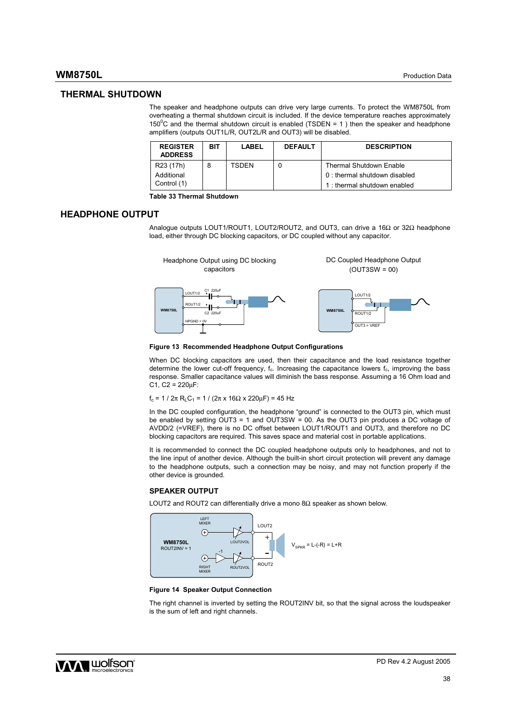## **WM8750L** Production Data

### **THERMAL SHUTDOWN**

The speaker and headphone outputs can drive very large currents. To protect the WM8750L from overheating a thermal shutdown circuit is included. If the device temperature reaches approximately 150<sup>°</sup>C and the thermal shutdown circuit is enabled (TSDEN = 1) then the speaker and headphone amplifiers (outputs OUT1L/R, OUT2L/R and OUT3) will be disabled.

| <b>REGISTER</b><br><b>ADDRESS</b> | BIT | LABEL | <b>DEFAULT</b> | <b>DESCRIPTION</b>            |
|-----------------------------------|-----|-------|----------------|-------------------------------|
| R23 (17h)                         | 8   | TSDEN |                | Thermal Shutdown Enable       |
| Additional                        |     |       |                | 0 : thermal shutdown disabled |
| Control (1)                       |     |       |                | 1: thermal shutdown enabled   |

**Table 33 Thermal Shutdown** 

## **HEADPHONE OUTPUT**

Analogue outputs LOUT1/ROUT1, LOUT2/ROUT2, and OUT3, can drive a 16Ω or 32Ω headphone load, either through DC blocking capacitors, or DC coupled without any capacitor.



#### **Figure 13 Recommended Headphone Output Configurations**

When DC blocking capacitors are used, then their capacitance and the load resistance together determine the lower cut-off frequency, f<sub>c</sub>. Increasing the capacitance lowers f<sub>c</sub>, improving the bass response. Smaller capacitance values will diminish the bass response. Assuming a 16 Ohm load and  $C1, C2 = 220 \mu F$ :

 $f_c = 1 / 2π R<sub>L</sub>C<sub>1</sub> = 1 / (2π x 16Ω x 220μF) = 45 Hz$ 

In the DC coupled configuration, the headphone "ground" is connected to the OUT3 pin, which must be enabled by setting OUT3 = 1 and OUT3SW = 00. As the OUT3 pin produces a DC voltage of AVDD/2 (=VREF), there is no DC offset between LOUT1/ROUT1 and OUT3, and therefore no DC blocking capacitors are required. This saves space and material cost in portable applications.

It is recommended to connect the DC coupled headphone outputs only to headphones, and not to the line input of another device. Although the built-in short circuit protection will prevent any damage to the headphone outputs, such a connection may be noisy, and may not function properly if the other device is grounded.

#### **SPEAKER OUTPUT**

LOUT2 and ROUT2 can differentially drive a mono  $8Ω$  speaker as shown below.



#### **Figure 14 Speaker Output Connection**

The right channel is inverted by setting the ROUT2INV bit, so that the signal across the loudspeaker is the sum of left and right channels.

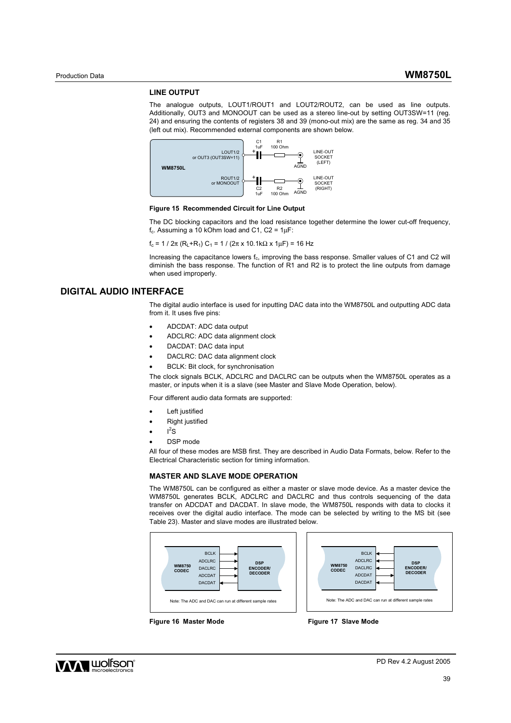#### **LINE OUTPUT**

The analogue outputs, LOUT1/ROUT1 and LOUT2/ROUT2, can be used as line outputs. Additionally, OUT3 and MONOOUT can be used as a stereo line-out by setting OUT3SW=11 (reg. 24) and ensuring the contents of registers 38 and 39 (mono-out mix) are the same as reg. 34 and 35 (left out mix). Recommended external components are shown below.



#### **Figure 15 Recommended Circuit for Line Output**

The DC blocking capacitors and the load resistance together determine the lower cut-off frequency,  $f_c$ . Assuming a 10 kOhm load and C1, C2 = 1 $\mu$ F:

 $f_c = 1 / 2π (R_1 + R_1) C_1 = 1 / (2π x 10.1kΩ x 1μF) = 16 Hz$ 

Increasing the capacitance lowers  $f_c$ , improving the bass response. Smaller values of C1 and C2 will diminish the bass response. The function of R1 and R2 is to protect the line outputs from damage when used improperly.

## **DIGITAL AUDIO INTERFACE**

The digital audio interface is used for inputting DAC data into the WM8750L and outputting ADC data from it. It uses five pins:

- ADCDAT: ADC data output
- ADCLRC: ADC data alignment clock
- DACDAT: DAC data input
- DACLRC: DAC data alignment clock
- BCLK: Bit clock, for synchronisation

The clock signals BCLK, ADCLRC and DACLRC can be outputs when the WM8750L operates as a master, or inputs when it is a slave (see Master and Slave Mode Operation, below).

Four different audio data formats are supported:

- Left justified
- Right justified
- $\cdot$   $I^2S$
- DSP mode

All four of these modes are MSB first. They are described in Audio Data Formats, below. Refer to the Electrical Characteristic section for timing information.

#### **MASTER AND SLAVE MODE OPERATION**

The WM8750L can be configured as either a master or slave mode device. As a master device the WM8750L generates BCLK, ADCLRC and DACLRC and thus controls sequencing of the data transfer on ADCDAT and DACDAT. In slave mode, the WM8750L responds with data to clocks it receives over the digital audio interface. The mode can be selected by writing to the MS bit (see Table 23). Master and slave modes are illustrated below.



Figure 16 Master Mode **Figure 17 Slave Mode** 

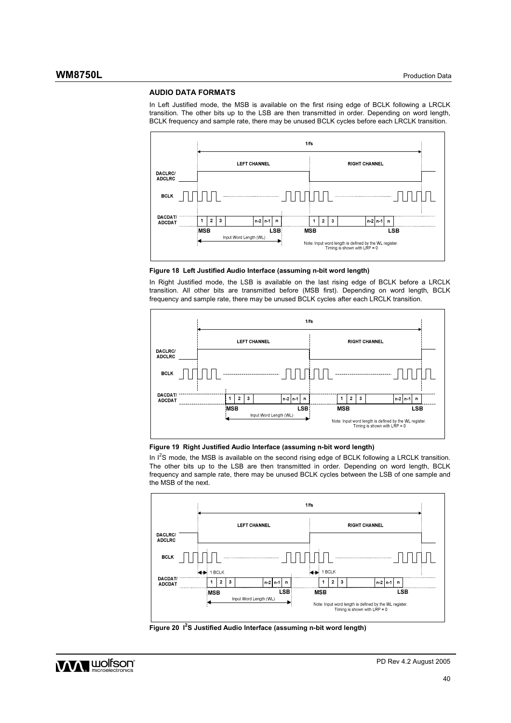#### **AUDIO DATA FORMATS**

In Left Justified mode, the MSB is available on the first rising edge of BCLK following a LRCLK transition. The other bits up to the LSB are then transmitted in order. Depending on word length, BCLK frequency and sample rate, there may be unused BCLK cycles before each LRCLK transition.



**Figure 18 Left Justified Audio Interface (assuming n-bit word length)** 

In Right Justified mode, the LSB is available on the last rising edge of BCLK before a LRCLK transition. All other bits are transmitted before (MSB first). Depending on word length, BCLK frequency and sample rate, there may be unused BCLK cycles after each LRCLK transition.



### **Figure 19 Right Justified Audio Interface (assuming n-bit word length)**

In  $I^2$ S mode, the MSB is available on the second rising edge of BCLK following a LRCLK transition. The other bits up to the LSB are then transmitted in order. Depending on word length, BCLK frequency and sample rate, there may be unused BCLK cycles between the LSB of one sample and the MSB of the next.



**Figure 20 I<sup>2</sup> S Justified Audio Interface (assuming n-bit word length)** 

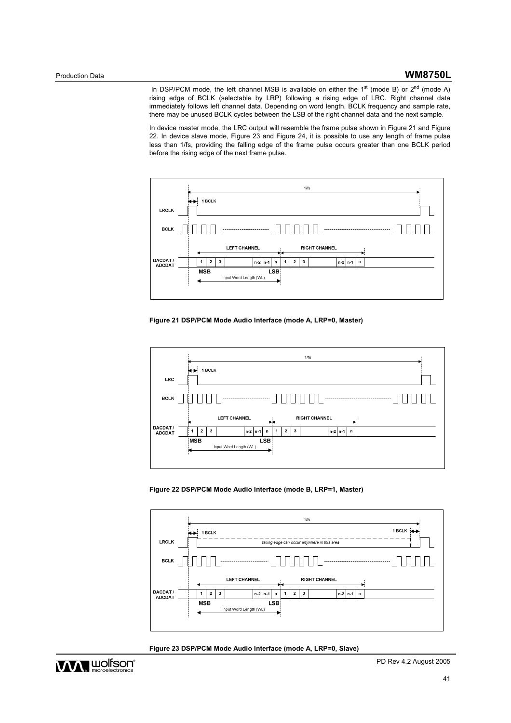In DSP/PCM mode, the left channel MSB is available on either the  $1<sup>st</sup>$  (mode B) or  $2<sup>nd</sup>$  (mode A) rising edge of BCLK (selectable by LRP) following a rising edge of LRC. Right channel data immediately follows left channel data. Depending on word length, BCLK frequency and sample rate, there may be unused BCLK cycles between the LSB of the right channel data and the next sample.

In device master mode, the LRC output will resemble the frame pulse shown in Figure 21 and Figure 22. In device slave mode, Figure 23 and Figure 24, it is possible to use any length of frame pulse less than 1/fs, providing the falling edge of the frame pulse occurs greater than one BCLK period before the rising edge of the next frame pulse.



**Figure 21 DSP/PCM Mode Audio Interface (mode A, LRP=0, Master)** 









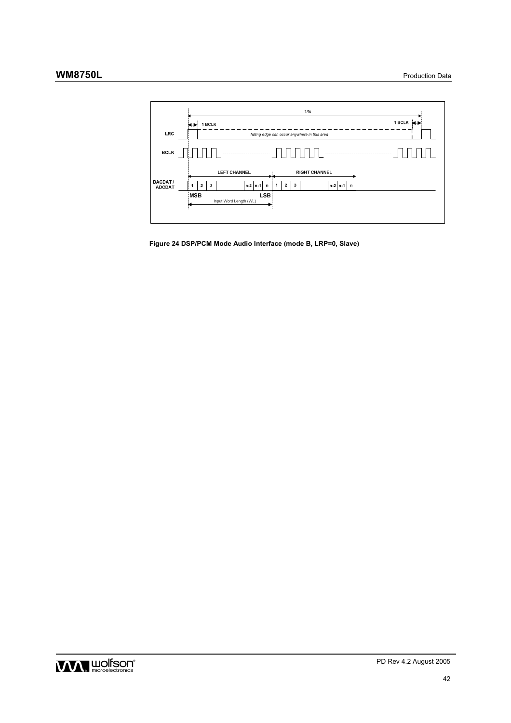

**Figure 24 DSP/PCM Mode Audio Interface (mode B, LRP=0, Slave)** 

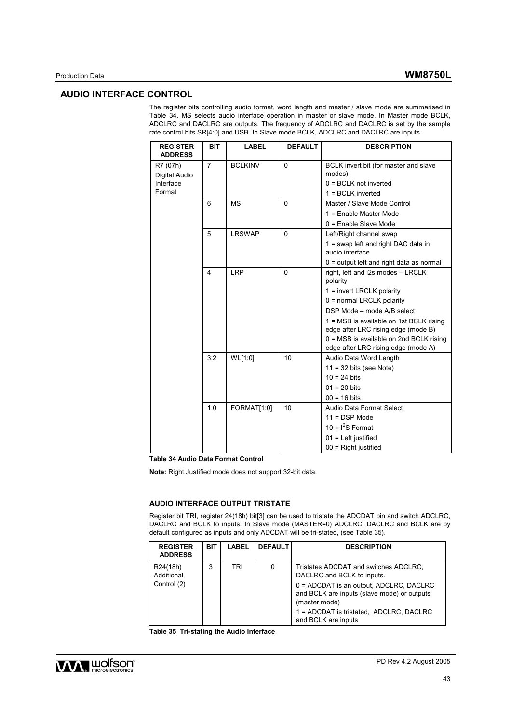# **AUDIO INTERFACE CONTROL**

The register bits controlling audio format, word length and master / slave mode are summarised in Table 34. MS selects audio interface operation in master or slave mode. In Master mode BCLK, ADCLRC and DACLRC are outputs. The frequency of ADCLRC and DACLRC is set by the sample rate control bits SR[4:0] and USB. In Slave mode BCLK, ADCLRC and DACLRC are inputs.

| <b>REGISTER</b><br><b>ADDRESS</b> | <b>BIT</b>              | <b>LABEL</b>   | <b>DEFAULT</b> | <b>DESCRIPTION</b>                                                             |
|-----------------------------------|-------------------------|----------------|----------------|--------------------------------------------------------------------------------|
| R7 (07h)<br>Digital Audio         | $\overline{7}$          | <b>BCLKINV</b> | $\mathbf{0}$   | BCLK invert bit (for master and slave<br>modes)                                |
| Interface                         |                         |                |                | $0 = BCLK$ not inverted                                                        |
| Format                            |                         |                |                | 1 = BCLK inverted                                                              |
|                                   | 6                       | <b>MS</b>      | $\Omega$       | Master / Slave Mode Control                                                    |
|                                   |                         |                |                | 1 = Enable Master Mode                                                         |
|                                   |                         |                |                | $0 =$ Enable Slave Mode                                                        |
|                                   | 5                       | <b>LRSWAP</b>  | $\Omega$       | Left/Right channel swap                                                        |
|                                   |                         |                |                | 1 = swap left and right DAC data in<br>audio interface                         |
|                                   |                         |                |                | $0 =$ output left and right data as normal                                     |
|                                   | $\overline{\mathbf{4}}$ | LRP            | $\mathbf{0}$   | right, left and i2s modes - LRCLK<br>polarity                                  |
|                                   |                         |                |                | $1 =$ invert LRCLK polarity                                                    |
|                                   |                         |                |                | 0 = normal LRCLK polarity                                                      |
|                                   |                         |                |                | DSP Mode - mode A/B select                                                     |
|                                   |                         |                |                | 1 = MSB is available on 1st BCLK rising<br>edge after LRC rising edge (mode B) |
|                                   |                         |                |                | $0 = MSB$ is available on 2nd BCLK rising                                      |
|                                   |                         |                |                | edge after LRC rising edge (mode A)                                            |
|                                   | 3:2                     | WL[1:0]        | 10             | Audio Data Word Length                                                         |
|                                   |                         |                |                | $11 = 32$ bits (see Note)                                                      |
|                                   |                         |                |                | $10 = 24$ bits                                                                 |
|                                   |                         |                |                | $01 = 20$ bits                                                                 |
|                                   |                         |                |                | $00 = 16$ bits                                                                 |
|                                   | 1:0                     | FORMAT[1:0]    | 10             | Audio Data Format Select                                                       |
|                                   |                         |                |                | $11 = DSP Mode$                                                                |
|                                   |                         |                |                | 10 = $I^2S$ Format                                                             |
|                                   |                         |                |                | $01$ = Left justified                                                          |
|                                   |                         |                |                | $00 =$ Right justified                                                         |

**Table 34 Audio Data Format Control** 

**Note:** Right Justified mode does not support 32-bit data.

#### **AUDIO INTERFACE OUTPUT TRISTATE**

Register bit TRI, register 24(18h) bit[3] can be used to tristate the ADCDAT pin and switch ADCLRC, DACLRC and BCLK to inputs. In Slave mode (MASTER=0) ADCLRC, DACLRC and BCLK are by default configured as inputs and only ADCDAT will be tri-stated, (see Table 35).

| <b>REGISTER</b><br><b>ADDRESS</b> | <b>BIT</b> | LABEL | <b>DEFAULT</b> | <b>DESCRIPTION</b>                                                                                        |
|-----------------------------------|------------|-------|----------------|-----------------------------------------------------------------------------------------------------------|
| R24(18h)<br>Additional            | 3          | TRI   | 0              | Tristates ADCDAT and switches ADCLRC,<br>DACLRC and BCLK to inputs.                                       |
| Control (2)                       |            |       |                | $0 = ADCDAT$ is an output, ADCLRC, DACLRC<br>and BCLK are inputs (slave mode) or outputs<br>(master mode) |
|                                   |            |       |                | 1 = ADCDAT is tristated, ADCLRC, DACLRC<br>and BCLK are inputs                                            |

**Table 35 Tri-stating the Audio Interface** 

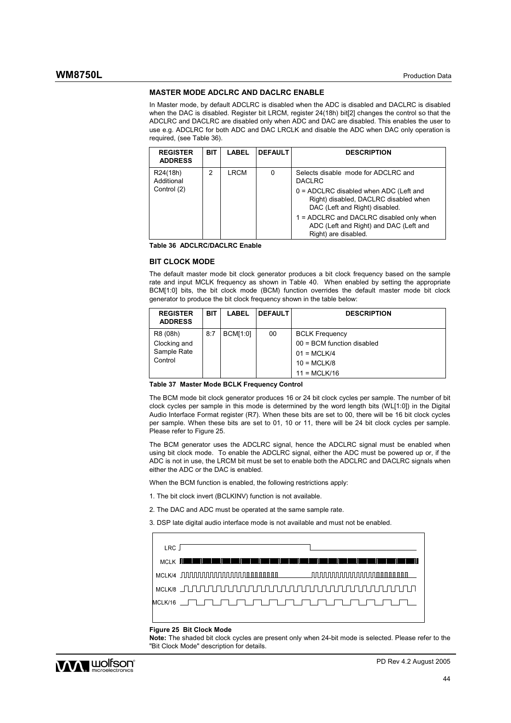#### **MASTER MODE ADCLRC AND DACLRC ENABLE**

In Master mode, by default ADCLRC is disabled when the ADC is disabled and DACLRC is disabled when the DAC is disabled. Register bit LRCM, register 24(18h) bit[2] changes the control so that the ADCLRC and DACLRC are disabled only when ADC and DAC are disabled. This enables the user to use e.g. ADCLRC for both ADC and DAC LRCLK and disable the ADC when DAC only operation is required, (see Table 36).

| <b>REGISTER</b><br><b>ADDRESS</b> | <b>BIT</b> | <b>LABEL</b> | <b>DEFAULT</b> | <b>DESCRIPTION</b>                                                                                                  |
|-----------------------------------|------------|--------------|----------------|---------------------------------------------------------------------------------------------------------------------|
| R24(18h)<br>Additional            | 2          | LRCM         | 0              | Selects disable mode for ADCLRC and<br><b>DACLRC</b>                                                                |
| Control (2)                       |            |              |                | $0 = ADCIRC$ disabled when ADC (Left and<br>Right) disabled, DACLRC disabled when<br>DAC (Left and Right) disabled. |
|                                   |            |              |                | 1 = ADCLRC and DACLRC disabled only when<br>ADC (Left and Right) and DAC (Left and<br>Right) are disabled.          |

**Table 36 ADCLRC/DACLRC Enable** 

#### **BIT CLOCK MODE**

The default master mode bit clock generator produces a bit clock frequency based on the sample rate and input MCLK frequency as shown in Table 40. When enabled by setting the appropriate BCM[1:0] bits, the bit clock mode (BCM) function overrides the default master mode bit clock generator to produce the bit clock frequency shown in the table below:

| <b>REGISTER</b><br><b>ADDRESS</b>                  | <b>BIT</b> | <b>LABEL</b>    | <b>DEFAULT</b> | <b>DESCRIPTION</b>                                                                                        |
|----------------------------------------------------|------------|-----------------|----------------|-----------------------------------------------------------------------------------------------------------|
| R8 (08h)<br>Clocking and<br>Sample Rate<br>Control | 8:7        | <b>BCM[1:0]</b> | 00             | <b>BCLK Frequency</b><br>$00 = BCM$ function disabled<br>$01 = MCLK/4$<br>$10 = MCLK/8$<br>$11 = MCLK/16$ |

**Table 37 Master Mode BCLK Frequency Control** 

The BCM mode bit clock generator produces 16 or 24 bit clock cycles per sample. The number of bit clock cycles per sample in this mode is determined by the word length bits (WL[1:0]) in the Digital Audio Interface Format register (R7). When these bits are set to 00, there will be 16 bit clock cycles per sample. When these bits are set to 01, 10 or 11, there will be 24 bit clock cycles per sample. Please refer to Figure 25.

The BCM generator uses the ADCLRC signal, hence the ADCLRC signal must be enabled when using bit clock mode. To enable the ADCLRC signal, either the ADC must be powered up or, if the ADC is not in use, the LRCM bit must be set to enable both the ADCLRC and DACLRC signals when either the ADC or the DAC is enabled.

When the BCM function is enabled, the following restrictions apply:

- 1. The bit clock invert (BCLKINV) function is not available.
- 2. The DAC and ADC must be operated at the same sample rate.

3. DSP late digital audio interface mode is not available and must not be enabled.

| LRC I |                                                                                                                                                                                                                                |  |
|-------|--------------------------------------------------------------------------------------------------------------------------------------------------------------------------------------------------------------------------------|--|
|       | MCLK THE TELEVISION OF THE RESIDENCE OF THE RESIDENCE OF THE RESIDENCE OF THE RESIDENCE OF THE RESIDENCE OF THE RESIDENCE OF THE RESIDENCE OF THE RESIDENCE OF THE RESIDENCE OF THE RESIDENCE OF THE RESIDENCE OF THE RESIDENC |  |
|       |                                                                                                                                                                                                                                |  |
|       |                                                                                                                                                                                                                                |  |
|       |                                                                                                                                                                                                                                |  |
|       |                                                                                                                                                                                                                                |  |

#### **Figure 25 Bit Clock Mode**

**Note:** The shaded bit clock cycles are present only when 24-bit mode is selected. Please refer to the "Bit Clock Mode" description for details.

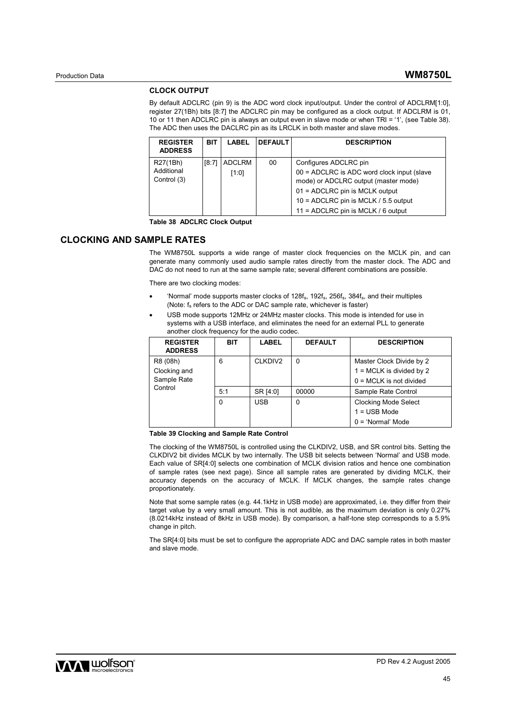#### **CLOCK OUTPUT**

By default ADCLRC (pin 9) is the ADC word clock input/output. Under the control of ADCLRM[1:0], register 27(1Bh) bits [8:7] the ADCLRC pin may be configured as a clock output. If ADCLRM is 01, 10 or 11 then ADCLRC pin is always an output even in slave mode or when TRI = '1', (see Table 38). The ADC then uses the DACLRC pin as its LRCLK in both master and slave modes.

| <b>REGISTER</b><br><b>ADDRESS</b> | BIT   | LABEL         | <b>DEFAULT</b> | <b>DESCRIPTION</b>                         |
|-----------------------------------|-------|---------------|----------------|--------------------------------------------|
| R27(1Bh)                          | 18:71 | <b>ADCLRM</b> | 00             | Configures ADCLRC pin                      |
| Additional                        |       | [1:0]         |                | 00 = ADCLRC is ADC word clock input (slave |
| Control (3)                       |       |               |                | mode) or ADCLRC output (master mode)       |
|                                   |       |               |                | $01 = ADCLRC$ pin is MCLK output           |
|                                   |       |               |                | 10 = ADCLRC pin is MCLK $/$ 5.5 output     |
|                                   |       |               |                | 11 = ADCLRC pin is MCLK / 6 output         |

**Table 38 ADCLRC Clock Output** 

# **CLOCKING AND SAMPLE RATES**

The WM8750L supports a wide range of master clock frequencies on the MCLK pin, and can generate many commonly used audio sample rates directly from the master clock. The ADC and DAC do not need to run at the same sample rate; several different combinations are possible.

There are two clocking modes:

- 'Normal' mode supports master clocks of  $128f_s$ ,  $192f_s$ ,  $256f_s$ ,  $384f_s$ , and their multiples (Note: fs refers to the ADC or DAC sample rate, whichever is faster)
- USB mode supports 12MHz or 24MHz master clocks. This mode is intended for use in systems with a USB interface, and eliminates the need for an external PLL to generate another clock frequency for the audio codec.

| <b>REGISTER</b><br><b>ADDRESS</b> | BIT | <b>LABEL</b> | <b>DEFAULT</b> | <b>DESCRIPTION</b>          |
|-----------------------------------|-----|--------------|----------------|-----------------------------|
| R8 (08h)                          | 6   | CLKDIV2      | 0              | Master Clock Divide by 2    |
| Clocking and                      |     |              |                | $1 = MCLK$ is divided by 2  |
| Sample Rate                       |     |              |                | $0 = MCLK$ is not divided   |
| Control                           | 5:1 | SR [4:0]     | 00000          | Sample Rate Control         |
|                                   | 0   | <b>USB</b>   | 0              | <b>Clocking Mode Select</b> |
|                                   |     |              |                | $1 =$ USB Mode              |
|                                   |     |              |                | $0 = 'Normal' Mode$         |

#### **Table 39 Clocking and Sample Rate Control**

The clocking of the WM8750L is controlled using the CLKDIV2, USB, and SR control bits. Setting the CLKDIV2 bit divides MCLK by two internally. The USB bit selects between 'Normal' and USB mode. Each value of SR[4:0] selects one combination of MCLK division ratios and hence one combination of sample rates (see next page). Since all sample rates are generated by dividing MCLK, their accuracy depends on the accuracy of MCLK. If MCLK changes, the sample rates change proportionately.

Note that some sample rates (e.g. 44.1kHz in USB mode) are approximated, i.e. they differ from their target value by a very small amount. This is not audible, as the maximum deviation is only 0.27% (8.0214kHz instead of 8kHz in USB mode). By comparison, a half-tone step corresponds to a 5.9% change in pitch.

The SR[4:0] bits must be set to configure the appropriate ADC and DAC sample rates in both master and slave mode.

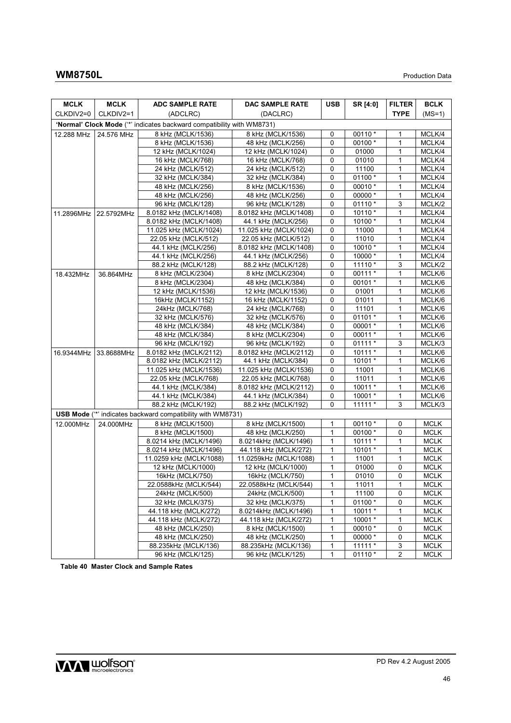| <b>MCLK</b> | <b>MCLK</b>           | <b>ADC SAMPLE RATE</b>                                                 | DAC SAMPLE RATE        | <b>USB</b>   | SR [4:0]  | <b>FILTER</b>  | <b>BCLK</b> |
|-------------|-----------------------|------------------------------------------------------------------------|------------------------|--------------|-----------|----------------|-------------|
| CLKDIV2=0   | CLKDIV2=1             | (ADCLRC)                                                               | (DACLRC)               |              |           | <b>TYPE</b>    | $(MS=1)$    |
|             |                       | 'Normal' Clock Mode ("*' indicates backward compatibility with WM8731) |                        |              |           |                |             |
| 12.288 MHz  | 24.576 MHz            | 8 kHz (MCLK/1536)                                                      | 8 kHz (MCLK/1536)      | 0            | $00110 *$ | 1              | MCLK/4      |
|             |                       | 8 kHz (MCLK/1536)                                                      | 48 kHz (MCLK/256)      | 0            | 00100 *   | 1              | MCLK/4      |
|             |                       | 12 kHz (MCLK/1024)                                                     | 12 kHz (MCLK/1024)     | 0            | 01000     | $\mathbf{1}$   | MCLK/4      |
|             |                       | 16 kHz (MCLK/768)                                                      | 16 kHz (MCLK/768)      | 0            | 01010     | $\mathbf{1}$   | MCLK/4      |
|             |                       | 24 kHz (MCLK/512)                                                      | 24 kHz (MCLK/512)      | 0            | 11100     | 1              | MCLK/4      |
|             |                       | 32 kHz (MCLK/384)                                                      | 32 kHz (MCLK/384)      | $\mathbf 0$  | 01100 *   | $\mathbf{1}$   | MCLK/4      |
|             |                       | 48 kHz (MCLK/256)                                                      | 8 kHz (MCLK/1536)      | $\mathbf 0$  | 00010 *   | 1              | MCLK/4      |
|             |                       | 48 kHz (MCLK/256)                                                      | 48 kHz (MCLK/256)      | 0            | 00000 *   | 1              | MCLK/4      |
|             |                       | 96 kHz (MCLK/128)                                                      | 96 kHz (MCLK/128)      | 0            | $01110*$  | 3              | MCLK/2      |
|             | 11.2896MHz 22.5792MHz | 8.0182 kHz (MCLK/1408)                                                 | 8.0182 kHz (MCLK/1408) | 0            | $10110*$  | $\mathbf{1}$   | MCLK/4      |
|             |                       | 8.0182 kHz (MCLK/1408)                                                 | 44.1 kHz (MCLK/256)    | 0            | 10100 *   | 1              | MCLK/4      |
|             |                       | 11.025 kHz (MCLK/1024)                                                 | 11.025 kHz (MCLK/1024) | 0            | 11000     | $\mathbf{1}$   | MCLK/4      |
|             |                       | 22.05 kHz (MCLK/512)                                                   | 22.05 kHz (MCLK/512)   | $\mathbf 0$  | 11010     | $\mathbf{1}$   | MCLK/4      |
|             |                       | 44.1 kHz (MCLK/256)                                                    | 8.0182 kHz (MCLK/1408) | 0            | 10010 *   | 1              | MCLK/4      |
|             |                       | 44.1 kHz (MCLK/256)                                                    | 44.1 kHz (MCLK/256)    | 0            | 10000 *   | 1              | MCLK/4      |
|             |                       | 88.2 kHz (MCLK/128)                                                    | 88.2 kHz (MCLK/128)    | 0            | $11110*$  | 3              | MCLK/2      |
| 18.432MHz   | 36.864MHz             | 8 kHz (MCLK/2304)                                                      | 8 kHz (MCLK/2304)      | 0            | 00111 *   | 1              | MCLK/6      |
|             |                       | 8 kHz (MCLK/2304)                                                      | 48 kHz (MCLK/384)      | 0            | 00101 *   | 1              | MCLK/6      |
|             |                       | 12 kHz (MCLK/1536)                                                     | 12 kHz (MCLK/1536)     | 0            | 01001     | $\mathbf{1}$   | MCLK/6      |
|             |                       | 16kHz (MCLK/1152)                                                      | 16 kHz (MCLK/1152)     | 0            | 01011     | $\mathbf{1}$   | MCLK/6      |
|             |                       | 24kHz (MCLK/768)                                                       | 24 kHz (MCLK/768)      | 0            | 11101     | 1              | MCLK/6      |
|             |                       | 32 kHz (MCLK/576)                                                      | 32 kHz (MCLK/576)      | 0            | 01101 *   | $\mathbf{1}$   | MCLK/6      |
|             |                       | 48 kHz (MCLK/384)                                                      | 48 kHz (MCLK/384)      | $\mathbf 0$  | 00001 *   | $\mathbf{1}$   | MCLK/6      |
|             |                       | 48 kHz (MCLK/384)                                                      | 8 kHz (MCLK/2304)      | 0            | 00011 *   | 1              | MCLK/6      |
|             |                       | 96 kHz (MCLK/192)                                                      | 96 kHz (MCLK/192)      | 0            | $01111*$  | 3              | MCLK/3      |
|             | 16.9344MHz 33.8688MHz | 8.0182 kHz (MCLK/2112)                                                 | 8.0182 kHz (MCLK/2112) | 0            | $10111*$  | $\mathbf{1}$   | MCLK/6      |
|             |                       | 8.0182 kHz (MCLK/2112)                                                 | 44.1 kHz (MCLK/384)    | 0            | $10101*$  | 1              | MCLK/6      |
|             |                       | 11.025 kHz (MCLK/1536)                                                 | 11.025 kHz (MCLK/1536) | 0            | 11001     | 1              | MCLK/6      |
|             |                       | 22.05 kHz (MCLK/768)                                                   | 22.05 kHz (MCLK/768)   | 0            | 11011     | $\mathbf{1}$   | MCLK/6      |
|             |                       | 44.1 kHz (MCLK/384)                                                    | 8.0182 kHz (MCLK/2112) | 0            | 10011 *   | 1              | MCLK/6      |
|             |                       | 44.1 kHz (MCLK/384)                                                    | 44.1 kHz (MCLK/384)    | 0            | 10001 *   | 1              | MCLK/6      |
|             |                       | 88.2 kHz (MCLK/192)                                                    | 88.2 kHz (MCLK/192)    | 0            | $11111*$  | 3              | MCLK/3      |
|             |                       | <b>USB Mode</b> (** indicates backward compatibility with WM8731)      |                        |              |           |                |             |
| 12.000MHz   | 24.000MHz             | 8 kHz (MCLK/1500)                                                      | 8 kHz (MCLK/1500)      | 1            | 00110 *   | 0              | <b>MCLK</b> |
|             |                       | 8 kHz (MCLK/1500)                                                      | 48 kHz (MCLK/250)      | 1            | 00100 *   | 0              | <b>MCLK</b> |
|             |                       | 8.0214 kHz (MCLK/1496)                                                 | 8.0214kHz (MCLK/1496)  | 1            | $10111*$  | $\mathbf{1}$   | <b>MCLK</b> |
|             |                       | 8.0214 kHz (MCLK/1496)                                                 | 44.118 kHz (MCLK/272)  | 1            | 10101 *   | $\mathbf{1}$   | <b>MCLK</b> |
|             |                       | 11.0259 kHz (MCLK/1088)                                                | 11.0259kHz (MCLK/1088) | 1            | 11001     | 1              | <b>MCLK</b> |
|             |                       | 12 kHz (MCLK/1000)                                                     | 12 kHz (MCLK/1000)     | 1            | 01000     | $\mathbf 0$    | <b>MCLK</b> |
|             |                       | 16kHz (MCLK/750)                                                       | 16kHz (MCLK/750)       | $\mathbf{1}$ | 01010     | $\mathbf 0$    | <b>MCLK</b> |
|             |                       | 22.0588kHz (MCLK/544)                                                  | 22.0588kHz (MCLK/544)  | 1            | 11011     | 1              | <b>MCLK</b> |
|             |                       | 24kHz (MCLK/500)                                                       | 24kHz (MCLK/500)       | 1            | 11100     | 0              | <b>MCLK</b> |
|             |                       | 32 kHz (MCLK/375)                                                      | 32 kHz (MCLK/375)      | 1            | 01100 *   | 0              | <b>MCLK</b> |
|             |                       | 44.118 kHz (MCLK/272)                                                  | 8.0214kHz (MCLK/1496)  | 1            | 10011 *   | 1              | <b>MCLK</b> |
|             |                       | 44.118 kHz (MCLK/272)                                                  | 44.118 kHz (MCLK/272)  | 1            | 10001 *   | 1              | <b>MCLK</b> |
|             |                       | 48 kHz (MCLK/250)                                                      | 8 kHz (MCLK/1500)      | 1            | 00010 *   | 0              | <b>MCLK</b> |
|             |                       | 48 kHz (MCLK/250)                                                      | 48 kHz (MCLK/250)      | $\mathbf{1}$ | 00000*    | $\mathbf 0$    | <b>MCLK</b> |
|             |                       | 88.235kHz (MCLK/136)                                                   | 88.235kHz (MCLK/136)   | 1            | $11111*$  | 3              | <b>MCLK</b> |
|             |                       | 96 kHz (MCLK/125)                                                      | 96 kHz (MCLK/125)      | 1            | 01110 *   | $\overline{2}$ | <b>MCLK</b> |

**Table 40 Master Clock and Sample Rates** 

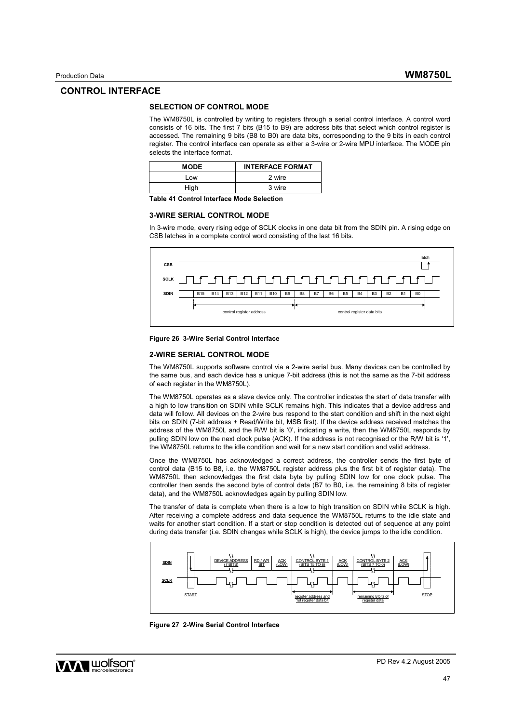## **CONTROL INTERFACE**

#### **SELECTION OF CONTROL MODE**

The WM8750L is controlled by writing to registers through a serial control interface. A control word consists of 16 bits. The first 7 bits (B15 to B9) are address bits that select which control register is accessed. The remaining 9 bits (B8 to B0) are data bits, corresponding to the 9 bits in each control register. The control interface can operate as either a 3-wire or 2-wire MPU interface. The MODE pin selects the interface format.

| <b>MODE</b> | <b>INTERFACE FORMAT</b> |
|-------------|-------------------------|
| l ow        | 2 wire                  |
| High        | 3 wire                  |

**Table 41 Control Interface Mode Selection** 

#### **3-WIRE SERIAL CONTROL MODE**

In 3-wire mode, every rising edge of SCLK clocks in one data bit from the SDIN pin. A rising edge on CSB latches in a complete control word consisting of the last 16 bits.



**Figure 26 3-Wire Serial Control Interface** 

#### **2-WIRE SERIAL CONTROL MODE**

The WM8750L supports software control via a 2-wire serial bus. Many devices can be controlled by the same bus, and each device has a unique 7-bit address (this is not the same as the 7-bit address of each register in the WM8750L).

The WM8750L operates as a slave device only. The controller indicates the start of data transfer with a high to low transition on SDIN while SCLK remains high. This indicates that a device address and data will follow. All devices on the 2-wire bus respond to the start condition and shift in the next eight bits on SDIN (7-bit address + Read/Write bit, MSB first). If the device address received matches the address of the WM8750L and the R/W bit is '0', indicating a write, then the WM8750L responds by pulling SDIN low on the next clock pulse (ACK). If the address is not recognised or the R/W bit is '1', the WM8750L returns to the idle condition and wait for a new start condition and valid address.

Once the WM8750L has acknowledged a correct address, the controller sends the first byte of control data (B15 to B8, i.e. the WM8750L register address plus the first bit of register data). The WM8750L then acknowledges the first data byte by pulling SDIN low for one clock pulse. The controller then sends the second byte of control data (B7 to B0, i.e. the remaining 8 bits of register data), and the WM8750L acknowledges again by pulling SDIN low.

The transfer of data is complete when there is a low to high transition on SDIN while SCLK is high. After receiving a complete address and data sequence the WM8750L returns to the idle state and waits for another start condition. If a start or stop condition is detected out of sequence at any point during data transfer (i.e. SDIN changes while SCLK is high), the device jumps to the idle condition.



**Figure 27 2-Wire Serial Control Interface** 

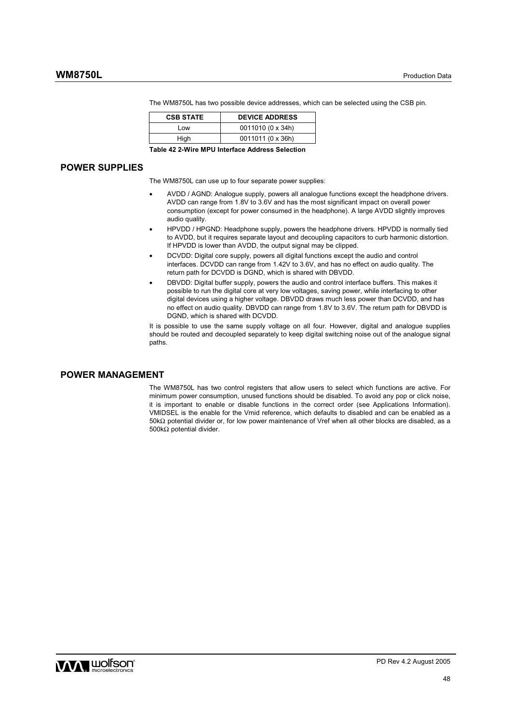| <b>CSB STATE</b> | <b>DEVICE ADDRESS</b> |
|------------------|-----------------------|
| Low              | 0011010 (0 x 34h)     |
| High             | 0011011 (0 x 36h)     |

The WM8750L has two possible device addresses, which can be selected using the CSB pin.

**Table 42 2-Wire MPU Interface Address Selection** 

## **POWER SUPPLIES**

The WM8750L can use up to four separate power supplies:

- AVDD / AGND: Analogue supply, powers all analogue functions except the headphone drivers. AVDD can range from 1.8V to 3.6V and has the most significant impact on overall power consumption (except for power consumed in the headphone). A large AVDD slightly improves audio quality.
- HPVDD / HPGND: Headphone supply, powers the headphone drivers. HPVDD is normally tied to AVDD, but it requires separate layout and decoupling capacitors to curb harmonic distortion. If HPVDD is lower than AVDD, the output signal may be clipped.
- DCVDD: Digital core supply, powers all digital functions except the audio and control interfaces. DCVDD can range from 1.42V to 3.6V, and has no effect on audio quality. The return path for DCVDD is DGND, which is shared with DBVDD.
- DBVDD: Digital buffer supply, powers the audio and control interface buffers. This makes it possible to run the digital core at very low voltages, saving power, while interfacing to other digital devices using a higher voltage. DBVDD draws much less power than DCVDD, and has no effect on audio quality. DBVDD can range from 1.8V to 3.6V. The return path for DBVDD is DGND, which is shared with DCVDD.

It is possible to use the same supply voltage on all four. However, digital and analogue supplies should be routed and decoupled separately to keep digital switching noise out of the analogue signal paths.

## **POWER MANAGEMENT**

The WM8750L has two control registers that allow users to select which functions are active. For minimum power consumption, unused functions should be disabled. To avoid any pop or click noise, it is important to enable or disable functions in the correct order (see Applications Information). VMIDSEL is the enable for the Vmid reference, which defaults to disabled and can be enabled as a 50kΩ potential divider or, for low power maintenance of Vref when all other blocks are disabled, as a 500kΩ potential divider.

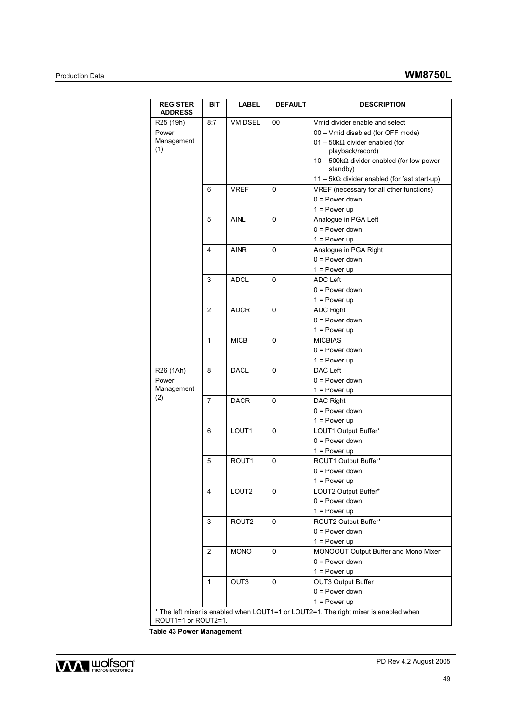| <b>REGISTER</b><br><b>ADDRESS</b> | BIT            | <b>LABEL</b>      | <b>DEFAULT</b> | <b>DESCRIPTION</b>                                                                     |
|-----------------------------------|----------------|-------------------|----------------|----------------------------------------------------------------------------------------|
| R <sub>25</sub> (19h)             | 8:7            | <b>VMIDSEL</b>    | 00             | Vmid divider enable and select                                                         |
| Power                             |                |                   |                | 00 - Vmid disabled (for OFF mode)                                                      |
| Management<br>(1)                 |                |                   |                | 01 - 50k $\Omega$ divider enabled (for                                                 |
|                                   |                |                   |                | playback/record)                                                                       |
|                                   |                |                   |                | $10 - 500k\Omega$ divider enabled (for low-power<br>standby)                           |
|                                   |                |                   |                | $11 - 5k\Omega$ divider enabled (for fast start-up)                                    |
|                                   | 6              | VREF              | 0              | VREF (necessary for all other functions)                                               |
|                                   |                |                   |                | $0 = Power down$                                                                       |
|                                   |                |                   |                | $1 = Power up$                                                                         |
|                                   | 5              | AINL              | 0              | Analogue in PGA Left                                                                   |
|                                   |                |                   |                | $0 = Power down$                                                                       |
|                                   |                |                   |                | $1 = Power up$                                                                         |
|                                   | 4              | <b>AINR</b>       | 0              | Analogue in PGA Right                                                                  |
|                                   |                |                   |                | $0 = Power down$                                                                       |
|                                   |                |                   |                | $1 = Power up$                                                                         |
|                                   | 3              | ADCL              | 0              | <b>ADC Left</b>                                                                        |
|                                   |                |                   |                | $0 = Power down$                                                                       |
|                                   |                |                   |                | $1 = Power up$                                                                         |
|                                   | 2              | <b>ADCR</b>       | 0              | <b>ADC Right</b>                                                                       |
|                                   |                |                   |                | $0 = Power down$                                                                       |
|                                   |                |                   |                | $1 = Power up$                                                                         |
|                                   | 1              | <b>MICB</b>       | 0              | <b>MICBIAS</b>                                                                         |
|                                   |                |                   |                | $0 = Power down$                                                                       |
|                                   |                |                   |                | $1 = Power up$                                                                         |
| R26 (1Ah)                         | 8              | <b>DACL</b>       | $\mathbf{0}$   | DAC Left                                                                               |
| Power                             |                |                   |                | $0 = Power down$                                                                       |
| Management                        |                |                   |                | $1 = Power up$                                                                         |
| (2)                               | $\overline{7}$ | <b>DACR</b>       | 0              | DAC Right                                                                              |
|                                   |                |                   |                | $0 = Power down$                                                                       |
|                                   |                |                   |                | $1 = Power up$                                                                         |
|                                   | 6              | LOUT <sub>1</sub> | 0              | LOUT1 Output Buffer*                                                                   |
|                                   |                |                   |                | $0 = Power down$                                                                       |
|                                   |                |                   |                | $1 = Power up$                                                                         |
|                                   | 5              | ROUT <sub>1</sub> | 0              | ROUT1 Output Buffer*                                                                   |
|                                   |                |                   |                | $0 = Power down$                                                                       |
|                                   |                |                   |                | $1 = Power up$                                                                         |
|                                   | 4              | LOUT <sub>2</sub> | 0              | LOUT2 Output Buffer*                                                                   |
|                                   |                |                   |                | $0 = Power down$                                                                       |
|                                   |                |                   |                | $1 = Power up$                                                                         |
|                                   | 3              | ROUT <sub>2</sub> | 0              | ROUT2 Output Buffer*                                                                   |
|                                   |                |                   |                | $0 = Power down$                                                                       |
|                                   |                |                   |                | $1 = Power up$                                                                         |
|                                   | 2              | <b>MONO</b>       | 0              | MONOOUT Output Buffer and Mono Mixer                                                   |
|                                   |                |                   |                | $0 = Power down$                                                                       |
|                                   |                |                   |                | $1 = Power up$                                                                         |
|                                   | $\mathbf{1}$   | OUT3              | $\mathbf 0$    | OUT3 Output Buffer                                                                     |
|                                   |                |                   |                | $0 = Power down$                                                                       |
|                                   |                |                   |                | $1 = Power up$                                                                         |
|                                   |                |                   |                | * The left mixer is enabled when I OUT1=1 or I OUT2=1. The right mixer is enabled when |

\* The left mixer is enabled when LOUT1=1 or LOUT2=1. The right mixer is enabled when ROUT1=1 or ROUT2=1.

**Table 43 Power Management** 

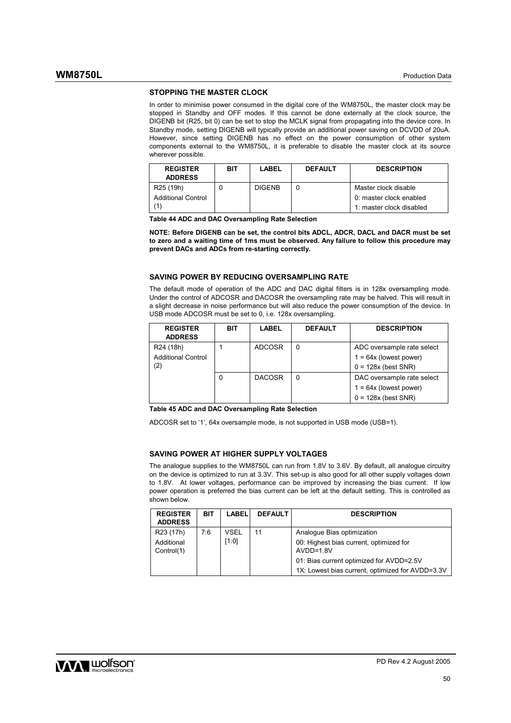#### **STOPPING THE MASTER CLOCK**

In order to minimise power consumed in the digital core of the WM8750L, the master clock may be stopped in Standby and OFF modes. If this cannot be done externally at the clock source, the DIGENB bit (R25, bit 0) can be set to stop the MCLK signal from propagating into the device core. In Standby mode, setting DIGENB will typically provide an additional power saving on DCVDD of 20uA. However, since setting DIGENB has no effect on the power consumption of other system components external to the WM8750L, it is preferable to disable the master clock at its source wherever possible.

| <b>REGISTER</b><br><b>ADDRESS</b> | BIT | LABEL         | <b>DEFAULT</b> | <b>DESCRIPTION</b>       |
|-----------------------------------|-----|---------------|----------------|--------------------------|
| R <sub>25</sub> (19h)             |     | <b>DIGENB</b> |                | Master clock disable     |
| <b>Additional Control</b>         |     |               |                | 0: master clock enabled  |
|                                   |     |               |                | 1: master clock disabled |

**Table 44 ADC and DAC Oversampling Rate Selection** 

**NOTE: Before DIGENB can be set, the control bits ADCL, ADCR, DACL and DACR must be set to zero and a waiting time of 1ms must be observed. Any failure to follow this procedure may prevent DACs and ADCs from re-starting correctly.** 

## **SAVING POWER BY REDUCING OVERSAMPLING RATE**

The default mode of operation of the ADC and DAC digital filters is in 128x oversampling mode. Under the control of ADCOSR and DACOSR the oversampling rate may be halved. This will result in a slight decrease in noise performance but will also reduce the power consumption of the device. In USB mode ADCOSR must be set to 0, i.e. 128x oversampling.

| <b>REGISTER</b><br><b>ADDRESS</b> | BIT | <b>LABEL</b>  | <b>DEFAULT</b> | <b>DESCRIPTION</b>         |
|-----------------------------------|-----|---------------|----------------|----------------------------|
| R <sub>24</sub> (18h)             |     | <b>ADCOSR</b> | 0              | ADC oversample rate select |
| <b>Additional Control</b>         |     |               |                | $1 = 64x$ (lowest power)   |
| (2)                               |     |               |                | $0 = 128x$ (best SNR)      |
|                                   |     | <b>DACOSR</b> | 0              | DAC oversample rate select |
|                                   |     |               |                | $1 = 64x$ (lowest power)   |
|                                   |     |               |                | $0 = 128x$ (best SNR)      |

**Table 45 ADC and DAC Oversampling Rate Selection** 

ADCOSR set to '1', 64x oversample mode, is not supported in USB mode (USB=1).

#### **SAVING POWER AT HIGHER SUPPLY VOLTAGES**

The analogue supplies to the WM8750L can run from 1.8V to 3.6V. By default, all analogue circuitry on the device is optimized to run at 3.3V. This set-up is also good for all other supply voltages down to 1.8V. At lower voltages, performance can be improved by increasing the bias current. If low power operation is preferred the bias current can be left at the default setting. This is controlled as shown below.

| <b>REGISTER</b><br><b>ADDRESS</b>                 | BIT | <b>LABEL</b>         | <b>DEFAULT</b> | <b>DESCRIPTION</b>                                                                                                               |
|---------------------------------------------------|-----|----------------------|----------------|----------------------------------------------------------------------------------------------------------------------------------|
| R <sub>23</sub> (17h)<br>Additional<br>Control(1) | 7:6 | <b>VSEL</b><br>[1:0] | 11             | Analogue Bias optimization<br>00: Highest bias current, optimized for<br>$AVDD=1.8V$<br>01: Bias current optimized for AVDD=2.5V |
|                                                   |     |                      |                | 1X: Lowest bias current, optimized for AVDD=3.3V                                                                                 |

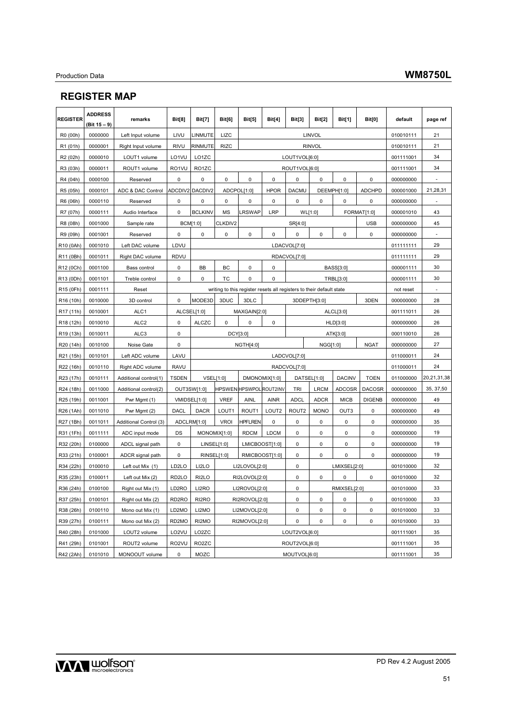# **REGISTER MAP**

| <b>REGISTER</b>       | <b>ADDRESS</b><br>(Bit 15 - 9) | remarks                | <b>Bit[8]</b>      | <b>Bit[7]</b>      | Bit[6]       | <b>Bit[5]</b>                  | <b>Bit[4]</b>     | <b>Bit[3]</b>     | <b>Bit[2]</b>                                                        | <b>Bit[1]</b> | Bit[0]        | default   | page ref    |
|-----------------------|--------------------------------|------------------------|--------------------|--------------------|--------------|--------------------------------|-------------------|-------------------|----------------------------------------------------------------------|---------------|---------------|-----------|-------------|
| R0 (00h)              | 0000000                        | Left Input volume      | LIVU               | LINMUTE            | LIZC         |                                |                   |                   | LINVOL                                                               |               |               | 010010111 | 21          |
| R1 (01h)              | 0000001                        | Right Input volume     | <b>RIVU</b>        | RINMUTE            | <b>RIZC</b>  |                                |                   |                   | <b>RINVOL</b>                                                        |               |               | 010010111 | 21          |
| R <sub>2</sub> (02h)  | 0000010                        | LOUT1 volume           | LO1VU              | LO1ZC              |              |                                |                   | LOUT1VOL[6:0]     |                                                                      |               |               | 001111001 | 34          |
| R3 (03h)              | 0000011                        | ROUT1 volume           | RO1VU              | RO <sub>1</sub> ZC |              |                                |                   | ROUT1VOL[6:0]     |                                                                      |               |               | 001111001 | 34          |
| R4 (04h)              | 0000100                        | Reserved               | 0                  | 0                  | 0            | 0                              | $\pmb{0}$         | 0                 | $\mathbf 0$                                                          | 0             | 0             | 000000000 |             |
| R5 (05h)              | 0000101                        | ADC & DAC Control      |                    | ADCDIV2 DACDIV2    |              | ADCPOL[1:0]                    | <b>HPOR</b>       | <b>DACMU</b>      |                                                                      | DEEMPH[1:0]   | <b>ADCHPD</b> | 000001000 | 21,28,31    |
| R6 (06h)              | 0000110                        | Reserved               | 0                  | 0                  | 0            | 0                              | 0                 | 0                 | 0<br>0                                                               |               | 0             | 000000000 |             |
| R7 (07h)              | 0000111                        | Audio Interface        | 0                  | <b>BCLKINV</b>     | <b>MS</b>    | LRSWAP                         | LRP               |                   | WL[1:0]                                                              |               | FORMAT[1:0]   | 000001010 | 43          |
| R8 (08h)              | 0001000                        | Sample rate            |                    | <b>BCM[1:0]</b>    | CLKDIV2      |                                |                   | SR[4:0]           |                                                                      | <b>USB</b>    |               | 000000000 | 45          |
| R9 (09h)              | 0001001                        | Reserved               | 0                  | 0                  | 0            | 0                              | $\mathbf 0$       | 0                 | 0                                                                    | 0             | $\pmb{0}$     | 000000000 |             |
| R10 (0Ah)             | 0001010                        | Left DAC volume        | LDVU               |                    |              |                                |                   | LDACVOL[7:0]      |                                                                      |               |               | 011111111 | 29          |
| R11 (0Bh)             | 0001011                        | Right DAC volume       | RDVU               |                    |              |                                |                   | RDACVOL[7:0]      |                                                                      |               |               | 011111111 | 29          |
| R12 (0Ch)             | 0001100                        | Bass control           | 0                  | BB                 | BС           | 0                              | 0                 |                   |                                                                      | BASS[3:0]     |               | 000001111 | 30          |
| R13 (0Dh)             | 0001101                        | Treble control         | 0                  | 0                  | ТC           | 0                              | 0                 |                   |                                                                      | TRBL[3:0]     |               | 000001111 | 30          |
| R15 (0Fh)             | 0001111                        | Reset                  |                    |                    |              |                                |                   |                   | writing to this register resets all registers to their default state |               |               | not reset | ٠           |
| R <sub>16</sub> (10h) | 0010000                        | 3D control             | 0                  | MODE3D             | 3DUC         | 3DLC                           |                   | 3DDEPTH[3:0]      |                                                                      |               | 3DEN          |           | 28          |
| R <sub>17</sub> (11h) | 0010001                        | ALC1                   |                    | ALCSEL[1:0]        |              | MAXGAIN[2:0]                   |                   |                   | ALCL[3:0]                                                            |               |               | 001111011 | 26          |
| R <sub>18</sub> (12h) | 0010010                        | ALC <sub>2</sub>       | 0                  | <b>ALCZC</b>       | 0            | 0                              | $\pmb{0}$         |                   | HLD[3:0]                                                             |               |               |           | 26          |
| R <sub>19</sub> (13h) | 0010011                        | ALC3                   | 0                  |                    | DCY[3:0]     |                                |                   |                   | ATK[3:0]                                                             |               |               | 000110010 | 26          |
| R20 (14h)             | 0010100                        | Noise Gate             | 0                  |                    |              | <b>NGTH[4:0]</b>               |                   |                   | NGG[1:0]<br><b>NGAT</b>                                              |               |               | 000000000 | 27          |
| R21 (15h)             | 0010101                        | Left ADC volume        | LAVU               |                    |              |                                |                   | LADCVOL[7:0]      |                                                                      |               | 011000011     | 24        |             |
| R22 (16h)             | 0010110                        | Right ADC volume       | <b>RAVU</b>        |                    |              |                                |                   | RADCVOL[7:0]      |                                                                      |               |               | 011000011 | 24          |
| R23 (17h)             | 0010111                        | Additional control(1)  | <b>TSDEN</b>       |                    | VSEL[1:0]    |                                | DMONOMIX[1:0]     |                   | DATSEL[1:0]                                                          | <b>DACINV</b> | <b>TOEN</b>   | 011000000 | 20,21,31,38 |
| R24 (18h)             | 0011000                        | Additional control(2)  |                    | OUT3SW[1:0]        |              | <b>HPSWEN HPSWPOL ROUT2INV</b> |                   | TRI               | <b>LRCM</b>                                                          | ADCOSR        | <b>DACOSR</b> | 000000000 | 35, 37, 50  |
| R25 (19h)             | 0011001                        | Pwr Mgmt (1)           |                    | VMIDSEL[1:0]       | VREF         | <b>AINL</b>                    | <b>AINR</b>       | <b>ADCL</b>       | <b>ADCR</b>                                                          | <b>MICB</b>   | <b>DIGENB</b> | 000000000 | 49          |
| R26 (1Ah)             | 0011010                        | Pwr Mgmt (2)           | <b>DACL</b>        | <b>DACR</b>        | LOUT1        | ROUT1                          | LOUT <sub>2</sub> | ROUT <sub>2</sub> | <b>MONO</b>                                                          | OUT3          | 0             | 000000000 | 49          |
| R27 (1Bh)             | 0011011                        | Additional Control (3) |                    | ADCLRM[1:0]        | <b>VROI</b>  | <b>HPFLREN</b>                 | $\pmb{0}$         | 0                 | 0                                                                    | 0             | 0             | 000000000 | 35          |
| R31 (1Fh)             | 0011111                        | ADC input mode         | DS                 |                    | MONOMIX[1:0] | <b>RDCM</b>                    | <b>LDCM</b>       | 0                 | 0                                                                    | 0             | 0             | 000000000 | 19          |
| R32 (20h)             | 0100000                        | ADCL signal path       | $\pmb{0}$          |                    | LINSEL[1:0]  |                                | LMICBOOST[1:0]    | 0                 | 0                                                                    | 0             | 0             | 000000000 | 19          |
| R33 (21h)             | 0100001                        | ADCR signal path       | 0                  |                    | RINSEL[1:0]  | RMICBOOST[1:0]                 |                   | 0                 | $\mathbf 0$                                                          | $\mathbf 0$   | 0             | 000000000 | 19          |
| R34 (22h)             | 0100010                        | Left out Mix (1)       | LD <sub>2</sub> LO | LI2LO              |              | LI2LOVOL[2:0]                  |                   | $\mathbf 0$       |                                                                      | LMIXSEL[2:0]  |               | 001010000 | 32          |
| R35 (23h)             | 0100011                        | Left out Mix (2)       | RD <sub>2LO</sub>  | RI2LO              |              | RI2LOVOL[2:0]                  |                   | $\mathbf 0$       | $\mathbf 0$                                                          | 0             | $\pmb{0}$     | 001010000 | 32          |
| R36 (24h)             | 0100100                        | Right out Mix (1)      | LD2RO              | LI2RO              |              | LI2ROVOL[2:0]                  |                   | $\mathbf 0$       |                                                                      | RMIXSEL[2:0]  |               | 001010000 | 33          |
| R37 (25h)             | 0100101                        | Right out Mix (2)      | RD <sub>2</sub> RO | RI2RO              |              | RI2ROVOL[2:0]                  |                   | $\pmb{0}$         | $\pmb{0}$                                                            | $\pmb{0}$     | $\pmb{0}$     | 001010000 | 33          |
| R38 (26h)             | 0100110                        | Mono out Mix (1)       | LD2MO              | LI2MO              |              | LI2MOVOL[2:0]                  |                   | 0                 | 0                                                                    | 0             | $\pmb{0}$     | 001010000 | 33          |
| R39 (27h)             | 0100111                        | Mono out Mix (2)       | RD2MO              | RI2MO              |              | RI2MOVOL[2:0]                  |                   | 0                 | $\mathbf 0$                                                          | $\pmb{0}$     | $\mathbf 0$   | 001010000 | 33          |
| R40 (28h)             | 0101000                        | LOUT2 volume           | LO2VU              | LO2ZC              |              |                                |                   | LOUT2VOL[6:0]     |                                                                      |               |               | 001111001 | 35          |
| R41 (29h)             | 0101001                        | ROUT2 volume           | RO2VU              | RO2ZC              |              |                                |                   | ROUT2VOL[6:0]     |                                                                      |               |               | 001111001 | 35          |
| R42 (2Ah)             | 0101010                        | MONOOUT volume         | 0                  | MOZC               |              |                                |                   | MOUTVOL[6:0]      |                                                                      |               |               | 001111001 | 35          |

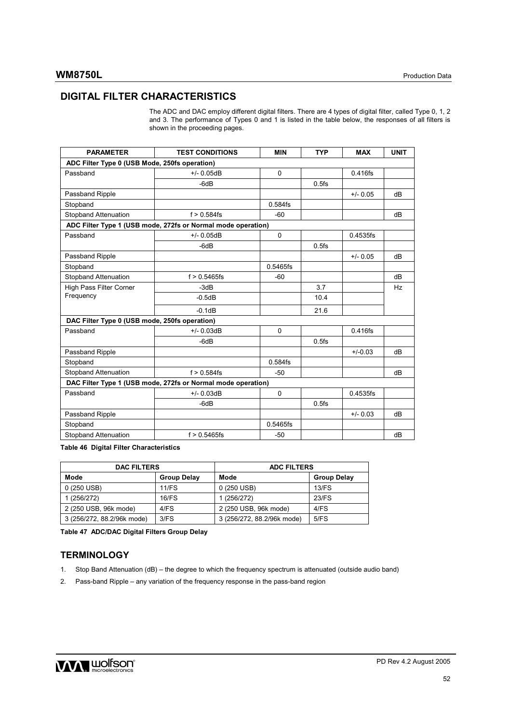# **DIGITAL FILTER CHARACTERISTICS**

| <b>TYP</b><br><b>PARAMETER</b><br><b>TEST CONDITIONS</b><br><b>MIN</b><br><b>MAX</b><br>ADC Filter Type 0 (USB Mode, 250fs operation)<br>$+/- 0.05dB$<br>$\mathbf 0$<br>$0.416$ fs<br>$-6dB$<br>$0.5$ fs<br>$+/- 0.05$<br>dB<br>$0.584$ fs<br>$f > 0.584$ fs<br>$-60$<br>dB<br>ADC Filter Type 1 (USB mode, 272fs or Normal mode operation)<br>$\mathbf 0$<br>$+/- 0.05dB$<br>0.4535fs<br>$-6dB$<br>$0.5$ fs<br>$+/- 0.05$<br>dВ<br>0.5465fs<br>$f > 0.5465$ fs<br>-60<br>dВ<br>$-3dB$<br>3.7<br><b>Hz</b><br>$-0.5dB$<br>10.4<br>$-0.1dB$<br>21.6<br>DAC Filter Type 0 (USB mode, 250fs operation)<br>$+/- 0.03dB$<br>$\mathbf 0$<br>$0.416$ fs<br>$0.5$ fs<br>$-6dB$<br>$+/-0.03$<br>dВ<br>0.584fs<br>$f > 0.584$ fs<br>$-50$<br>dB<br>DAC Filter Type 1 (USB mode, 272fs or Normal mode operation)<br>$+/- 0.03dB$<br>0.4535fs<br>$\mathbf 0$<br>$-6dB$<br>$0.5$ fs<br>$+/- 0.03$<br>dB<br>0.5465fs<br>$f > 0.5465$ fs<br>$-50$<br>dB |                             | and 3. The performance of Types 0 and 1 is listed in the table below, the responses of all filters is<br>shown in the proceeding pages. |  |             |
|------------------------------------------------------------------------------------------------------------------------------------------------------------------------------------------------------------------------------------------------------------------------------------------------------------------------------------------------------------------------------------------------------------------------------------------------------------------------------------------------------------------------------------------------------------------------------------------------------------------------------------------------------------------------------------------------------------------------------------------------------------------------------------------------------------------------------------------------------------------------------------------------------------------------------------------|-----------------------------|-----------------------------------------------------------------------------------------------------------------------------------------|--|-------------|
|                                                                                                                                                                                                                                                                                                                                                                                                                                                                                                                                                                                                                                                                                                                                                                                                                                                                                                                                          |                             |                                                                                                                                         |  |             |
|                                                                                                                                                                                                                                                                                                                                                                                                                                                                                                                                                                                                                                                                                                                                                                                                                                                                                                                                          |                             |                                                                                                                                         |  | <b>UNIT</b> |
|                                                                                                                                                                                                                                                                                                                                                                                                                                                                                                                                                                                                                                                                                                                                                                                                                                                                                                                                          |                             |                                                                                                                                         |  |             |
|                                                                                                                                                                                                                                                                                                                                                                                                                                                                                                                                                                                                                                                                                                                                                                                                                                                                                                                                          | Passband                    |                                                                                                                                         |  |             |
|                                                                                                                                                                                                                                                                                                                                                                                                                                                                                                                                                                                                                                                                                                                                                                                                                                                                                                                                          |                             |                                                                                                                                         |  |             |
|                                                                                                                                                                                                                                                                                                                                                                                                                                                                                                                                                                                                                                                                                                                                                                                                                                                                                                                                          | Passband Ripple             |                                                                                                                                         |  |             |
|                                                                                                                                                                                                                                                                                                                                                                                                                                                                                                                                                                                                                                                                                                                                                                                                                                                                                                                                          | Stopband                    |                                                                                                                                         |  |             |
|                                                                                                                                                                                                                                                                                                                                                                                                                                                                                                                                                                                                                                                                                                                                                                                                                                                                                                                                          | <b>Stopband Attenuation</b> |                                                                                                                                         |  |             |
|                                                                                                                                                                                                                                                                                                                                                                                                                                                                                                                                                                                                                                                                                                                                                                                                                                                                                                                                          |                             |                                                                                                                                         |  |             |
|                                                                                                                                                                                                                                                                                                                                                                                                                                                                                                                                                                                                                                                                                                                                                                                                                                                                                                                                          | Passband                    |                                                                                                                                         |  |             |
|                                                                                                                                                                                                                                                                                                                                                                                                                                                                                                                                                                                                                                                                                                                                                                                                                                                                                                                                          |                             |                                                                                                                                         |  |             |
|                                                                                                                                                                                                                                                                                                                                                                                                                                                                                                                                                                                                                                                                                                                                                                                                                                                                                                                                          | Passband Ripple             |                                                                                                                                         |  |             |
|                                                                                                                                                                                                                                                                                                                                                                                                                                                                                                                                                                                                                                                                                                                                                                                                                                                                                                                                          | Stopband                    |                                                                                                                                         |  |             |
|                                                                                                                                                                                                                                                                                                                                                                                                                                                                                                                                                                                                                                                                                                                                                                                                                                                                                                                                          | <b>Stopband Attenuation</b> |                                                                                                                                         |  |             |
|                                                                                                                                                                                                                                                                                                                                                                                                                                                                                                                                                                                                                                                                                                                                                                                                                                                                                                                                          | High Pass Filter Corner     |                                                                                                                                         |  |             |
|                                                                                                                                                                                                                                                                                                                                                                                                                                                                                                                                                                                                                                                                                                                                                                                                                                                                                                                                          | Frequency                   |                                                                                                                                         |  |             |
|                                                                                                                                                                                                                                                                                                                                                                                                                                                                                                                                                                                                                                                                                                                                                                                                                                                                                                                                          |                             |                                                                                                                                         |  |             |
|                                                                                                                                                                                                                                                                                                                                                                                                                                                                                                                                                                                                                                                                                                                                                                                                                                                                                                                                          |                             |                                                                                                                                         |  |             |
|                                                                                                                                                                                                                                                                                                                                                                                                                                                                                                                                                                                                                                                                                                                                                                                                                                                                                                                                          | Passband                    |                                                                                                                                         |  |             |
|                                                                                                                                                                                                                                                                                                                                                                                                                                                                                                                                                                                                                                                                                                                                                                                                                                                                                                                                          |                             |                                                                                                                                         |  |             |
|                                                                                                                                                                                                                                                                                                                                                                                                                                                                                                                                                                                                                                                                                                                                                                                                                                                                                                                                          | Passband Ripple             |                                                                                                                                         |  |             |
|                                                                                                                                                                                                                                                                                                                                                                                                                                                                                                                                                                                                                                                                                                                                                                                                                                                                                                                                          | Stopband                    |                                                                                                                                         |  |             |
|                                                                                                                                                                                                                                                                                                                                                                                                                                                                                                                                                                                                                                                                                                                                                                                                                                                                                                                                          | <b>Stopband Attenuation</b> |                                                                                                                                         |  |             |
|                                                                                                                                                                                                                                                                                                                                                                                                                                                                                                                                                                                                                                                                                                                                                                                                                                                                                                                                          |                             |                                                                                                                                         |  |             |
|                                                                                                                                                                                                                                                                                                                                                                                                                                                                                                                                                                                                                                                                                                                                                                                                                                                                                                                                          | Passband                    |                                                                                                                                         |  |             |
|                                                                                                                                                                                                                                                                                                                                                                                                                                                                                                                                                                                                                                                                                                                                                                                                                                                                                                                                          |                             |                                                                                                                                         |  |             |
|                                                                                                                                                                                                                                                                                                                                                                                                                                                                                                                                                                                                                                                                                                                                                                                                                                                                                                                                          | Passband Ripple             |                                                                                                                                         |  |             |
|                                                                                                                                                                                                                                                                                                                                                                                                                                                                                                                                                                                                                                                                                                                                                                                                                                                                                                                                          | Stopband                    |                                                                                                                                         |  |             |
|                                                                                                                                                                                                                                                                                                                                                                                                                                                                                                                                                                                                                                                                                                                                                                                                                                                                                                                                          | <b>Stopband Attenuation</b> |                                                                                                                                         |  |             |

The ADC and DAC employ different digital filters. There are 4 types of digital filter, called Type 0, 1, 2

**Table 46 Digital Filter Characteristics** 

| <b>DAC FILTERS</b>         |                    | <b>ADC FILTERS</b>         |                    |  |  |  |
|----------------------------|--------------------|----------------------------|--------------------|--|--|--|
| Mode                       | <b>Group Delay</b> | Mode                       | <b>Group Delay</b> |  |  |  |
| 0 (250 USB)                | 11/FS              | 0 (250 USB)                | $13$ /FS           |  |  |  |
| 1 (256/272)                | 16/FS              | 1 (256/272)                | 23/FS              |  |  |  |
| 2 (250 USB, 96k mode)      | 4/FS               | 2 (250 USB, 96k mode)      | 4/FS               |  |  |  |
| 3 (256/272, 88.2/96k mode) | 3/FS               | 3 (256/272, 88.2/96k mode) | 5/FS               |  |  |  |

**Table 47 ADC/DAC Digital Filters Group Delay** 

# **TERMINOLOGY**

- 1. Stop Band Attenuation (dB) the degree to which the frequency spectrum is attenuated (outside audio band)
- 2. Pass-band Ripple any variation of the frequency response in the pass-band region

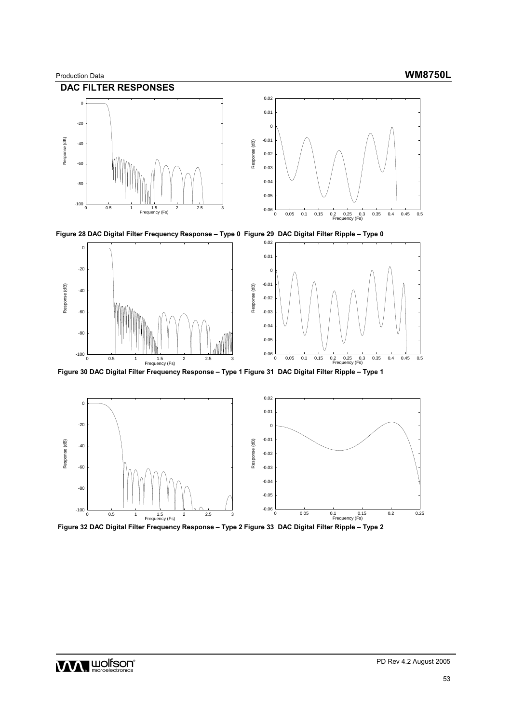









 **Figure 30 DAC Digital Filter Frequency Response – Type 1 Figure 31 DAC Digital Filter Ripple – Type 1** 



 **Figure 32 DAC Digital Filter Frequency Response – Type 2 Figure 33 DAC Digital Filter Ripple – Type 2**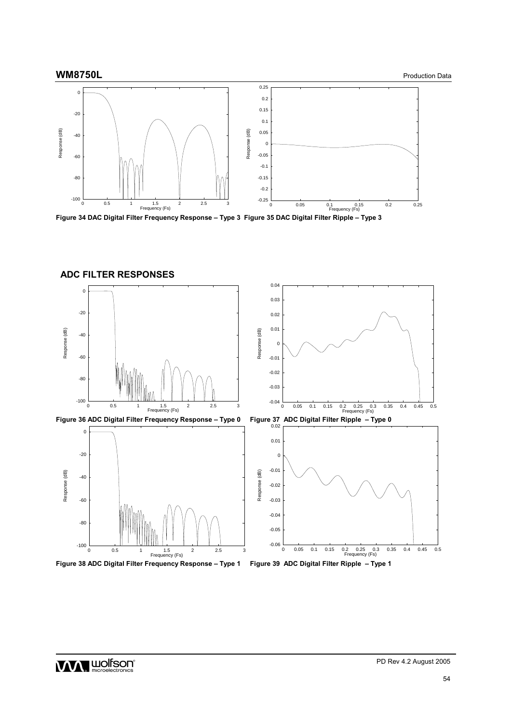

**Figure 34 DAC Digital Filter Frequency Response – Type 3 Figure 35 DAC Digital Filter Ripple – Type 3** 



**ADC FILTER RESPONSES** 

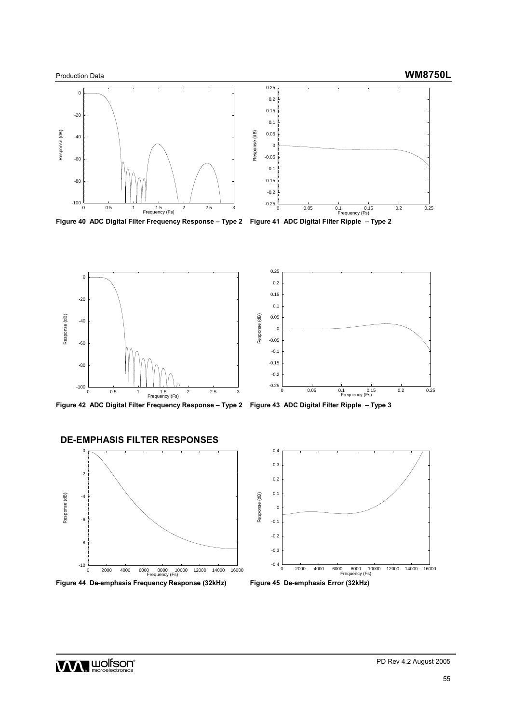

**Figure 40 ADC Digital Filter Frequency Response – Type 2 Figure 41 ADC Digital Filter Ripple – Type 2** 



**Figure 42 ADC Digital Filter Frequency Response – Type 2 Figure 43 ADC Digital Filter Ripple – Type 3** 

## **DE-EMPHASIS FILTER RESPONSES**





Figure 44 De-emphasis Frequency Response (32kHz) Figure 45 De-emphasis Error (32kHz)



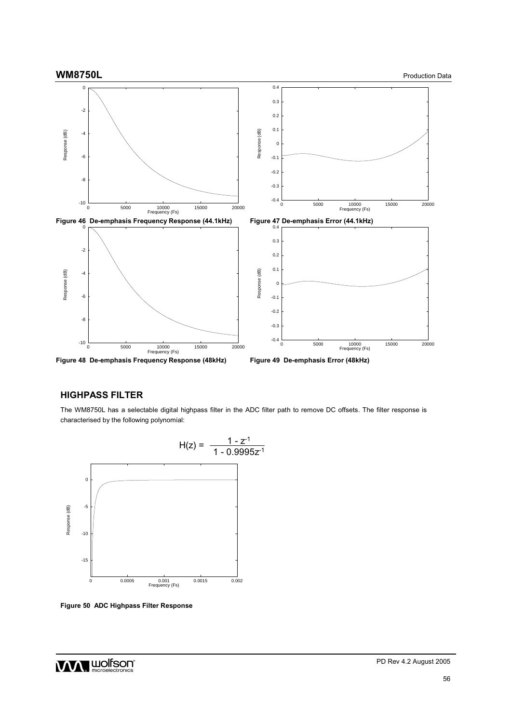

## **HIGHPASS FILTER**

The WM8750L has a selectable digital highpass filter in the ADC filter path to remove DC offsets. The filter response is characterised by the following polynomial:



**Figure 50 ADC Highpass Filter Response** 

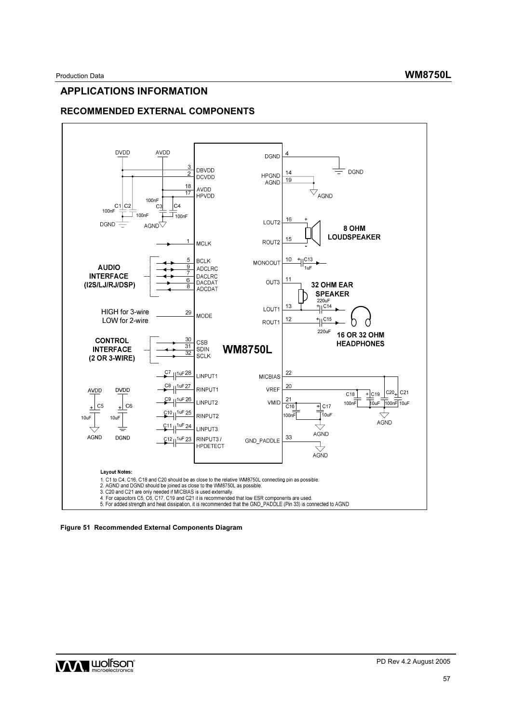# **APPLICATIONS INFORMATION**

# **RECOMMENDED EXTERNAL COMPONENTS**



**Figure 51 Recommended External Components Diagram** 

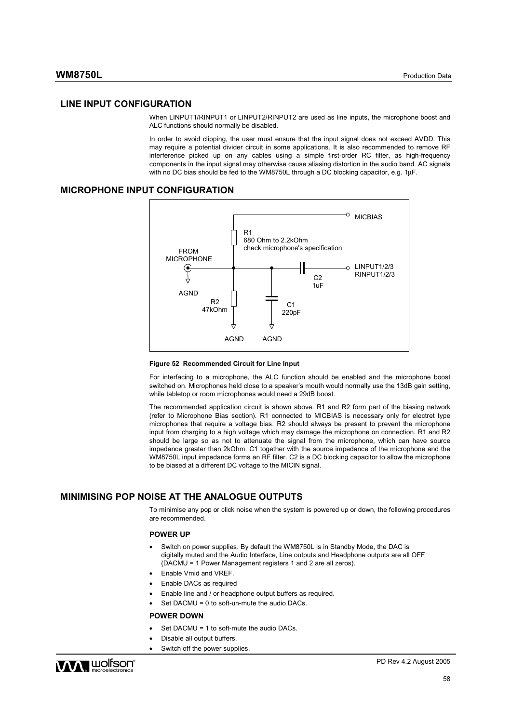#### **LINE INPUT CONFIGURATION**

When LINPUT1/RINPUT1 or LINPUT2/RINPUT2 are used as line inputs, the microphone boost and ALC functions should normally be disabled.

In order to avoid clipping, the user must ensure that the input signal does not exceed AVDD. This may require a potential divider circuit in some applications. It is also recommended to remove RF interference picked up on any cables using a simple first-order RC filter, as high-frequency components in the input signal may otherwise cause aliasing distortion in the audio band. AC signals with no DC bias should be fed to the WM8750L through a DC blocking capacitor, e.g. 1µF.

#### **MICROPHONE INPUT CONFIGURATION**



#### **Figure 52 Recommended Circuit for Line Input**

For interfacing to a microphone, the ALC function should be enabled and the microphone boost switched on. Microphones held close to a speaker's mouth would normally use the 13dB gain setting, while tabletop or room microphones would need a 29dB boost.

The recommended application circuit is shown above. R1 and R2 form part of the biasing network (refer to Microphone Bias section). R1 connected to MICBIAS is necessary only for electret type microphones that require a voltage bias. R2 should always be present to prevent the microphone input from charging to a high voltage which may damage the microphone on connection. R1 and R2 should be large so as not to attenuate the signal from the microphone, which can have source impedance greater than 2kOhm. C1 together with the source impedance of the microphone and the WM8750L input impedance forms an RF filter. C2 is a DC blocking capacitor to allow the microphone to be biased at a different DC voltage to the MICIN signal.

## **MINIMISING POP NOISE AT THE ANALOGUE OUTPUTS**

To minimise any pop or click noise when the system is powered up or down, the following procedures are recommended.

#### **POWER UP**

- Switch on power supplies. By default the WM8750L is in Standby Mode, the DAC is digitally muted and the Audio Interface, Line outputs and Headphone outputs are all OFF (DACMU = 1 Power Management registers 1 and 2 are all zeros).
- Enable Vmid and VREF.
- Enable DACs as required
- Enable line and / or headphone output buffers as required.
- Set DACMU = 0 to soft-un-mute the audio DACs.

#### **POWER DOWN**

- Set DACMU = 1 to soft-mute the audio DACs.
- Disable all output buffers.
- Switch off the power supplies.

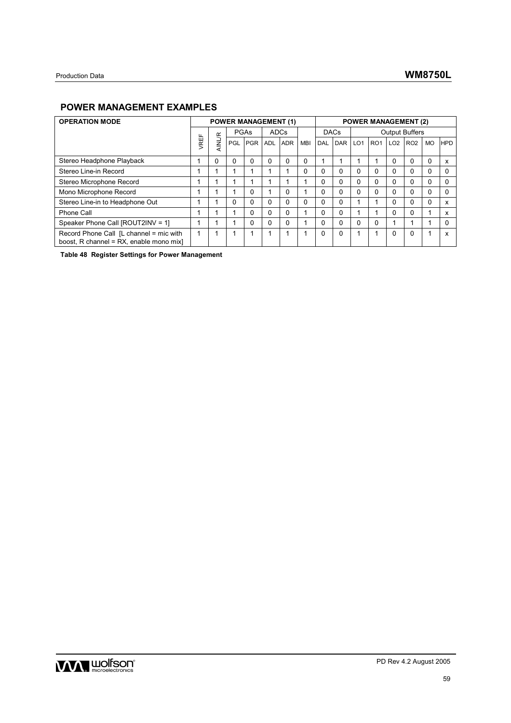# **POWER MANAGEMENT EXAMPLES**

| <b>OPERATION MODE</b>                                                              |            |               | <b>POWER MANAGEMENT (1)</b> |            |            |            |            |             |            |                 | <b>POWER MANAGEMENT (2)</b> |                 |                       |           |            |
|------------------------------------------------------------------------------------|------------|---------------|-----------------------------|------------|------------|------------|------------|-------------|------------|-----------------|-----------------------------|-----------------|-----------------------|-----------|------------|
|                                                                                    | ш.         |               | PGAs                        |            | ADCs       |            |            | <b>DACs</b> |            |                 |                             |                 | <b>Output Buffers</b> |           |            |
|                                                                                    | <b>REI</b> | <b>AINL/R</b> | PGL                         | <b>PGR</b> | <b>ADL</b> | <b>ADR</b> | <b>MBI</b> | DAL         | <b>DAR</b> | LO <sub>1</sub> | RO <sub>1</sub>             | LO <sub>2</sub> | RO <sub>2</sub>       | <b>MO</b> | <b>HPD</b> |
| Stereo Headphone Playback                                                          |            | 0             | 0                           | $\Omega$   | 0          | $\Omega$   | 0          |             |            |                 |                             | 0               | $\Omega$              | 0         |            |
| Stereo Line-in Record                                                              |            |               |                             |            |            |            | $\Omega$   | 0           | $\Omega$   | $\Omega$        | 0                           | 0               | $\Omega$              | 0         |            |
| Stereo Microphone Record                                                           |            |               |                             |            |            |            |            | 0           | 0          | $\Omega$        | 0                           | $\mathbf{0}$    | $\Omega$              | 0         |            |
| Mono Microphone Record                                                             |            |               |                             | $\Omega$   |            | $\Omega$   |            | 0           | $\Omega$   | $\Omega$        | $\Omega$                    | $\Omega$        | $\Omega$              | 0         |            |
| Stereo Line-in to Headphone Out                                                    |            |               | $\Omega$                    | 0          | 0          | $\Omega$   | 0          | 0           | $\Omega$   |                 |                             | 0               | $\Omega$              | 0         | x          |
| Phone Call                                                                         |            |               |                             | 0          | 0          | $\Omega$   |            | 0           | $\Omega$   |                 |                             | 0               | $\Omega$              |           | x          |
| Speaker Phone Call [ROUT2INV = 1]                                                  |            |               |                             | 0          | 0          | $\Omega$   |            | 0           | 0          | $\Omega$        | $\mathbf{0}$                |                 |                       |           |            |
| Record Phone Call [L channel = mic with<br>boost, R channel = RX, enable mono mix] |            |               |                             |            |            |            |            | 0           | $\Omega$   |                 |                             | 0               | 0                     |           |            |

**Table 48 Register Settings for Power Management**

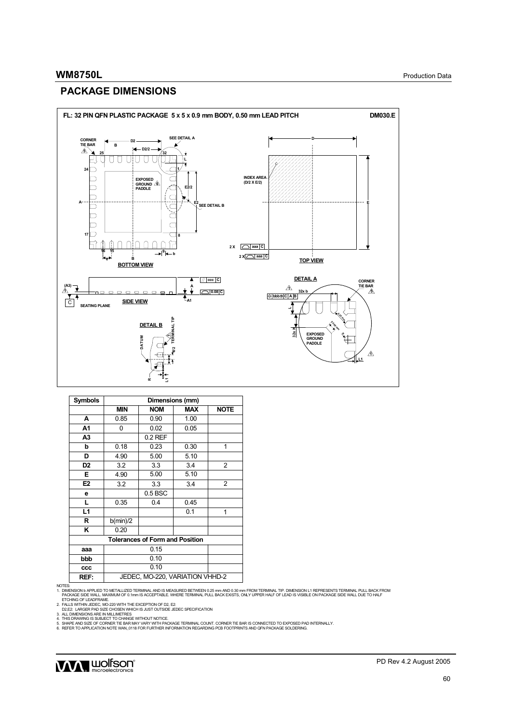# **PACKAGE DIMENSIONS**



| <b>Symbols</b> | Dimensions (mm) |                                        |            |                |  |  |  |  |  |
|----------------|-----------------|----------------------------------------|------------|----------------|--|--|--|--|--|
|                | <b>MIN</b>      | <b>NOM</b>                             | <b>MAX</b> | <b>NOTE</b>    |  |  |  |  |  |
| A              | 0.85            | 0.90                                   | 1.00       |                |  |  |  |  |  |
| A1             | 0               | 0.02                                   | 0.05       |                |  |  |  |  |  |
| A <sub>3</sub> |                 | $0.2$ REF                              |            |                |  |  |  |  |  |
| b              | 0.18            | 0.23                                   | 0.30       | 1              |  |  |  |  |  |
| D              | 4.90            | 5.00                                   | 5.10       |                |  |  |  |  |  |
| D <sub>2</sub> | 3.2             | 3.3                                    | 3.4        | $\overline{2}$ |  |  |  |  |  |
| E.             | 4.90            | 5.00                                   | 5.10       |                |  |  |  |  |  |
| E <sub>2</sub> | 3.2             | 3.3                                    | 3.4        | $\overline{2}$ |  |  |  |  |  |
| е              |                 | $0.5$ BSC                              |            |                |  |  |  |  |  |
| L              | 0.35            | 0.4                                    | 0.45       |                |  |  |  |  |  |
| L1             |                 |                                        | 0.1        | 1              |  |  |  |  |  |
| R              | b(min)/2        |                                        |            |                |  |  |  |  |  |
| ĸ              | 0.20            |                                        |            |                |  |  |  |  |  |
|                |                 | <b>Tolerances of Form and Position</b> |            |                |  |  |  |  |  |
| aaa            |                 | 0.15                                   |            |                |  |  |  |  |  |
| bbb            |                 | 0.10                                   |            |                |  |  |  |  |  |
| ccc            |                 | 0.10                                   |            |                |  |  |  |  |  |
| REF:           |                 | JEDEC, MO-220, VARIATION VHHD-2        |            |                |  |  |  |  |  |

NOTES:<br>1. DIMENSION b APPLIED TO METALLIZED TERMINAL AND IS MEASURED BETWEEN 0.25 mm AND 0.30 mm FROM TERMINAL TIP, DIMENSION L1 REPRESENTS TERMINAL PULL BACK FROM<br>1. DIMENSION b APPLIED TO METAME.<br>1. PORING OF LEADFRAME.<br>

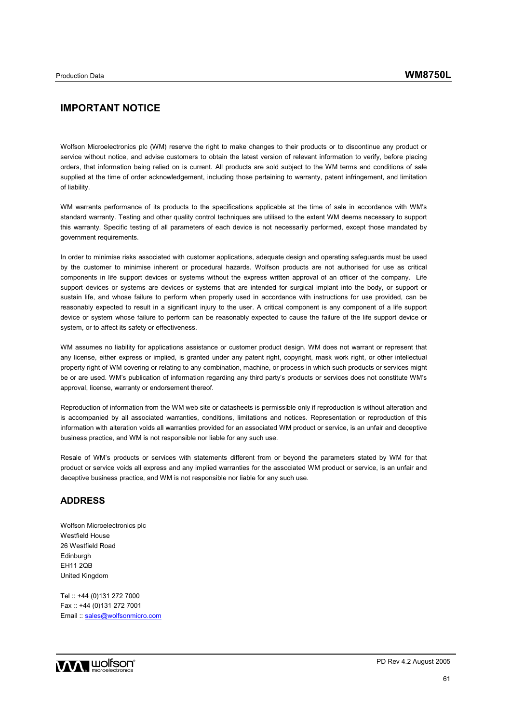# **IMPORTANT NOTICE**

Wolfson Microelectronics plc (WM) reserve the right to make changes to their products or to discontinue any product or service without notice, and advise customers to obtain the latest version of relevant information to verify, before placing orders, that information being relied on is current. All products are sold subject to the WM terms and conditions of sale supplied at the time of order acknowledgement, including those pertaining to warranty, patent infringement, and limitation of liability.

WM warrants performance of its products to the specifications applicable at the time of sale in accordance with WM's standard warranty. Testing and other quality control techniques are utilised to the extent WM deems necessary to support this warranty. Specific testing of all parameters of each device is not necessarily performed, except those mandated by government requirements.

In order to minimise risks associated with customer applications, adequate design and operating safeguards must be used by the customer to minimise inherent or procedural hazards. Wolfson products are not authorised for use as critical components in life support devices or systems without the express written approval of an officer of the company. Life support devices or systems are devices or systems that are intended for surgical implant into the body, or support or sustain life, and whose failure to perform when properly used in accordance with instructions for use provided, can be reasonably expected to result in a significant injury to the user. A critical component is any component of a life support device or system whose failure to perform can be reasonably expected to cause the failure of the life support device or system, or to affect its safety or effectiveness.

WM assumes no liability for applications assistance or customer product design. WM does not warrant or represent that any license, either express or implied, is granted under any patent right, copyright, mask work right, or other intellectual property right of WM covering or relating to any combination, machine, or process in which such products or services might be or are used. WM's publication of information regarding any third party's products or services does not constitute WM's approval, license, warranty or endorsement thereof.

Reproduction of information from the WM web site or datasheets is permissible only if reproduction is without alteration and is accompanied by all associated warranties, conditions, limitations and notices. Representation or reproduction of this information with alteration voids all warranties provided for an associated WM product or service, is an unfair and deceptive business practice, and WM is not responsible nor liable for any such use.

Resale of WM's products or services with statements different from or beyond the parameters stated by WM for that product or service voids all express and any implied warranties for the associated WM product or service, is an unfair and deceptive business practice, and WM is not responsible nor liable for any such use.

## **ADDRESS**

Wolfson Microelectronics plc Westfield House 26 Westfield Road Edinburgh EH11 2QB United Kingdom

Tel :: +44 (0)131 272 7000 Fax :: +44 (0)131 272 7001 Email :: sales@wolfsonmicro.com